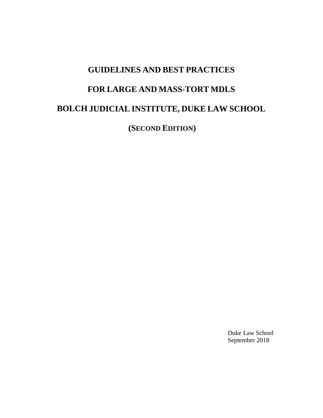# **GUIDELINES AND BEST PRACTICES FOR LARGE AND MASS-TORT MDLS BOLCH JUDICIAL INSTITUTE, DUKE LAW SCHOOL**

**(SECOND EDITION)** 

Duke Law School September 2018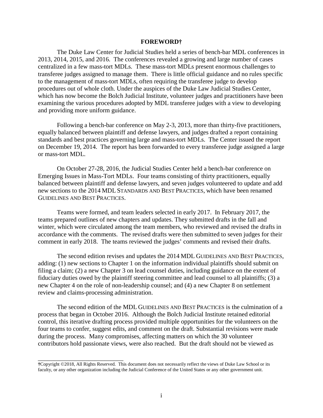#### **FOREWORD†**

The Duke Law Center for Judicial Studies held a series of bench-bar MDL conferences in 2013, 2014, 2015, and 2016. The conferences revealed a growing and large number of cases centralized in a few mass-tort MDLs. These mass-tort MDLs present enormous challenges to transferee judges assigned to manage them. There is little official guidance and no rules specific to the management of mass-tort MDLs, often requiring the transferee judge to develop procedures out of whole cloth. Under the auspices of the Duke Law Judicial Studies Center, which has now become the Bolch Judicial Institute, volunteer judges and practitioners have been examining the various procedures adopted by MDL transferee judges with a view to developing and providing more uniform guidance.

Following a bench-bar conference on May 2-3, 2013, more than thirty-five practitioners, equally balanced between plaintiff and defense lawyers, and judges drafted a report containing standards and best practices governing large and mass-tort MDLs. The Center issued the report on December 19, 2014. The report has been forwarded to every transferee judge assigned a large or mass-tort MDL.

On October 27-28, 2016, the Judicial Studies Center held a bench-bar conference on Emerging Issues in Mass-Tort MDLs. Four teams consisting of thirty practitioners, equally balanced between plaintiff and defense lawyers, and seven judges volunteered to update and add new sections to the 2014 MDL STANDARDS AND BEST PRACTICES, which have been renamed GUIDELINES AND BEST PRACTICES.

Teams were formed, and team leaders selected in early 2017. In February 2017, the teams prepared outlines of new chapters and updates. They submitted drafts in the fall and winter, which were circulated among the team members, who reviewed and revised the drafts in accordance with the comments. The revised drafts were then submitted to seven judges for their comment in early 2018. The teams reviewed the judges' comments and revised their drafts.

The second edition revises and updates the 2014 MDL GUIDELINES AND BEST PRACTICES, adding: (1) new sections to Chapter 1 on the information individual plaintiffs should submit on filing a claim; (2) a new Chapter 3 on lead counsel duties, including guidance on the extent of fiduciary duties owed by the plaintiff steering committee and lead counsel to all plaintiffs; (3) a new Chapter 4 on the role of non-leadership counsel; and (4) a new Chapter 8 on settlement review and claims-processing administration.

The second edition of the MDL GUIDELINES AND BEST PRACTICES is the culmination of a process that began in October 2016. Although the Bolch Judicial Institute retained editorial control, this iterative drafting process provided multiple opportunities for the volunteers on the four teams to confer, suggest edits, and comment on the draft. Substantial revisions were made during the process. Many compromises, affecting matters on which the 30 volunteer contributors hold passionate views, were also reached. But the draft should not be viewed as

\_\_\_\_\_\_\_\_\_\_\_\_\_\_\_\_\_\_\_\_\_\_\_\_\_\_\_

**<sup>†</sup>**Copyright ©2018, All Rights Reserved. This document does not necessarily reflect the views of Duke Law School or its faculty, or any other organization including the Judicial Conference of the United States or any other government unit.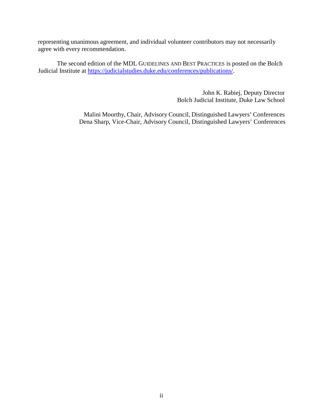representing unanimous agreement, and individual volunteer contributors may not necessarily agree with every recommendation.

The second edition of the MDL GUIDELINES AND BEST PRACTICES is posted on the Bolch Judicial Institute at [https://judicialstudies.duke.edu/conferences/publications/.](https://judicialstudies.duke.edu/conferences/publications/)

> John K. Rabiej, Deputy Director Bolch Judicial Institute, Duke Law School

 Malini Moorthy, Chair, Advisory Council, Distinguished Lawyers' Conferences Dena Sharp, Vice-Chair, Advisory Council, Distinguished Lawyers' Conferences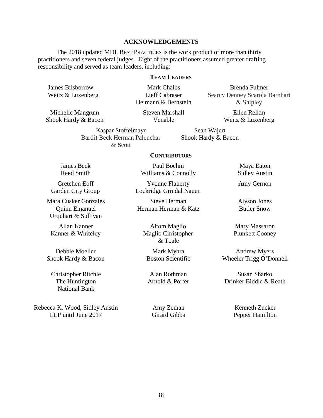# **ACKNOWLEDGEMENTS**

The 2018 updated MDL BEST PRACTICES is the work product of more than thirty practitioners and seven federal judges. Eight of the practitioners assumed greater drafting responsibility and served as team leaders, including:

### **TEAM LEADERS**

James Bilsborrow Weitz & Luxenberg

Mark Chalos Lieff Cabraser Heimann & Bernstein

Michelle Mangrum Shook Hardy & Bacon Steven Marshall Venable

Brenda Fulmer Searcy Denney Scarola Barnhart & Shipley

> Ellen Relkin Weitz & Luxenberg

Kaspar Stoffelmayr Bartlit Beck Herman Palenchar & Scott

Sean Wajert Shook Hardy & Bacon

#### **CONTRIBUTORS**

James Beck Reed Smith

Gretchen Eoff Garden City Group

Mara Cusker Gonzales Quinn Emanuel Urquhart & Sullivan

Allan Kanner Kanner & Whiteley

Debbie Moeller Shook Hardy & Bacon

Christopher Ritchie The Huntington National Bank

Rebecca K. Wood, Sidley Austin LLP until June 2017

Paul Boehm Williams & Connolly

Yvonne Flaherty Lockridge Grindal Nauen

Steve Herman Herman Herman & Katz

Altom Maglio Maglio Christopher & Toale

Mark Myhra Boston Scientific

Alan Rothman Arnold & Porter

Amy Zeman Girard Gibbs

Maya Eaton Sidley Austin

Amy Gernon

Alyson Jones Butler Snow

Mary Massaron Plunkett Cooney

Andrew Myers Wheeler Trigg O'Donnell

Susan Sharko Drinker Biddle & Reath

> Kenneth Zucker Pepper Hamilton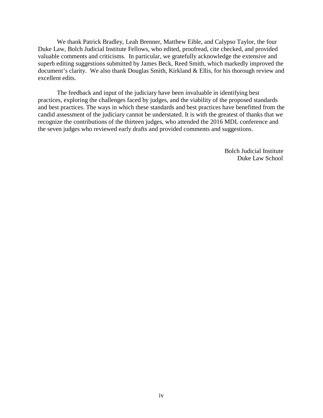We thank Patrick Bradley, Leah Brenner, Matthew Eible, and Calypso Taylor, the four Duke Law, Bolch Judicial Institute Fellows, who edited, proofread, cite checked, and provided valuable comments and criticisms. In particular, we gratefully acknowledge the extensive and superb editing suggestions submitted by James Beck, Reed Smith, which markedly improved the document's clarity. We also thank Douglas Smith, Kirkland & Ellis, for his thorough review and excellent edits.

The feedback and input of the judiciary have been invaluable in identifying best practices, exploring the challenges faced by judges, and the viability of the proposed standards and best practices. The ways in which these standards and best practices have benefitted from the candid assessment of the judiciary cannot be understated. It is with the greatest of thanks that we recognize the contributions of the thirteen judges, who attended the 2016 MDL conference and the seven judges who reviewed early drafts and provided comments and suggestions.

> Bolch Judicial Institute Duke Law School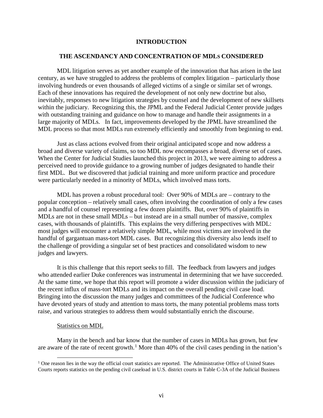## **INTRODUCTION**

### **THE ASCENDANCY AND CONCENTRATION OF MDLS CONSIDERED**

MDL litigation serves as yet another example of the innovation that has arisen in the last century, as we have struggled to address the problems of complex litigation – particularly those involving hundreds or even thousands of alleged victims of a single or similar set of wrongs. Each of these innovations has required the development of not only new doctrine but also, inevitably, responses to new litigation strategies by counsel and the development of new skillsets within the judiciary. Recognizing this, the JPML and the Federal Judicial Center provide judges with outstanding training and guidance on how to manage and handle their assignments in a large majority of MDLs. In fact, improvements developed by the JPML have streamlined the MDL process so that most MDLs run extremely efficiently and smoothly from beginning to end.

Just as class actions evolved from their original anticipated scope and now address a broad and diverse variety of claims, so too MDL now encompasses a broad, diverse set of cases. When the Center for Judicial Studies launched this project in 2013, we were aiming to address a perceived need to provide guidance to a growing number of judges designated to handle their first MDL. But we discovered that judicial training and more uniform practice and procedure were particularly needed in a minority of MDLs, which involved mass torts.

MDL has proven a robust procedural tool: Over 90% of MDLs are – contrary to the popular conception – relatively small cases, often involving the coordination of only a few cases and a handful of counsel representing a few dozen plaintiffs. But, over 90% of plaintiffs in MDLs are not in these small MDLs – but instead are in a small number of massive, complex cases, with thousands of plaintiffs. This explains the very differing perspectives with MDL: most judges will encounter a relatively simple MDL, while most victims are involved in the handful of gargantuan mass-tort MDL cases. But recognizing this diversity also lends itself to the challenge of providing a singular set of best practices and consolidated wisdom to new judges and lawyers.

It is this challenge that this report seeks to fill. The feedback from lawyers and judges who attended earlier Duke conferences was instrumental in determining that we have succeeded. At the same time, we hope that this report will promote a wider discussion within the judiciary of the recent influx of mass-tort MDLs and its impact on the overall pending civil case load. Bringing into the discussion the many judges and committees of the Judicial Conference who have devoted years of study and attention to mass torts, the many potential problems mass torts raise, and various strategies to address them would substantially enrich the discourse.

#### Statistics on MDL

Many in the bench and bar know that the number of cases in MDLs has grown, but few are aware of the rate of recent growth.<sup>[1](#page-6-0)</sup> More than 40% of the civil cases pending in the nation's

<span id="page-6-0"></span> $<sup>1</sup>$  One reason lies in the way the official court statistics are reported. The Administrative Office of United States</sup> Courts reports statistics on the pending civil caseload in U.S. district courts in Table C-3A of the Judicial Business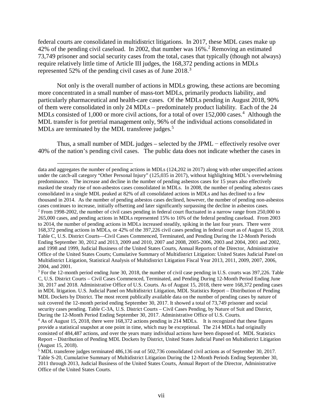federal courts are consolidated in multidistrict litigations. In 2017, these MDL cases make up 4[2](#page-7-0)% of the pending civil caseload. In 2002, that number was 16%.<sup>2</sup> Removing an estimated 73,749 prisoner and social security cases from the total, cases that typically (though not always) require relatively little time of Article III judges, the 168,372 pending actions in MDLs represented 52% of the pending civil cases as of June  $2018$ .<sup>[3](#page-7-1)</sup>

Not only is the overall number of actions in MDLs growing, these actions are becoming more concentrated in a small number of mass-tort MDLs, primarily products liability, and particularly pharmaceutical and health-care cases. Of the MDLs pending in August 2018, 90% of them were consolidated in only 24 MDLs – predominately product liability. Each of the 24 MDLs consisted of 1,000 or more civil actions, for a total of over 152,000 cases.<sup>[4](#page-7-2)</sup> Although the MDL transfer is for pretrial management only, 96% of the individual actions consolidated in MDLs are terminated by the MDL transferee judges. $5$ 

Thus, a small number of MDL judges – selected by the JPML – effectively resolve over 40% of the nation's pending civil cases. The public data does not indicate whether the cases in

<span id="page-7-0"></span>data and aggregates the number of pending actions in MDLs (124,202 in 2017) along with other unspecified actions under the catch-all category "Other Personal Injury" (125,035 in 2017), without highlighting MDL's overwhelming predominance. The increase and decline in the number of pending asbestos cases for 15 years also effectively masked the steady rise of non-asbestos cases consolidated in MDLs. In 2008, the number of pending asbestos cases consolidated in a single MDL peaked at 82% of all consolidated actions in MDLs and has declined to a few thousand in 2014. As the number of pending asbestos cases declined, however, the number of pending non-asbestos cases continues to increase, initially offsetting and later significantly surpassing the decline in asbestos cases. <sup>2</sup> From 1998-2002, the number of civil cases pending in federal court fluctuated in a narrow range from 250,000 to 265,000 cases, and pending actions in MDLs represented 15% to 16% of the federal pending caseload. From 2003 to 2014, the number of pending actions in MDLs increased steadily, spiking in the last four years. There were 168,372 pending actions in MDLs, or 42% of the 397,226 civil cases pending in federal court as of August 15, 2018. Table C, U.S. District Courts—Civil Cases Commenced, Terminated, and Pending During the 12-Month Periods Ending September 30, 2012 and 2013, 2009 and 2010, 2007 and 2008, 2005-2006, 2003 and 2004, 2001 and 2002, and 1998 and 1999, Judicial Business of the United States Courts, Annual Reports of the Director, Administrative Office of the United States Courts; Cumulative Summary of Multidistrict Litigation: United States Judicial Panel on Multidistrict Litigation, Statistical Analysis of Multidistrict Litigation Fiscal Year 2013, 2011, 2009, 2007, 2006, 2004, and 2001.

<span id="page-7-1"></span><sup>3</sup> For the 12-month period ending June 30, 2018, the number of civil case pending in U.S. courts was 397,226. Table C, U.S. District Courts – Civil Cases Commenced, Terminated, and Pending During 12-Month Period Ending June 30, 2017 and 2018. Administrative Office of U.S. Courts. As of August 15, 2018, there were 168,372 pending cases in MDL litigation. U.S. Judicial Panel on Multidistrict Litigation, MDL Statistics Report – Distribution of Pending MDL Dockets by District. The most recent publically available data on the number of pending cases by nature of suit covered the 12-month period ending September 30, 2017. It showed a total of 73,749 prisoner and social security cases pending. Table C-3A, U.S. District Courts – Civil Cases Pending, by Nature of Suit and District, During the 12-Month Period Ending September 30, 2017. Administrative Office of U.S. Courts.

<span id="page-7-2"></span> $4$  As of August 15, 2018, there were 168,372 actions pending in 214 MDLs. It is recognized that these figures provide a statistical snapshot at one point in time, which may be exceptional. The 214 MDLs had originally consisted of 484,487 actions, and over the years many individual actions have been disposed of. MDL Statistics Report – Distribution of Pending MDL Dockets by District, United States Judicial Panel on Multidistrict Litigation (August 15, 2018).

<span id="page-7-3"></span><sup>5</sup> MDL transferee judges terminated 486,136 out of 502,736 consolidated civil actions as of September 30, 2017. Table S-20, Cumulative Summary of Multidistrict Litigation During the 12-Month Periods Ending September 30, 2011 through 2013, Judicial Business of the United States Courts, Annual Report of the Director, Administrative Office of the United States Courts.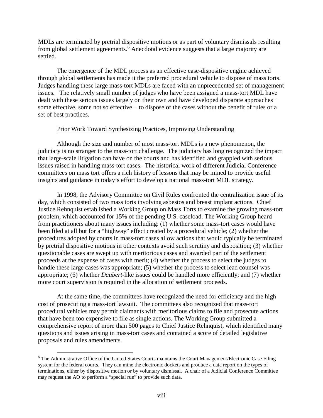MDLs are terminated by pretrial dispositive motions or as part of voluntary dismissals resulting from global settlement agreements.<sup>[6](#page-8-0)</sup> Anecdotal evidence suggests that a large majority are settled.

The emergence of the MDL process as an effective case-dispositive engine achieved through global settlements has made it the preferred procedural vehicle to dispose of mass torts. Judges handling these large mass-tort MDLs are faced with an unprecedented set of management issues. The relatively small number of judges who have been assigned a mass-tort MDL have dealt with these serious issues largely on their own and have developed disparate approaches − some effective, some not so effective – to dispose of the cases without the benefit of rules or a set of best practices.

# Prior Work Toward Synthesizing Practices, Improving Understanding

Although the size and number of most mass-tort MDLs is a new phenomenon, the judiciary is no stranger to the mass-tort challenge. The judiciary has long recognized the impact that large-scale litigation can have on the courts and has identified and grappled with serious issues raised in handling mass-tort cases. The historical work of different Judicial Conference committees on mass tort offers a rich history of lessons that may be mined to provide useful insights and guidance in today's effort to develop a national mass-tort MDL strategy.

In 1998, the Advisory Committee on Civil Rules confronted the centralization issue of its day, which consisted of two mass torts involving asbestos and breast implant actions. Chief Justice Rehnquist established a Working Group on Mass Torts to examine the growing mass-tort problem, which accounted for 15% of the pending U.S. caseload. The Working Group heard from practitioners about many issues including: (1) whether some mass-tort cases would have been filed at all but for a "highway" effect created by a procedural vehicle; (2) whether the procedures adopted by courts in mass-tort cases allow actions that would typically be terminated by pretrial dispositive motions in other contexts avoid such scrutiny and disposition; (3) whether questionable cases are swept up with meritorious cases and awarded part of the settlement proceeds at the expense of cases with merit; (4) whether the process to select the judges to handle these large cases was appropriate; (5) whether the process to select lead counsel was appropriate; (6) whether *Daubert*-like issues could be handled more efficiently; and (7) whether more court supervision is required in the allocation of settlement proceeds.

At the same time, the committees have recognized the need for efficiency and the high cost of prosecuting a mass-tort lawsuit. The committees also recognized that mass-tort procedural vehicles may permit claimants with meritorious claims to file and prosecute actions that have been too expensive to file as single actions. The Working Group submitted a comprehensive report of more than 500 pages to Chief Justice Rehnquist, which identified many questions and issues arising in mass-tort cases and contained a score of detailed legislative proposals and rules amendments.

<span id="page-8-0"></span><sup>&</sup>lt;sup>6</sup> The Administrative Office of the United States Courts maintains the Court Management/Electronic Case Filing system for the federal courts. They can mine the electronic dockets and produce a data report on the types of terminations, either by dispositive motion or by voluntary dismissal. A chair of a Judicial Conference Committee may request the AO to perform a "special run" to provide such data.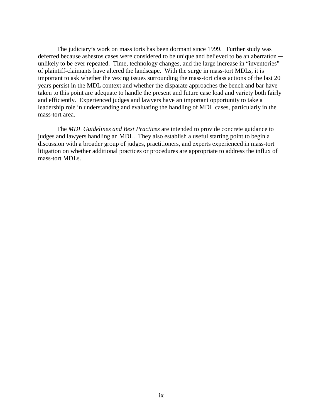The judiciary's work on mass torts has been dormant since 1999. Further study was deferred because asbestos cases were considered to be unique and believed to be an aberration unlikely to be ever repeated. Time, technology changes, and the large increase in "inventories" of plaintiff-claimants have altered the landscape. With the surge in mass-tort MDLs, it is important to ask whether the vexing issues surrounding the mass-tort class actions of the last 20 years persist in the MDL context and whether the disparate approaches the bench and bar have taken to this point are adequate to handle the present and future case load and variety both fairly and efficiently. Experienced judges and lawyers have an important opportunity to take a leadership role in understanding and evaluating the handling of MDL cases, particularly in the mass-tort area.

The *MDL Guidelines and Best Practices* are intended to provide concrete guidance to judges and lawyers handling an MDL. They also establish a useful starting point to begin a discussion with a broader group of judges, practitioners, and experts experienced in mass-tort litigation on whether additional practices or procedures are appropriate to address the influx of mass-tort MDLs.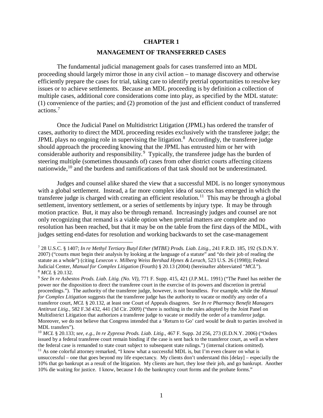## **CHAPTER 1**

# **MANAGEMENT OF TRANSFERRED CASES**

The fundamental judicial management goals for cases transferred into an MDL proceeding should largely mirror those in any civil action – to manage discovery and otherwise efficiently prepare the cases for trial, taking care to identify pretrial opportunities to resolve key issues or to achieve settlements. Because an MDL proceeding is by definition a collection of multiple cases, additional core considerations come into play, as specified by the MDL statute: (1) convenience of the parties; and (2) promotion of the just and efficient conduct of transferred actions.[7](#page-10-0)

Once the Judicial Panel on Multidistrict Litigation (JPML) has ordered the transfer of cases, authority to direct the MDL proceeding resides exclusively with the transferee judge; the JPML plays no ongoing role in supervising the litigation.<sup>[8](#page-10-1)</sup> Accordingly, the transferee judge should approach the proceeding knowing that the JPML has entrusted him or her with considerable authority and responsibility.<sup>[9](#page-10-2)</sup> Typically, the transferee judge has the burden of steering multiple (sometimes thousands of) cases from other district courts affecting citizens nationwide,<sup>[10](#page-10-3)</sup> and the burdens and ramifications of that task should not be underestimated.

Judges and counsel alike shared the view that a successful MDL is no longer synonymous with a global settlement. Instead, a far more complex idea of success has emerged in which the transferee judge is charged with creating an efficient resolution.<sup>11</sup> This may be through a global settlement, inventory settlement, or a series of settlements by injury type. It may be through motion practice. But, it may also be through remand. Increasingly judges and counsel are not only recognizing that remand is a viable option when pretrial matters are complete and no resolution has been reached, but that it may be on the table from the first days of the MDL, with judges setting end-dates for resolution and working backwards to set the case-management

<span id="page-10-0"></span> <sup>7</sup> 28 U.S.C. § 1407; *In re Methyl Tertiary Butyl Ether (MTBE) Prods. Liab. Litig.*, 241 F.R.D. 185, 192 (S.D.N.Y. 2007) ("courts must begin their analysis by looking at the language of a statute" and "do their job of reading the statute as a whole") (citing *Lexecon v. Milberg Weiss Bershad Hynes & Lerach*, 523 U.S. 26 (1998)); Federal Judicial Center, *Manual for Complex Litigation* (Fourth) § 20.13 (2004) (hereinafter abbreviated "*MCL*"). <sup>8</sup> *MCL* § 20.132.

<span id="page-10-2"></span><span id="page-10-1"></span><sup>9</sup> *See In re Asbestos Prods. Liab. Litig. (No. VI)*, 771 F. Supp. 415, 421 (J.P.M.L. 1991) ("The Panel has neither the power nor the disposition to direct the transferee court in the exercise of its powers and discretion in pretrial proceedings."). The authority of the transferee judge, however, is not boundless. For example, while the *Manual for Complex Litigation* suggests that the transferee judge has the authority to vacate or modify any order of a transferor court, *MCL* § 20.132, at least one Court of Appeals disagrees. *See In re Pharmacy Benefit Managers Antitrust Litig.*, 582 F.3d 432, 441 (3d Cir. 2009) ("there is nothing in the rules adopted by the Joint Panel on Multidistrict Litigation that authorizes a transferee judge to vacate or modify the order of a transferor judge. Moreover, we do not believe that Congress intended that a 'Return to Go' card would be dealt to parties involved in MDL transfers").

<span id="page-10-3"></span><sup>10</sup> *MCL* § 20.133; *see, e.g.*, *In re Zyprexa Prods. Liab. Litig.*, 467 F. Supp. 2d 256, 273 (E.D.N.Y. 2006) ("Orders issued by a federal transferee court remain binding if the case is sent back to the transferor court, as well as where the federal case is remanded to state court subject to subsequent state rulings.") (internal citations omitted).

<span id="page-10-4"></span><sup>&</sup>lt;sup>11</sup> As one colorful attorney remarked, "I know what a successful MDL is, but I'm even clearer on what is unsuccessful – one that goes beyond my life expectancy. My clients don't understand this [delay] – especially the 10% that go bankrupt as a result of the litigation. My clients are hurt, they lose their job, and go bankrupt. Another 10% die waiting for justice. I know, because I do the bankruptcy court forms and the probate forms."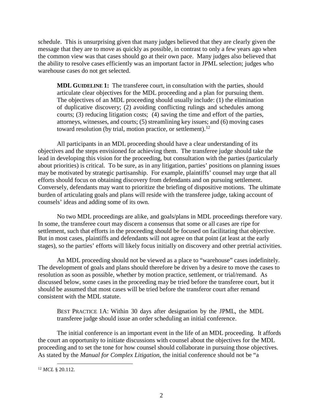schedule. This is unsurprising given that many judges believed that they are clearly given the message that they are to move as quickly as possible, in contrast to only a few years ago when the common view was that cases should go at their own pace. Many judges also believed that the ability to resolve cases efficiently was an important factor in JPML selection; judges who warehouse cases do not get selected.

**MDL GUIDELINE 1:**The transferee court, in consultation with the parties, should articulate clear objectives for the MDL proceeding and a plan for pursuing them. The objectives of an MDL proceeding should usually include: (1) the elimination of duplicative discovery; (2) avoiding conflicting rulings and schedules among courts; (3) reducing litigation costs; (4) saving the time and effort of the parties, attorneys, witnesses, and courts; (5) streamlining key issues; and (6) moving cases toward resolution (by trial, motion practice, or settlement).[12](#page-11-0)

All participants in an MDL proceeding should have a clear understanding of its objectives and the steps envisioned for achieving them. The transferee judge should take the lead in developing this vision for the proceeding, but consultation with the parties (particularly about priorities) is critical. To be sure, as in any litigation, parties' positions on planning issues may be motivated by strategic partisanship. For example, plaintiffs' counsel may urge that all efforts should focus on obtaining discovery from defendants and on pursuing settlement. Conversely, defendants may want to prioritize the briefing of dispositive motions. The ultimate burden of articulating goals and plans will reside with the transferee judge, taking account of counsels' ideas and adding some of its own.

No two MDL proceedings are alike, and goals/plans in MDL proceedings therefore vary. In some, the transferee court may discern a consensus that some or all cases are ripe for settlement, such that efforts in the proceeding should be focused on facilitating that objective. But in most cases, plaintiffs and defendants will not agree on that point (at least at the early stages), so the parties' efforts will likely focus initially on discovery and other pretrial activities.

An MDL proceeding should not be viewed as a place to "warehouse" cases indefinitely. The development of goals and plans should therefore be driven by a desire to move the cases to resolution as soon as possible, whether by motion practice, settlement, or trial/remand. As discussed below, some cases in the proceeding may be tried before the transferee court, but it should be assumed that most cases will be tried before the transferor court after remand consistent with the MDL statute.

BEST PRACTICE 1A: Within 30 days after designation by the JPML, the MDL transferee judge should issue an order scheduling an initial conference.

The initial conference is an important event in the life of an MDL proceeding. It affords the court an opportunity to initiate discussions with counsel about the objectives for the MDL proceeding and to set the tone for how counsel should collaborate in pursuing those objectives. As stated by the *Manual for Complex Litigation*, the initial conference should not be "a

<span id="page-11-0"></span> <sup>12</sup> *MCL* § 20.112.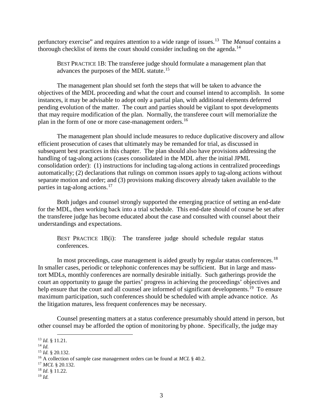perfunctory exercise" and requires attention to a wide range of issues.[13](#page-12-0) The *Manual* contains a thorough checklist of items the court should consider including on the agenda.<sup>[14](#page-12-1)</sup>

BEST PRACTICE 1B: The transferee judge should formulate a management plan that advances the purposes of the MDL statute.<sup>15</sup>

The management plan should set forth the steps that will be taken to advance the objectives of the MDL proceeding and what the court and counsel intend to accomplish. In some instances, it may be advisable to adopt only a partial plan, with additional elements deferred pending evolution of the matter. The court and parties should be vigilant to spot developments that may require modification of the plan. Normally, the transferee court will memorialize the plan in the form of one or more case-management orders.<sup>[16](#page-12-3)</sup>

The management plan should include measures to reduce duplicative discovery and allow efficient prosecution of cases that ultimately may be remanded for trial, as discussed in subsequent best practices in this chapter. The plan should also have provisions addressing the handling of tag-along actions (cases consolidated in the MDL after the initial JPML consolidation order): (1) instructions for including tag-along actions in centralized proceedings automatically; (2) declarations that rulings on common issues apply to tag-along actions without separate motion and order; and (3) provisions making discovery already taken available to the parties in tag-along actions.<sup>[17](#page-12-4)</sup>

Both judges and counsel strongly supported the emerging practice of setting an end-date for the MDL, then working back into a trial schedule. This end-date should of course be set after the transferee judge has become educated about the case and consulted with counsel about their understandings and expectations.

BEST PRACTICE 1B(i): The transferee judge should schedule regular status conferences.

In most proceedings, case management is aided greatly by regular status conferences.<sup>18</sup> In smaller cases, periodic or telephonic conferences may be sufficient. But in large and masstort MDLs, monthly conferences are normally desirable initially. Such gatherings provide the court an opportunity to gauge the parties' progress in achieving the proceedings' objectives and help ensure that the court and all counsel are informed of significant developments.<sup>19</sup> To ensure maximum participation, such conferences should be scheduled with ample advance notice. As the litigation matures, less frequent conferences may be necessary.

Counsel presenting matters at a status conference presumably should attend in person, but other counsel may be afforded the option of monitoring by phone. Specifically, the judge may

<span id="page-12-6"></span><sup>19</sup> *Id.*

<span id="page-12-0"></span> <sup>13</sup> *Id.* § 11.21.

<span id="page-12-1"></span><sup>14</sup> *Id.*

<span id="page-12-2"></span><sup>15</sup> *Id.* § 20.132.

<span id="page-12-3"></span><sup>16</sup> A collection of sample case management orders can be found at *MCL* § 40.2.

<span id="page-12-4"></span><sup>17</sup> *MCL* § 20.132.

<span id="page-12-5"></span><sup>18</sup> *Id*. § 11.22.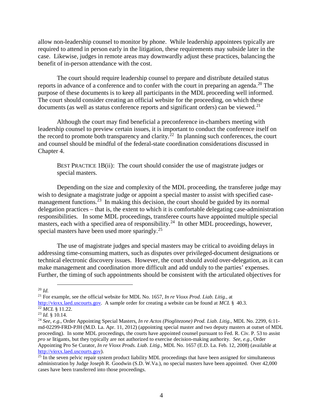allow non-leadership counsel to monitor by phone. While leadership appointees typically are required to attend in person early in the litigation, these requirements may subside later in the case. Likewise, judges in remote areas may downwardly adjust these practices, balancing the benefit of in-person attendance with the cost.

The court should require leadership counsel to prepare and distribute detailed status reports in advance of a conference and to confer with the court in preparing an agenda.<sup>[20](#page-13-0)</sup> The purpose of these documents is to keep all participants in the MDL proceeding well informed. The court should consider creating an official website for the proceeding, on which these documents (as well as status conference reports and significant orders) can be viewed.<sup>[21](#page-13-1)</sup>

Although the court may find beneficial a preconference in-chambers meeting with leadership counsel to preview certain issues, it is important to conduct the conference itself on the record to promote both transparency and clarity.<sup>22</sup> In planning such conferences, the court and counsel should be mindful of the federal-state coordination considerations discussed in Chapter 4.

BEST PRACTICE 1B(ii): The court should consider the use of magistrate judges or special masters.

Depending on the size and complexity of the MDL proceeding, the transferee judge may wish to designate a magistrate judge or appoint a special master to assist with specified case-management functions.<sup>[23](#page-13-3)</sup> In making this decision, the court should be guided by its normal delegation practices – that is, the extent to which it is comfortable delegating case-administration responsibilities. In some MDL proceedings, transferee courts have appointed multiple special masters, each with a specified area of responsibility.<sup>[24](#page-13-4)</sup> In other MDL proceedings, however, special masters have been used more sparingly.<sup>[25](#page-13-5)</sup>

The use of magistrate judges and special masters may be critical to avoiding delays in addressing time-consuming matters, such as disputes over privileged-document designations or technical electronic discovery issues. However, the court should avoid over-delegation, as it can make management and coordination more difficult and add unduly to the parties' expenses. Further, the timing of such appointments should be consistent with the articulated objectives for

<span id="page-13-0"></span> <sup>20</sup> *Id.*

<span id="page-13-1"></span><sup>21</sup> For example, see the official website for MDL No. 1657, *In re Vioxx Prod. Liab. Litig.,* at

[http://vioxx.laed.uscourts.gov.](http://vioxx.laed.uscourts.gov/) A sample order for creating a website can be found at *MCL* § 40.3.

<span id="page-13-2"></span><sup>&</sup>lt;sup>22</sup> *MCL* § 11.22.

<span id="page-13-3"></span><sup>23</sup> *Id.* § 10.14.

<span id="page-13-4"></span><sup>24</sup> *See, e.g.,* Order Appointing Special Masters, *In re Actos (Pioglitezone) Prod. Liab. Litig.,* MDL No. 2299, 6:11 md-02299-FRD-PJH (M.D. La. Apr. 11, 2012) (appointing special master and two deputy masters at outset of MDL proceeding). In some MDL proceedings, the courts have appointed counsel pursuant to Fed. R. Civ. P. 53 to assist *pro se* litigants, but they typically are not authorized to exercise decision-making authority. *See, e.g.,* Order Appointing Pro Se Curator, *In re Vioxx Prods. Liab. Litig.,* MDL No. 1657 (E.D. La. Feb. 12, 2008) (available at [http://vioxx.laed.uscourts.gov\)](http://vioxx.laed.uscourts.gov/).

<span id="page-13-5"></span> $25$  In the seven pelvic repair system product liability MDL proceedings that have been assigned for simultaneous administration by Judge Joseph R. Goodwin (S.D. W.Va.), no special masters have been appointed. Over 42,000 cases have been transferred into those proceedings.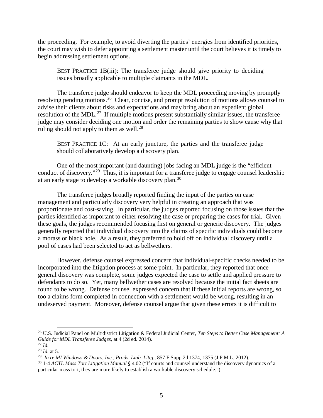the proceeding. For example, to avoid diverting the parties' energies from identified priorities, the court may wish to defer appointing a settlement master until the court believes it is timely to begin addressing settlement options.

BEST PRACTICE 1B(iii): The transferee judge should give priority to deciding issues broadly applicable to multiple claimants in the MDL.

The transferee judge should endeavor to keep the MDL proceeding moving by promptly resolving pending motions.[26](#page-14-0) Clear, concise, and prompt resolution of motions allows counsel to advise their clients about risks and expectations and may bring about an expedient global resolution of the MDL.<sup>27</sup> If multiple motions present substantially similar issues, the transferee judge may consider deciding one motion and order the remaining parties to show cause why that ruling should not apply to them as well.<sup>[28](#page-14-2)</sup>

BEST PRACTICE 1C: At an early juncture, the parties and the transferee judge should collaboratively develop a discovery plan.

One of the most important (and daunting) jobs facing an MDL judge is the "efficient conduct of discovery."<sup>[29](#page-14-3)</sup> Thus, it is important for a transferee judge to engage counsel leadership at an early stage to develop a workable discovery plan.[30](#page-14-4) 

The transferee judges broadly reported finding the input of the parties on case management and particularly discovery very helpful in creating an approach that was proportionate and cost-saving. In particular, the judges reported focusing on those issues that the parties identified as important to either resolving the case or preparing the cases for trial. Given these goals, the judges recommended focusing first on general or generic discovery. The judges generally reported that individual discovery into the claims of specific individuals could become a morass or black hole. As a result, they preferred to hold off on individual discovery until a pool of cases had been selected to act as bellwethers.

However, defense counsel expressed concern that individual-specific checks needed to be incorporated into the litigation process at some point. In particular, they reported that once general discovery was complete, some judges expected the case to settle and applied pressure to defendants to do so. Yet, many bellwether cases are resolved because the initial fact sheets are found to be wrong. Defense counsel expressed concern that if these initial reports are wrong, so too a claims form completed in connection with a settlement would be wrong, resulting in an undeserved payment. Moreover, defense counsel argue that given these errors it is difficult to

<span id="page-14-0"></span> <sup>26</sup> U.S. Judicial Panel on Multidistrict Litigation & Federal Judicial Center, *Ten Steps to Better Case Management: <sup>A</sup> Guide for MDL Transferee Judges*, at 4 (2d ed. 2014).

<span id="page-14-1"></span><sup>27</sup> *Id.*

<span id="page-14-2"></span><sup>28</sup> *Id.* at 5.

<span id="page-14-3"></span><sup>29</sup> *In re MI Windows & Doors, Inc., Prods. Liab. Litig*., 857 F.Supp.2d 1374, 1375 (J.P.M.L. 2012).

<span id="page-14-4"></span><sup>30</sup> 1-4 *ACTL Mass Tort Litigation Manual* § 4.02 ("If courts and counsel understand the discovery dynamics of a particular mass tort, they are more likely to establish a workable discovery schedule.").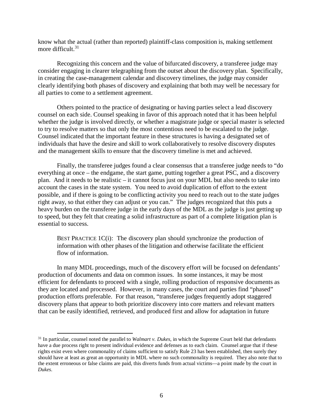know what the actual (rather than reported) plaintiff-class composition is, making settlement more difficult.<sup>31</sup>

Recognizing this concern and the value of bifurcated discovery, a transferee judge may consider engaging in clearer telegraphing from the outset about the discovery plan. Specifically, in creating the case-management calendar and discovery timelines, the judge may consider clearly identifying both phases of discovery and explaining that both may well be necessary for all parties to come to a settlement agreement.

Others pointed to the practice of designating or having parties select a lead discovery counsel on each side. Counsel speaking in favor of this approach noted that it has been helpful whether the judge is involved directly, or whether a magistrate judge or special master is selected to try to resolve matters so that only the most contentious need to be escalated to the judge. Counsel indicated that the important feature in these structures is having a designated set of individuals that have the desire and skill to work collaboratively to resolve discovery disputes and the management skills to ensure that the discovery timeline is met and achieved.

Finally, the transferee judges found a clear consensus that a transferee judge needs to "do everything at once – the endgame, the start game, putting together a great PSC, and a discovery plan. And it needs to be realistic – it cannot focus just on your MDL but also needs to take into account the cases in the state system. You need to avoid duplication of effort to the extent possible, and if there is going to be conflicting activity you need to reach out to the state judges right away, so that either they can adjust or you can." The judges recognized that this puts a heavy burden on the transferee judge in the early days of the MDL as the judge is just getting up to speed, but they felt that creating a solid infrastructure as part of a complete litigation plan is essential to success.

BEST PRACTICE  $1C(i)$ : The discovery plan should synchronize the production of information with other phases of the litigation and otherwise facilitate the efficient flow of information.

In many MDL proceedings, much of the discovery effort will be focused on defendants' production of documents and data on common issues. In some instances, it may be most efficient for defendants to proceed with a single, rolling production of responsive documents as they are located and processed. However, in many cases, the court and parties find "phased" production efforts preferable. For that reason, "transferee judges frequently adopt staggered discovery plans that appear to both prioritize discovery into core matters and relevant matters that can be easily identified, retrieved, and produced first and allow for adaptation in future

<span id="page-15-0"></span> <sup>31</sup> In particular, counsel noted the parallel to *Walmart v. Dukes*, in which the Supreme Court held that defendants have a due process right to present individual evidence and defenses as to each claim. Counsel argue that if these rights exist even where commonality of claims sufficient to satisfy Rule 23 has been established, then surely they should have at least as great an opportunity in MDL where no such commonality is required. They also note that to the extent erroneous or false claims are paid, this diverts funds from actual victims—a point made by the court in *Dukes*.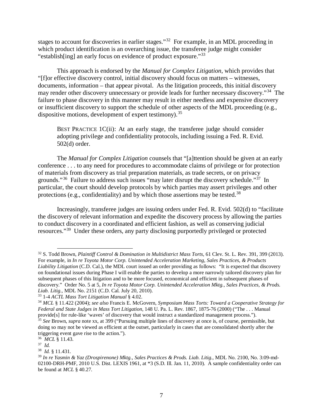stages to account for discoveries in earlier stages."<sup>[32](#page-16-0)</sup> For example, in an MDL proceeding in which product identification is an overarching issue, the transferee judge might consider "establish[ing] an early focus on evidence of product exposure."[33](#page-16-1)

This approach is endorsed by the *Manual for Complex Litigation*, which provides that "[f]or effective discovery control, initial discovery should focus on matters – witnesses, documents, information – that appear pivotal. As the litigation proceeds, this initial discovery may render other discovery unnecessary or provide leads for further necessary discovery."[34](#page-16-2) The failure to phase discovery in this manner may result in either needless and expensive discovery or insufficient discovery to support the schedule of other aspects of the MDL proceeding (e.g., dispositive motions, development of expert testimony).<sup>[35](#page-16-3)</sup>

BEST PRACTICE 1C(ii): At an early stage, the transferee judge should consider adopting privilege and confidentiality protocols, including issuing a Fed. R. Evid. 502(d) order.

The *Manual for Complex Litigation* counsels that "[a]ttention should be given at an early conference . . . to any need for procedures to accommodate claims of privilege or for protection of materials from discovery as trial preparation materials, as trade secrets, or on privacy grounds."<sup>36</sup> Failure to address such issues "may later disrupt the discovery schedule."<sup>[37](#page-16-5)</sup> In particular, the court should develop protocols by which parties may assert privileges and other protections (e.g., confidentiality) and by which those assertions may be tested.<sup>[38](#page-16-6)</sup>

Increasingly, transferee judges are issuing orders under Fed. R. Evid. 502(d) to "facilitate the discovery of relevant information and expedite the discovery process by allowing the parties to conduct discovery in a coordinated and efficient fashion, as well as conserving judicial resources."[39](#page-16-7) Under these orders, any party disclosing purportedly privileged or protected

<span id="page-16-0"></span> <sup>32</sup> S. Todd Brown, *Plaintiff Control & Domination in Multidistrict Mass Torts*, 61 Clev. St. L. Rev. 391, 399 (2013). For example, in *In re Toyota Motor Corp. Unintended Acceleration Marketing, Sales Practices, & Products Liability Litigation* (C.D. Cal.), the MDL court issued an order providing as follows: "It is expected that discovery on foundational issues during Phase I will enable the parties to develop a more narrowly tailored discovery plan for subsequent phases of this litigation and to be more focused, economical and efficient in subsequent phases of discovery." Order No. 5 at 5, *In re Toyota Motor Corp. Unintended Acceleration Mktg., Sales Practices, & Prods. Liab. Litig.*, MDL No. 2151 (C.D. Cal. July 20, 2010).

<span id="page-16-1"></span><sup>33</sup> 1-4 *ACTL Mass Tort Litigation Manual* § 4.02.

<span id="page-16-2"></span><sup>34</sup> *MCL* § 11.422 (2004); *see also* Francis E. McGovern, *Symposium Mass Torts: Toward a Cooperative Strategy for Federal and State Judges in Mass Tort Litigation*, 148 U. Pa. L. Rev. 1867, 1875-76 (2000) ("The . . . Manual provide[s] for rule-like 'waves' of discovery that would instruct a standardized management process.").

<span id="page-16-3"></span><sup>35</sup> *See* Brown, *supra* note xx, at 399 ("Pursuing multiple lines of discovery at once is, of course, permissible, but doing so may not be viewed as efficient at the outset, particularly in cases that are consolidated shortly after the triggering event gave rise to the action.").

<sup>36</sup> *MCL* § 11.43.

<span id="page-16-5"></span><span id="page-16-4"></span><sup>37</sup> *Id.*

<span id="page-16-6"></span><sup>38</sup> *Id.* § 11.431.

<span id="page-16-7"></span><sup>39</sup> *In re Yasmin & Yaz (Drospirenone) Mktg., Sales Practices & Prods. Liab. Litig.*, MDL No. 2100, No. 3:09-md-02100-DRH-PMF, 2010 U.S. Dist. LEXIS 1961, at \*3 (S.D. Ill. Jan. 11, 2010). A sample confidentiality order can be found at *MCL* § 40.27.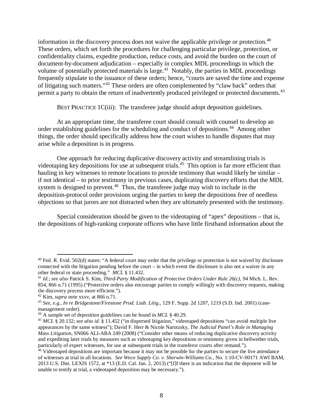information in the discovery process does not waive the applicable privilege or protection.<sup>[40](#page-17-0)</sup> These orders, which set forth the procedures for challenging particular privilege, protection, or confidentiality claims, expedite production, reduce costs, and avoid the burden on the court of document-by-document adjudication – especially in complex MDL proceedings in which the volume of potentially protected materials is large.<sup>[41](#page-17-1)</sup> Notably, the parties in MDL proceedings frequently stipulate to the issuance of these orders; hence, "courts are saved the time and expense of litigating such matters."[42](#page-17-2) These orders are often complemented by "claw back" orders that permit a party to obtain the return of inadvertently produced privileged or protected documents.<sup>[43](#page-17-3)</sup>

BEST PRACTICE 1C(iii): The transferee judge should adopt deposition guidelines.

At an appropriate time, the transferee court should consult with counsel to develop an order establishing guidelines for the scheduling and conduct of depositions.<sup>[44](#page-17-4)</sup> Among other things, the order should specifically address how the court wishes to handle disputes that may arise while a deposition is in progress.

One approach for reducing duplicative discovery activity and streamlining trials is videotaping key depositions for use at subsequent trials.<sup>[45](#page-17-5)</sup> This option is far more efficient than hauling in key witnesses to remote locations to provide testimony that would likely be similar – if not identical – to prior testimony in previous cases, duplicating discovery efforts that the MDL system is designed to prevent.<sup>46</sup> Thus, the transferee judge may wish to include in the deposition-protocol order provisions urging the parties to keep the depositions free of needless objections so that jurors are not distracted when they are ultimately presented with the testimony.

Special consideration should be given to the videotaping of "apex" depositions – that is, the depositions of high-ranking corporate officers who have little firsthand information about the

<span id="page-17-0"></span> $40$  Fed. R. Evid. 502(d) states: "A federal court may order that the privilege or protection is not waived by disclosure connected with the litigation pending before the court – in which event the disclosure is also not a waiver in any other federal or state proceeding." *MCL* § 11.432. 41 *Id.*; *see also* Patrick S. Kim, *Third-Party Modification of Protective Orders Under Rule 26(c)*, 94 Mich. L. Rev.

<span id="page-17-1"></span><sup>854, 866</sup> n.71 (1995) ("Protective orders also encourage parties to comply willingly with discovery requests, making the discovery process more efficient."). 42 Kim, *supra* note xxxv, at 866 n.71.

<span id="page-17-3"></span><span id="page-17-2"></span><sup>43</sup> *See, e.g., In re Bridgestone/Firestone Prod. Liab. Litig.,* 129 F. Supp. 2d 1207, 1219 (S.D. Ind. 2001) (casemanagement order).

<span id="page-17-4"></span><sup>44</sup> A sample set of deposition guidelines can be found in *MCL* § 40.29.

<span id="page-17-5"></span><sup>45</sup> *MCL* § 20.132; *see also id.* § 11.452 ("in dispersed litigation," videotaped depositions "can avoid multiple live appearances by the same witness"); David F. Herr & Nicole Narotzsky, *The Judicial Panel's Role in Managing Mass Litigation*, SN066 ALI-ABA 249 (2008) ("Consider other means of reducing duplicative discovery activity and expediting later trials by measures such as videotaping key depositions or testimony given in bellwether trials, particularly of expert witnesses, for use at subsequent trials in the transferor courts after remand.").

<span id="page-17-6"></span><sup>&</sup>lt;sup>46</sup> Videotaped depositions are important because it may not be possible for the parties to secure the live attendance of witnesses at trial in all locations. *See Weco Supply Co. v. Sherwin-Williams Co.*, No. 1:10-CV-00171 AWI BAM, 2013 U.S. Dist. LEXIS 1572, at \*13 (E.D. Cal. Jan. 2, 2013) ("[I]f there is an indication that the deponent will be unable to testify at trial, a videotaped deposition may be necessary.").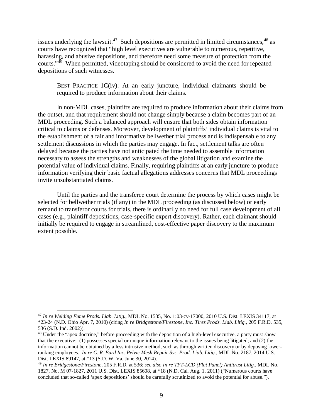issues underlying the lawsuit.<sup>[47](#page-18-0)</sup> Such depositions are permitted in limited circumstances,  $48$  as courts have recognized that "high level executives are vulnerable to numerous, repetitive, harassing, and abusive depositions, and therefore need some measure of protection from the courts."[49](#page-18-2) When permitted, videotaping should be considered to avoid the need for repeated depositions of such witnesses.

BEST PRACTICE 1C(iv): At an early juncture, individual claimants should be required to produce information about their claims.

In non-MDL cases, plaintiffs are required to produce information about their claims from the outset, and that requirement should not change simply because a claim becomes part of an MDL proceeding. Such a balanced approach will ensure that both sides obtain information critical to claims or defenses. Moreover, development of plaintiffs' individual claims is vital to the establishment of a fair and informative bellwether trial process and is indispensable to any settlement discussions in which the parties may engage. In fact, settlement talks are often delayed because the parties have not anticipated the time needed to assemble information necessary to assess the strengths and weaknesses of the global litigation and examine the potential value of individual claims. Finally, requiring plaintiffs at an early juncture to produce information verifying their basic factual allegations addresses concerns that MDL proceedings invite unsubstantiated claims.

Until the parties and the transferee court determine the process by which cases might be selected for bellwether trials (if any) in the MDL proceeding (as discussed below) or early remand to transferor courts for trials, there is ordinarily no need for full case development of all cases (e.g., plaintiff depositions, case-specific expert discovery). Rather, each claimant should initially be required to engage in streamlined, cost-effective paper discovery to the maximum extent possible.

<span id="page-18-0"></span> <sup>47</sup> *In re Welding Fume Prods. Liab. Litig.*, MDL No. 1535, No. 1:03-cv-17000, 2010 U.S. Dist. LEXIS 34117, at \*23-24 (N.D. Ohio Apr. 7, 2010) (citing *In re Bridgestone/Firestone, Inc. Tires Prods. Liab. Litig.*, 205 F.R.D. 535, 536 (S.D. Ind. 2002)).

<span id="page-18-1"></span><sup>&</sup>lt;sup>48</sup> Under the "apex doctrine," before proceeding with the deposition of a high-level executive, a party must show that the executive: (1) possesses special or unique information relevant to the issues being litigated; and (2) the information cannot be obtained by a less intrusive method, such as through written discovery or by deposing lowerranking employees. *In re C. R. Bard Inc. Pelvic Mesh Repair Sys. Prod. Liab. Litig.*, MDL No. 2187, 2014 U.S. Dist. LEXIS 89147, at \*13 (S.D. W. Va. June 30, 2014).

<span id="page-18-2"></span><sup>49</sup> *In re Bridgestone/Firestone*, 205 F.R.D. at 536; *see also In re TFT-LCD (Flat Panel) Antitrust Litig.*, MDL No. 1827, No. M 07-1827, 2011 U.S. Dist. LEXIS 85608, at \*18 (N.D. Cal. Aug. 1, 2011) ("Numerous courts have concluded that so-called 'apex depositions' should be carefully scrutinized to avoid the potential for abuse.").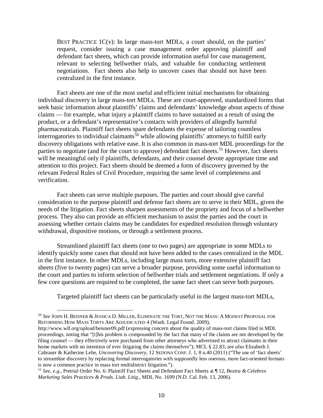BEST PRACTICE  $1C(v)$ : In large mass-tort MDLs, a court should, on the parties' request, consider issuing a case management order approving plaintiff and defendant fact sheets, which can provide information useful for case management, relevant to selecting bellwether trials, and valuable for conducting settlement negotiations. Fact sheets also help to uncover cases that should not have been centralized in the first instance.

Fact sheets are one of the most useful and efficient initial mechanisms for obtaining individual discovery in large mass-tort MDLs. These are court-approved, standardized forms that seek basic information about plaintiffs' claims and defendants' knowledge about aspects of those claims — for example, what injury a plaintiff claims to have sustained as a result of using the product, or a defendant's representative's contacts with providers of allegedly harmful pharmaceuticals. Plaintiff fact sheets spare defendants the expense of tailoring countless interrogatories to individual claimants<sup>[50](#page-19-0)</sup> while allowing plaintiffs' attorneys to fulfill early discovery obligations with relative ease. It is also common in mass-tort MDL proceedings for the parties to negotiate (and for the court to approve) defendant fact sheets.<sup>[51](#page-19-1)</sup> However, fact sheets will be meaningful only if plaintiffs, defendants, and their counsel devote appropriate time and attention to this project. Fact sheets should be deemed a form of discovery governed by the relevant Federal Rules of Civil Procedure, requiring the same level of completeness and verification.

Fact sheets can serve multiple purposes. The parties and court should give careful consideration to the purpose plaintiff and defense fact sheets are to serve in their MDL, given the needs of the litigation. Fact sheets sharpen assessments of the propriety and focus of a bellwether process. They also can provide an efficient mechanism to assist the parties and the court in assessing whether certain claims may be candidates for expedited resolution through voluntary withdrawal, dispositive motions, or through a settlement process.

Streamlined plaintiff fact sheets (one to two pages) are appropriate in some MDLs to identify quickly some cases that should not have been added to the cases centralized in the MDL in the first instance. In other MDLs, including large mass torts, more extensive plaintiff fact sheets (five to twenty pages) can serve a broader purpose, providing some useful information to the court and parties to inform selection of bellwether trials and settlement negotiations. If only a few core questions are required to be completed, the same fact sheet can serve both purposes.

Targeted plaintiff fact sheets can be particularly useful in the largest mass-tort MDLs,

<span id="page-19-0"></span> <sup>50</sup> *See* JOHN H. BEISNER & JESSICA D. MILLER, ELIMINATE THE TORT, NOT THE MASS: <sup>A</sup> MODEST PROPOSAL FOR REFORMING HOW MASS TORTS ARE ADJUDICATED 4 (Wash. Legal Found. 2009),

http://www.wlf.org/upload/beisner09.pdf (expressing concern about the quality of mass-tort claims filed in MDL proceedings, noting that "[t]his problem is compounded by the fact that many of the claims are not developed by the filing counsel — they effectively were purchased from other attorneys who advertised to attract claimants in their home markets with no intention of ever litigating the claims themselves"); MCL § 22.83; *see also* Elizabeth J. Cabraser & Katherine Lehe, *Uncovering Discovery*, 12 SEDONA CONF. J. 1, 8 n.40 (2011) ("The use of 'fact sheets' to streamline discovery by replacing formal interrogatories with supposedly less onerous, more fact-oriented formats is now a common practice in mass tort multidistrict litigation.").

<span id="page-19-1"></span><sup>51</sup> *See, e.g.*, Pretrial Order No. 6: Plaintiff Fact Sheets and Defendant Fact Sheets at ¶ 12, *Bextra & Celebrex Marketing Sales Practices & Prods. Liab. Litig*., MDL No. 1699 (N.D. Cal. Feb. 13, 2006).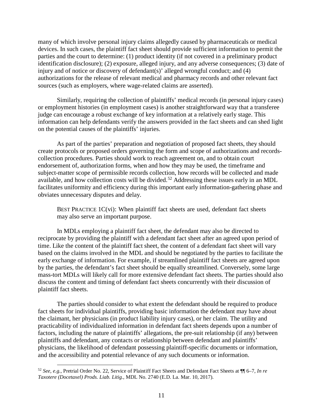many of which involve personal injury claims allegedly caused by pharmaceuticals or medical devices. In such cases, the plaintiff fact sheet should provide sufficient information to permit the parties and the court to determine: (1) product identity (if not covered in a preliminary product identification disclosure); (2) exposure, alleged injury, and any adverse consequences; (3) date of injury and of notice or discovery of defendant(s)' alleged wrongful conduct; and (4) authorizations for the release of relevant medical and pharmacy records and other relevant fact sources (such as employers, where wage-related claims are asserted).

Similarly, requiring the collection of plaintiffs' medical records (in personal injury cases) or employment histories (in employment cases) is another straightforward way that a transferee judge can encourage a robust exchange of key information at a relatively early stage. This information can help defendants verify the answers provided in the fact sheets and can shed light on the potential causes of the plaintiffs' injuries.

As part of the parties' preparation and negotiation of proposed fact sheets, they should create protocols or proposed orders governing the form and scope of authorizations and recordscollection procedures. Parties should work to reach agreement on, and to obtain court endorsement of, authorization forms, when and how they may be used, the timeframe and subject-matter scope of permissible records collection, how records will be collected and made available, and how collection costs will be divided.<sup>[52](#page-20-0)</sup> Addressing these issues early in an MDL facilitates uniformity and efficiency during this important early information-gathering phase and obviates unnecessary disputes and delay.

BEST PRACTICE 1C(vi): When plaintiff fact sheets are used, defendant fact sheets may also serve an important purpose.

In MDLs employing a plaintiff fact sheet, the defendant may also be directed to reciprocate by providing the plaintiff with a defendant fact sheet after an agreed upon period of time. Like the content of the plaintiff fact sheet, the content of a defendant fact sheet will vary based on the claims involved in the MDL and should be negotiated by the parties to facilitate the early exchange of information. For example, if streamlined plaintiff fact sheets are agreed upon by the parties, the defendant's fact sheet should be equally streamlined. Conversely, some large mass-tort MDLs will likely call for more extensive defendant fact sheets. The parties should also discuss the content and timing of defendant fact sheets concurrently with their discussion of plaintiff fact sheets.

The parties should consider to what extent the defendant should be required to produce fact sheets for individual plaintiffs, providing basic information the defendant may have about the claimant, her physicians (in product liability injury cases), or her claim. The utility and practicability of individualized information in defendant fact sheets depends upon a number of factors, including the nature of plaintiffs' allegations, the pre-suit relationship (if any) between plaintiffs and defendant, any contacts or relationship between defendant and plaintiffs' physicians, the likelihood of defendant possessing plaintiff-specific documents or information, and the accessibility and potential relevance of any such documents or information.

<span id="page-20-0"></span> <sup>52</sup> *See, e.g.*, Pretrial Order No. 22, Service of Plaintiff Fact Sheets and Defendant Fact Sheets at ¶¶ 6–7, *In re Taxotere (Docetaxel) Prods. Liab. Litig.*, MDL No. 2740 (E.D. La. Mar. 10, 2017).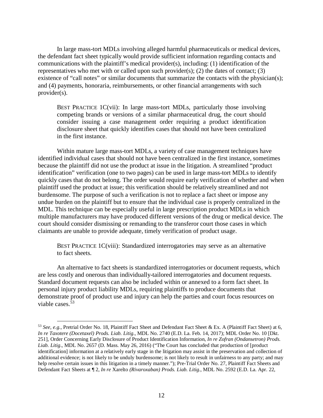In large mass-tort MDLs involving alleged harmful pharmaceuticals or medical devices, the defendant fact sheet typically would provide sufficient information regarding contacts and communications with the plaintiff's medical provider(s), including: (1) identification of the representatives who met with or called upon such provider(s); (2) the dates of contact; (3) existence of "call notes" or similar documents that summarize the contacts with the physician(s); and (4) payments, honoraria, reimbursements, or other financial arrangements with such provider(s).

BEST PRACTICE 1C(vii): In large mass-tort MDLs, particularly those involving competing brands or versions of a similar pharmaceutical drug, the court should consider issuing a case management order requiring a product identification disclosure sheet that quickly identifies cases that should not have been centralized in the first instance.

Within mature large mass-tort MDLs, a variety of case management techniques have identified individual cases that should not have been centralized in the first instance, sometimes because the plaintiff did not use the product at issue in the litigation. A streamlined "product identification" verification (one to two pages) can be used in large mass-tort MDLs to identify quickly cases that do not belong. The order would require early verification of whether and when plaintiff used the product at issue; this verification should be relatively streamlined and not burdensome. The purpose of such a verification is not to replace a fact sheet or impose any undue burden on the plaintiff but to ensure that the individual case is properly centralized in the MDL. This technique can be especially useful in large prescription product MDLs in which multiple manufacturers may have produced different versions of the drug or medical device. The court should consider dismissing or remanding to the transferor court those cases in which claimants are unable to provide adequate, timely verification of product usage.

BEST PRACTICE 1C(viii): Standardized interrogatories may serve as an alternative to fact sheets.

An alternative to fact sheets is standardized interrogatories or document requests, which are less costly and onerous than individually-tailored interrogatories and document requests. Standard document requests can also be included within or annexed to a form fact sheet. In personal injury product liability MDLs, requiring plaintiffs to produce documents that demonstrate proof of product use and injury can help the parties and court focus resources on viable cases.[53](#page-21-0)

<span id="page-21-0"></span> <sup>53</sup> *See, e.g.*, Pretrial Order No. 18, Plaintiff Fact Sheet and Defendant Fact Sheet & Ex. A (Plaintiff Fact Sheet) at 6, *In re Taxotere (Docetaxel) Prods. Liab. Litig*., MDL No. 2740 (E.D. La. Feb. 14, 2017); MDL Order No. 10 [Dkt. 251], Order Concerning Early Disclosure of Product Identification Information, *In re Zofran (Ondansetron) Prods. Liab. Litig*., MDL No. 2657 (D. Mass. May 26, 2016) ("The Court has concluded that production of [product identification] information at a relatively early stage in the litigation may assist in the preservation and collection of additional evidence; is not likely to be unduly burdensome; is not likely to result in unfairness to any party; and may help resolve certain issues in this litigation in a timely manner."); Pre-Trial Order No. 27, Plaintiff Fact Sheets and Defendant Fact Sheets at ¶ 2, *In re* Xarelto *(Rivaroxaban) Prods. Liab. Litig*., MDL No. 2592 (E.D. La. Apr. 22,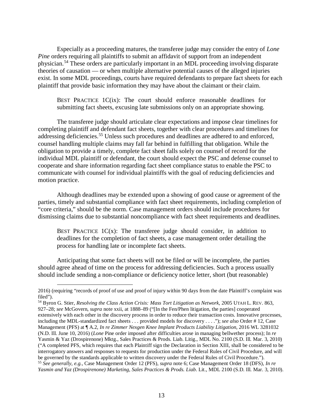Especially as a proceeding matures, the transferee judge may consider the entry of *Lone Pine* orders requiring all plaintiffs to submit an affidavit of support from an independent physician.[54](#page-22-0) These orders are particularly important in an MDL proceeding involving disparate theories of causation — or when multiple alternative potential causes of the alleged injuries exist. In some MDL proceedings, courts have required defendants to prepare fact sheets for each plaintiff that provide basic information they may have about the claimant or their claim.

BEST PRACTICE 1C(ix): The court should enforce reasonable deadlines for submitting fact sheets, excusing late submissions only on an appropriate showing.

The transferee judge should articulate clear expectations and impose clear timelines for completing plaintiff and defendant fact sheets, together with clear procedures and timelines for addressing deficiencies.<sup>[55](#page-22-1)</sup> Unless such procedures and deadlines are adhered to and enforced, counsel handling multiple claims may fall far behind in fulfilling that obligation. While the obligation to provide a timely, complete fact sheet falls solely on counsel of record for the individual MDL plaintiff or defendant, the court should expect the PSC and defense counsel to cooperate and share information regarding fact sheet compliance status to enable the PSC to communicate with counsel for individual plaintiffs with the goal of reducing deficiencies and motion practice.

Although deadlines may be extended upon a showing of good cause or agreement of the parties, timely and substantial compliance with fact sheet requirements, including completion of "core criteria," should be the norm. Case management orders should include procedures for dismissing claims due to substantial noncompliance with fact sheet requirements and deadlines.

BEST PRACTICE  $1C(x)$ : The transferee judge should consider, in addition to deadlines for the completion of fact sheets, a case management order detailing the process for handling late or incomplete fact sheets.

Anticipating that some fact sheets will not be filed or will be incomplete, the parties should agree ahead of time on the process for addressing deficiencies. Such a process usually should include sending a non-compliance or deficiency notice letter, short (but reasonable)

 <sup>2016) (</sup>requiring "records of proof of use and proof of injury within 90 days from the date Plaintiff's complaint was filed").

<span id="page-22-1"></span><span id="page-22-0"></span><sup>54</sup> Byron G. Stier, *Resolving the Class Action Crisis: Mass Tort Litigation as Network*, 2005 UTAH L. REV. 863, 927–28; *see* McGovern, *supra* note xxii, at 1888–89 ("[In the Fen/Phen litigation, the parties] cooperated extensively with each other in the discovery process in order to reduce their transaction costs. Innovative processes, including the MDL-standardized fact sheets . . . provided models for discovery . . . ."); *see also* Order # 12, Case Management (PFS) at ¶ A.2, *In re Zimmer Nexgen Knee Implant Products Liability Litigation*, 2016 WL 3281032 (N.D. Ill. June 10, 2016) (*Lone* Pine order imposed after difficulties arose in managing bellwether process); In *re* Yasmin & Yaz (Drospirenone) Mktg., Sales Practices & Prods. Liab. Litig., MDL No. 2100 (S.D. Ill. Mar. 3, 2010) ("A completed PFS, which requires that each Plaintiff sign the Declaration in Section XIII, shall be considered to be interrogatory answers and responses to requests for production under the Federal Rules of Civil Procedure, and will be governed by the standards applicable to written discovery under the Federal Rules of Civil Procedure."). <sup>55</sup> *See generally, e.g.*, Case Management Order 12 (PFS), *supra* note 6; Case Management Order 18 (DFS), *In re Yasmin and Yaz (Drospirenone) Marketing, Sales Practices & Prods. Liab*. Lit., MDL 2100 (S.D. Ill. Mar. 3, 2010).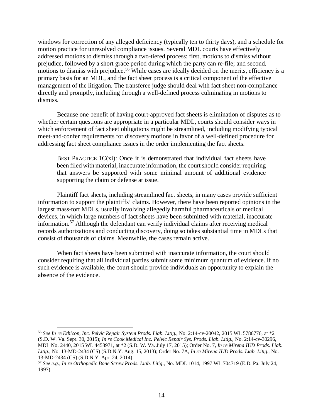windows for correction of any alleged deficiency (typically ten to thirty days), and a schedule for motion practice for unresolved compliance issues. Several MDL courts have effectively addressed motions to dismiss through a two-tiered process: first, motions to dismiss without prejudice, followed by a short grace period during which the party can re-file; and second, motions to dismiss with prejudice.<sup>[56](#page-23-0)</sup> While cases are ideally decided on the merits, efficiency is a primary basis for an MDL, and the fact sheet process is a critical component of the effective management of the litigation. The transferee judge should deal with fact sheet non-compliance directly and promptly, including through a well-defined process culminating in motions to dismiss.

Because one benefit of having court-approved fact sheets is elimination of disputes as to whether certain questions are appropriate in a particular MDL, courts should consider ways in which enforcement of fact sheet obligations might be streamlined, including modifying typical meet-and-confer requirements for discovery motions in favor of a well-defined procedure for addressing fact sheet compliance issues in the order implementing the fact sheets.

BEST PRACTICE  $1C(x)$ : Once it is demonstrated that individual fact sheets have been filed with material, inaccurate information, the court should consider requiring that answers be supported with some minimal amount of additional evidence supporting the claim or defense at issue.

Plaintiff fact sheets, including streamlined fact sheets, in many cases provide sufficient information to support the plaintiffs' claims. However, there have been reported opinions in the largest mass-tort MDLs, usually involving allegedly harmful pharmaceuticals or medical devices, in which large numbers of fact sheets have been submitted with material, inaccurate information.[57](#page-23-1) Although the defendant can verify individual claims after receiving medical records authorizations and conducting discovery, doing so takes substantial time in MDLs that consist of thousands of claims. Meanwhile, the cases remain active.

When fact sheets have been submitted with inaccurate information, the court should consider requiring that all individual parties submit some minimum quantum of evidence. If no such evidence is available, the court should provide individuals an opportunity to explain the absence of the evidence.

<span id="page-23-0"></span> <sup>56</sup> *See In re Ethicon, Inc. Pelvic Repair System Prods. Liab. Litig*., No. 2:14-cv-20042, 2015 WL 5786776, at \*2 (S.D. W. Va. Sept. 30, 2015); *In re Cook Medical Inc. Pelvic Repair Sys. Prods. Liab. Litig*., No. 2:14-cv-30296, MDL No. 2440, 2015 WL 4458971, at \*2 (S.D. W. Va. July 17, 2015); Order No. 7, *In re Mirena IUD Prods. Liab. Litig*., No. 13-MD-2434 (CS) (S.D.N.Y. Aug. 15, 2013); Order No. 7A, *In re Mirena IUD Prods. Liab. Litig*., No. 13-MD-2434 (CS) (S.D.N.Y. Apr. 24, 2014).

<span id="page-23-1"></span><sup>57</sup> *See e.g.*, *In re Orthopedic Bone Screw Prods. Liab. Litig*., No. MDL 1014, 1997 WL 704719 (E.D. Pa. July 24, 1997).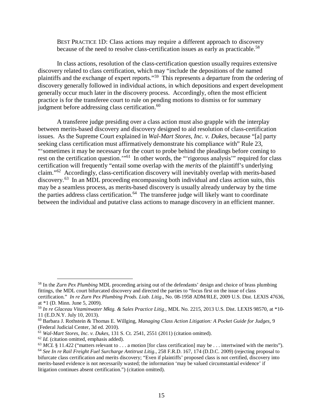BEST PRACTICE 1D: Class actions may require a different approach to discovery because of the need to resolve class-certification issues as early as practicable.<sup>[58](#page-24-0)</sup>

In class actions, resolution of the class-certification question usually requires extensive discovery related to class certification, which may "include the depositions of the named plaintiffs and the exchange of expert reports."<sup>59</sup> This represents a departure from the ordering of discovery generally followed in individual actions, in which depositions and expert development generally occur much later in the discovery process. Accordingly, often the most efficient practice is for the transferee court to rule on pending motions to dismiss or for summary judgment before addressing class certification.<sup>[60](#page-24-2)</sup>

A transferee judge presiding over a class action must also grapple with the interplay between merits-based discovery and discovery designed to aid resolution of class-certification issues. As the Supreme Court explained in *Wal-Mart Stores, Inc. v. Dukes*, because "[a] party seeking class certification must affirmatively demonstrate his compliance with" Rule 23, "'sometimes it may be necessary for the court to probe behind the pleadings before coming to rest on the certification question."<sup>[61](#page-24-3)</sup> In other words, the "'rigorous analysis'" required for class certification will frequently "entail some overlap with the *merits* of the plaintiff's underlying claim."[62](#page-24-4) Accordingly, class-certification discovery will inevitably overlap with merits-based discovery.<sup>[63](#page-24-5)</sup> In an MDL proceeding encompassing both individual and class action suits, this may be a seamless process, as merits-based discovery is usually already underway by the time the parties address class certification.<sup>[64](#page-24-6)</sup> The transferee judge will likely want to coordinate between the individual and putative class actions to manage discovery in an efficient manner.

<span id="page-24-0"></span> <sup>58</sup> In the *Zurn Pex Plumbing* MDL proceeding arising out of the defendants' design and choice of brass plumbing fittings, the MDL court bifurcated discovery and directed the parties to "focus first on the issue of class certification." *In re Zurn Pex Plumbing Prods. Liab. Litig*., No. 08-1958 ADM/RLE, 2009 U.S. Dist. LEXIS 47636,

at \*1 (D. Minn. June 5, 2009).

<span id="page-24-1"></span><sup>59</sup> *In re Glaceau Vitaminwater Mktg. & Sales Practice Litig.*, MDL No. 2215, 2013 U.S. Dist. LEXIS 98570, at \*10- 11 (E.D.N.Y. July 10, 2013).

<span id="page-24-2"></span><sup>60</sup> Barbara J. Rothstein & Thomas E. Willging, *Managing Class Action Litigation: A Pocket Guide for Judges,* 9 (Federal Judicial Center, 3d ed. 2010).

<span id="page-24-3"></span><sup>61</sup> *Wal-Mart Stores, Inc. v. Dukes*, 131 S. Ct. 2541, 2551 (2011) (citation omitted).

<span id="page-24-4"></span><sup>62</sup> *Id.* (citation omitted, emphasis added).

<span id="page-24-5"></span> $^{63}$  *MCL* § 11.422 ("matters relevant to . . . a motion [for class certification] may be . . . intertwined with the merits"). <sup>64</sup> *See In re Rail Freight Fuel Surcharge Antitrust Litig.*, 258 F.R.D. 167, 174 (D.D.C. 2009) (rejecting proposal to

<span id="page-24-6"></span>bifurcate class certification and merits discovery; "Even if plaintiffs' proposed class is not certified, discovery into merits-based evidence is not necessarily wasted; the information 'may be valued circumstantial evidence' if litigation continues absent certification.") (citation omitted).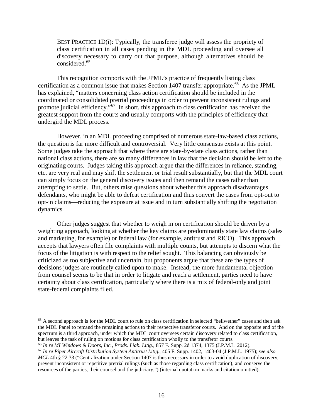BEST PRACTICE 1D(i): Typically, the transferee judge will assess the propriety of class certification in all cases pending in the MDL proceeding and oversee all discovery necessary to carry out that purpose, although alternatives should be considered.[65](#page-25-0)

This recognition comports with the JPML's practice of frequently listing class certification as a common issue that makes Section 1407 transfer appropriate.<sup>66</sup> As the JPML has explained, "matters concerning class action certification should be included in the coordinated or consolidated pretrial proceedings in order to prevent inconsistent rulings and promote judicial efficiency."<sup>67</sup> In short, this approach to class certification has received the greatest support from the courts and usually comports with the principles of efficiency that undergird the MDL process.

However, in an MDL proceeding comprised of numerous state-law-based class actions, the question is far more difficult and controversial. Very little consensus exists at this point. Some judges take the approach that where there are state-by-state class actions, rather than national class actions, there are so many differences in law that the decision should be left to the originating courts. Judges taking this approach argue that the differences in reliance, standing, etc. are very real and may shift the settlement or trial result substantially, but that the MDL court can simply focus on the general discovery issues and then remand the cases rather than attempting to settle. But, others raise questions about whether this approach disadvantages defendants, who might be able to defeat certification and thus convert the cases from opt-out to opt-in claims—reducing the exposure at issue and in turn substantially shifting the negotiation dynamics.

Other judges suggest that whether to weigh in on certification should be driven by a weighting approach, looking at whether the key claims are predominantly state law claims (sales and marketing, for example) or federal law (for example, antitrust and RICO). This approach accepts that lawyers often file complaints with multiple counts, but attempts to discern what the focus of the litigation is with respect to the relief sought. This balancing can obviously be criticized as too subjective and uncertain, but proponents argue that these are the types of decisions judges are routinely called upon to make. Instead, the more fundamental objection from counsel seems to be that in order to litigate and reach a settlement, parties need to have certainty about class certification, particularly where there is a mix of federal-only and joint state-federal complaints filed.

<span id="page-25-0"></span><sup>&</sup>lt;sup>65</sup> A second approach is for the MDL court to rule on class certification in selected "bellwether" cases and then ask the MDL Panel to remand the remaining actions to their respective transferor courts. And on the opposite end of the spectrum is a third approach, under which the MDL court oversees certain discovery related to class certification, but leaves the task of ruling on motions for class certification wholly to the transferor courts.

<span id="page-25-2"></span><span id="page-25-1"></span><sup>66</sup> *In re MI Windows & Doors, Inc., Prods. Liab. Litig.*, 857 F. Supp. 2d 1374, 1375 (J.P.M.L. 2012). <sup>67</sup> *In re Piper Aircraft Distribution System Antitrust Litig.*, 405 F. Supp. 1402, 1403-04 (J.P.M.L. 1975); *see also MCL* 4th § 22.33 ("Centralization under Section 1407 is thus necessary in order to avoid duplication of discovery, prevent inconsistent or repetitive pretrial rulings (such as those regarding class certification), and conserve the resources of the parties, their counsel and the judiciary.") (internal quotation marks and citation omitted).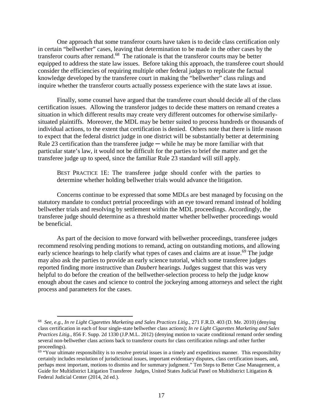One approach that some transferor courts have taken is to decide class certification only in certain "bellwether" cases, leaving that determination to be made in the other cases by the transferor courts after remand.[68](#page-26-0) The rationale is that the transferor courts may be better equipped to address the state law issues. Before taking this approach, the transferee court should consider the efficiencies of requiring multiple other federal judges to replicate the factual knowledge developed by the transferee court in making the "bellwether" class rulings and inquire whether the transferor courts actually possess experience with the state laws at issue.

Finally, some counsel have argued that the transferee court should decide all of the class certification issues. Allowing the transferor judges to decide these matters on remand creates a situation in which different results may create very different outcomes for otherwise similarlysituated plaintiffs. Moreover, the MDL may be better suited to process hundreds or thousands of individual actions, to the extent that certification is denied. Others note that there is little reason to expect that the federal district judge in one district will be substantially better at determining Rule 23 certification than the transferee judge — while he may be more familiar with that particular state's law, it would not be difficult for the parties to brief the matter and get the transferee judge up to speed, since the familiar Rule 23 standard will still apply.

BEST PRACTICE 1E: The transferee judge should confer with the parties to determine whether holding bellwether trials would advance the litigation.

Concerns continue to be expressed that some MDLs are best managed by focusing on the statutory mandate to conduct pretrial proceedings with an eye toward remand instead of holding bellwether trials and resolving by settlement within the MDL proceedings. Accordingly, the transferee judge should determine as a threshold matter whether bellwether proceedings would be beneficial.

As part of the decision to move forward with bellwether proceedings, transferee judges recommend resolving pending motions to remand, acting on outstanding motions, and allowing early science hearings to help clarify what types of cases and claims are at issue.<sup>[69](#page-26-1)</sup> The judge may also ask the parties to provide an early science tutorial, which some transferee judges reported finding more instructive than *Daubert* hearings. Judges suggest that this was very helpful to do before the creation of the bellwether-selection process to help the judge know enough about the cases and science to control the jockeying among attorneys and select the right process and parameters for the cases.

<span id="page-26-0"></span> <sup>68</sup> *See, e.g., In re Light Cigarettes Marketing and Sales Practices Litig.*, 271 F.R.D. 403 (D. Me. 2010) (denying class certification in each of four single-state bellwether class actions); *In re Light Cigarettes Marketing and Sales Practices Litig.*, 856 F. Supp. 2d 1330 (J.P.M.L. 2012) (denying motion to vacate conditional remand order sending several non-bellwether class actions back to transferor courts for class certification rulings and other further proceedings).

<span id="page-26-1"></span> $69$  "Your ultimate responsibility is to resolve pretrial issues in a timely and expeditious manner. This responsibility certainly includes resolution of jurisdictional issues, important evidentiary disputes, class certification issues, and, perhaps most important, motions to dismiss and for summary judgment." Ten Steps to Better Case Management, a Guide for Multidistrict Litigation Transferee Judges, United States Judicial Panel on Multidistrict Litigation & Federal Judicial Center (2014, 2d ed.).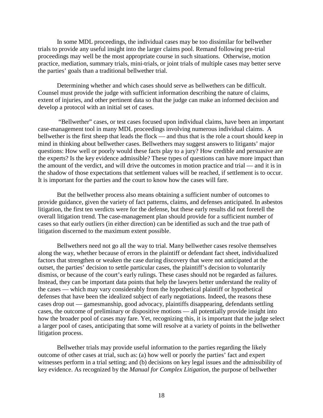In some MDL proceedings, the individual cases may be too dissimilar for bellwether trials to provide any useful insight into the larger claims pool. Remand following pre-trial proceedings may well be the most appropriate course in such situations. Otherwise, motion practice, mediation, summary trials, mini-trials, or joint trials of multiple cases may better serve the parties' goals than a traditional bellwether trial.

Determining whether and which cases should serve as bellwethers can be difficult. Counsel must provide the judge with sufficient information describing the nature of claims, extent of injuries, and other pertinent data so that the judge can make an informed decision and develop a protocol with an initial set of cases.

"Bellwether" cases, or test cases focused upon individual claims, have been an important case-management tool in many MDL proceedings involving numerous individual claims. A bellwether is the first sheep that leads the flock — and thus that is the role a court should keep in mind in thinking about bellwether cases. Bellwethers may suggest answers to litigants' major questions: How well or poorly would these facts play to a jury? How credible and persuasive are the experts? Is the key evidence admissible? These types of questions can have more impact than the amount of the verdict, and will drive the outcomes in motion practice and trial — and it is in the shadow of those expectations that settlement values will be reached, if settlement is to occur. It is important for the parties and the court to know how the cases will fare.

But the bellwether process also means obtaining a sufficient number of outcomes to provide guidance, given the variety of fact patterns, claims, and defenses anticipated. In asbestos litigation, the first ten verdicts were for the defense, but these early results did not foretell the overall litigation trend. The case-management plan should provide for a sufficient number of cases so that early outliers (in either direction) can be identified as such and the true path of litigation discerned to the maximum extent possible.

Bellwethers need not go all the way to trial. Many bellwether cases resolve themselves along the way, whether because of errors in the plaintiff or defendant fact sheet, individualized factors that strengthen or weaken the case during discovery that were not anticipated at the outset, the parties' decision to settle particular cases, the plaintiff's decision to voluntarily dismiss, or because of the court's early rulings. These cases should not be regarded as failures. Instead, they can be important data points that help the lawyers better understand the reality of the cases — which may vary considerably from the hypothetical plaintiff or hypothetical defenses that have been the idealized subject of early negotiations. Indeed, the reasons these cases drop out — gamesmanship, good advocacy, plaintiffs disappearing, defendants settling cases, the outcome of preliminary or dispositive motions — all potentially provide insight into how the broader pool of cases may fare. Yet, recognizing this, it is important that the judge select a larger pool of cases, anticipating that some will resolve at a variety of points in the bellwether litigation process.

Bellwether trials may provide useful information to the parties regarding the likely outcome of other cases at trial, such as: (a) how well or poorly the parties' fact and expert witnesses perform in a trial setting; and (b) decisions on key legal issues and the admissibility of key evidence. As recognized by the *Manual for Complex Litigation*, the purpose of bellwether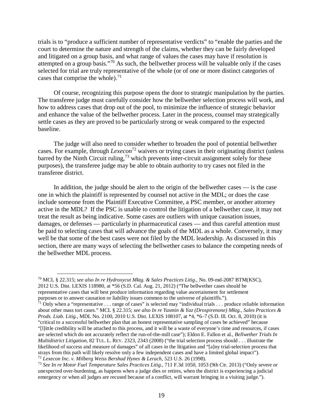trials is to "produce a sufficient number of representative verdicts" to "enable the parties and the court to determine the nature and strength of the claims, whether they can be fairly developed and litigated on a group basis, and what range of values the cases may have if resolution is attempted on a group basis."[70](#page-28-0) As such, the bellwether process will be valuable only if the cases selected for trial are truly representative of the whole (or of one or more distinct categories of cases that comprise the whole). $^{71}$  $^{71}$  $^{71}$ 

<span id="page-28-5"></span>Of course, recognizing this purpose opens the door to strategic manipulation by the parties. The transferee judge must carefully consider how the bellwether selection process will work, and how to address cases that drop out of the pool, to minimize the influence of strategic behavior and enhance the value of the bellwether process. Later in the process, counsel may strategically settle cases as they are proved to be particularly strong or weak compared to the expected baseline.

<span id="page-28-4"></span>The judge will also need to consider whether to broaden the pool of potential bellwether cases. For example, through *Lexecon*[72](#page-28-2) waivers or trying cases in their originating district (unless barred by the Ninth Circuit ruling,  $^{73}$  $^{73}$  $^{73}$  which prevents inter-circuit assignment solely for these purposes), the transferee judge may be able to obtain authority to try cases not filed in the transferee district.

In addition, the judge should be alert to the origin of the bellwether cases — is the case one in which the plaintiff is represented by counsel not active in the MDL; or does the case include someone from the Plaintiff Executive Committee, a PSC member, or another attorney active in the MDL? If the PSC is unable to control the litigation of a bellwether case, it may not treat the result as being indicative. Some cases are outliers with unique causation issues, damages, or defenses — particularly in pharmaceutical cases — and thus careful attention must be paid to selecting cases that will advance the goals of the MDL as a whole. Conversely, it may well be that some of the best cases were not filed by the MDL leadership. As discussed in this section, there are many ways of selecting the bellwether cases to balance the competing needs of the bellwether MDL process.

<span id="page-28-1"></span><sup>71</sup> Only when a "representative  $\dots$  range of cases" is selected may "individual trials  $\dots$  produce reliable information about other mass tort cases." MCL § 22.315; *see also In re Yasmin & Yaz (Drospirenone) Mktg., Sales Practices & Prods. Liab. Litig*., MDL No. 2100, 2010 U.S. Dist. LEXIS 108107, at \*4, \*6–7 (S.D. Ill. Oct. 8, 2010) (it is "critical to a successful bellwether plan that an honest representative sampling of cases be achieved" because "[l]ittle credibility will be attached to this process, and it will be a waste of everyone's time and resources, if cases are selected which do not accurately reflect the run-of-the-mill case"); Eldon E. Fallon et al., *Bellwether Trials In Multidistrict Litigation*, 82 TUL. L. REV. 2323, 2343 (2008) ("the trial selection process should . . . illustrate the likelihood of success and measure of damages" of all cases in the litigation and "[a]ny trial-selection process that strays from this path will likely resolve only a few independent cases and have a limited global impact").

<span id="page-28-0"></span> <sup>70</sup> MCL § 22.315; *see also In re Hydroxycut Mktg. & Sales Practices Litig*., No. 09-md-2087 BTM(KSC), 2012 U.S. Dist. LEXIS 118980, at \*56 (S.D. Cal. Aug. 21, 2012) ("The bellwether cases should be representative cases that will best produce information regarding value ascertainment for settlement purposes or to answer causation or liability issues common to the universe of plaintiffs.").

<span id="page-28-2"></span><sup>72</sup> *Lexecon Inc. v. Milberg Weiss Bershad Hynes & Lerach*, 523 U.S. 26 (1998).

<span id="page-28-3"></span><sup>73</sup> *See In re Motor Fuel Temperature Sales Practices Litig*., 711 F.3d 1050, 1053 (9th Cir. 2013) ("Only severe or unexpected over-burdening, as happens when a judge dies or retires, when the district is experiencing a judicial emergency or when all judges are recused because of a conflict, will warrant bringing in a visiting judge.").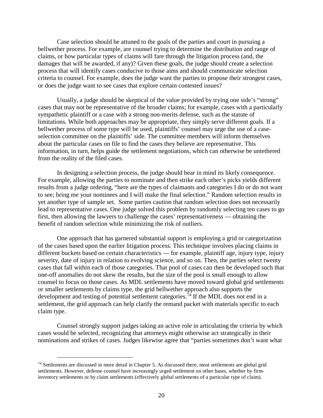Case selection should be attuned to the goals of the parties and court in pursuing a bellwether process. For example, are counsel trying to determine the distribution and range of claims, or how particular types of claims will fare through the litigation process (and, the damages that will be awarded, if any)? Given these goals, the judge should create a selection process that will identify cases conducive to those aims and should communicate selection criteria to counsel. For example, does the judge want the parties to propose their strongest cases, or does the judge want to see cases that explore certain contested issues?

Usually, a judge should be skeptical of the value provided by trying one side's "strong" cases that may not be representative of the broader claims; for example, cases with a particularly sympathetic plaintiff or a case with a strong non-merits defense, such as the statute of limitations. While both approaches may be appropriate, they simply serve different goals. If a bellwether process of some type will be used, plaintiffs' counsel may urge the use of a caseselection committee on the plaintiffs' side. The committee members will inform themselves about the particular cases on file to find the cases they believe are representative. This information, in turn, helps guide the settlement negotiations, which can otherwise be untethered from the reality of the filed cases.

In designing a selection process, the judge should bear in mind its likely consequence. For example, allowing the parties to nominate and then strike each other's picks yields different results from a judge ordering, "here are the types of claimants and categories I do or do not want to see; bring me your nominees and I will make the final selection." Random selection results in yet another type of sample set. Some parties caution that random selection does not necessarily lead to representative cases. One judge solved this problem by randomly selecting ten cases to go first, then allowing the lawyers to challenge the cases' representativeness — obtaining the benefit of random selection while minimizing the risk of outliers.

One approach that has garnered substantial support is employing a grid or categorization of the cases based upon the earlier litigation process. This technique involves placing claims in different buckets based on certain characteristics — for example, plaintiff age, injury type, injury severity, date of injury in relation to evolving science, and so on. Then, the parties select twenty cases that fall within each of those categories. That pool of cases can then be developed such that one-off anomalies do not skew the results, but the size of the pool is small enough to allow counsel to focus on those cases. As MDL settlements have moved toward global grid settlements or smaller settlements by claims type, the grid bellwether approach also supports the development and testing of potential settlement categories.<sup>[74](#page-29-0)</sup> If the MDL does not end in a settlement, the grid approach can help clarify the remand packet with materials specific to each claim type.

Counsel strongly support judges taking an active role in articulating the criteria by which cases would be selected, recognizing that attorneys might otherwise act strategically in their nominations and strikes of cases. Judges likewise agree that "parties sometimes don't want what

<span id="page-29-0"></span> <sup>74</sup> Settlements are discussed in more detail in Chapter 5. As discussed there, most settlements are global grid settlements. However, defense counsel have increasingly urged settlement on other bases, whether by firminventory settlements or by claim settlements (effectively global settlements of a particular type of claim).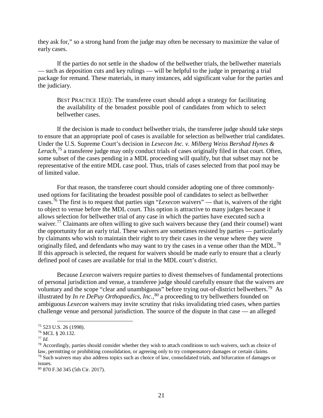they ask for," so a strong hand from the judge may often be necessary to maximize the value of early cases.

If the parties do not settle in the shadow of the bellwether trials, the bellwether materials — such as deposition cuts and key rulings — will be helpful to the judge in preparing a trial package for remand. These materials, in many instances, add significant value for the parties and the judiciary.

BEST PRACTICE 1E(i): The transferee court should adopt a strategy for facilitating the availability of the broadest possible pool of candidates from which to select bellwether cases.

If the decision is made to conduct bellwether trials, the transferee judge should take steps to ensure that an appropriate pool of cases is available for selection as bellwether trial candidates. Under the U.S. Supreme Court's decision in *Lexecon Inc. v. Milberg Weiss Bershad Hynes & Lerach*, [75](#page-30-0) a transferee judge may only conduct trials of cases originally filed in that court. Often, some subset of the cases pending in a MDL proceeding will qualify, but that subset may not be representative of the entire MDL case pool. Thus, trials of cases selected from that pool may be of limited value.

For that reason, the transferee court should consider adopting one of three commonlyused options for facilitating the broadest possible pool of candidates to select as bellwether cases.[76](#page-30-1) The first is to request that parties sign "*Lexecon* waivers" — that is, waivers of the right to object to venue before the MDL court. This option is attractive to many judges because it allows selection for bellwether trial of any case in which the parties have executed such a waiver.<sup>[77](#page-30-2)</sup> Claimants are often willing to give such waivers because they (and their counsel) want the opportunity for an early trial. These waivers are sometimes resisted by parties — particularly by claimants who wish to maintain their right to try their cases in the venue where they were originally filed, and defendants who may want to try the cases in a venue other than the MDL.<sup>[78](#page-30-3)</sup> If this approach is selected, the request for waivers should be made early to ensure that a clearly defined pool of cases are available for trial in the MDL court's district.

Because *Lexecon* waivers require parties to divest themselves of fundamental protections of personal jurisdiction and venue, a transferee judge should carefully ensure that the waivers are voluntary and the scope "clear and unambiguous" before trying out-of-district bellwethers.<sup>[79](#page-30-4)</sup> As illustrated by *In re DePuy Orthopaedics, Inc.*, [80](#page-30-5) a proceeding to try bellwethers founded on ambiguous *Lexecon* waivers may invite scrutiny that risks invalidating tried cases, when parties challenge venue and personal jurisdiction. The source of the dispute in that case — an alleged

<span id="page-30-0"></span> <sup>75</sup> 523 U.S. 26 (1998).

<span id="page-30-1"></span><sup>76</sup> MCL § 20.132.

<span id="page-30-2"></span><sup>77</sup> *Id.*

<span id="page-30-4"></span><span id="page-30-3"></span><sup>&</sup>lt;sup>78</sup> Accordingly, parties should consider whether they wish to attach conditions to such waivers, such as choice of law, permitting or prohibiting consolidation, or agreeing only to try compensatory damages or certain claims. <sup>79</sup> Such waivers may also address topics such as choice of law, consolidated trials, and bifurcation of damages or issues.

<span id="page-30-5"></span><sup>80</sup> 870 F.3d 345 (5th Cir. 2017).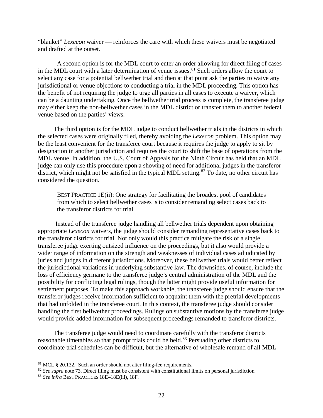"blanket" *Lexecon* waiver — reinforces the care with which these waivers must be negotiated and drafted at the outset.

A second option is for the MDL court to enter an order allowing for direct filing of cases in the MDL court with a later determination of venue issues. $81$  Such orders allow the court to select any case for a potential bellwether trial and then at that point ask the parties to waive any jurisdictional or venue objections to conducting a trial in the MDL proceeding. This option has the benefit of not requiring the judge to urge all parties in all cases to execute a waiver, which can be a daunting undertaking. Once the bellwether trial process is complete, the transferee judge may either keep the non-bellwether cases in the MDL district or transfer them to another federal venue based on the parties' views.

The third option is for the MDL judge to conduct bellwether trials in the districts in which the selected cases were originally filed, thereby avoiding the *Lexecon* problem. This option may be the least convenient for the transferee court because it requires the judge to apply to sit by designation in another jurisdiction and requires the court to shift the base of operations from the MDL venue. In addition, the U.S. Court of Appeals for the Ninth Circuit has held that an MDL judge can only use this procedure upon a showing of need for additional judges in the transferor district, which might not be satisfied in the typical MDL setting.<sup>[82](#page-31-1)</sup> To date, no other circuit has considered the question.

BEST PRACTICE 1E(ii): One strategy for facilitating the broadest pool of candidates from which to select bellwether cases is to consider remanding select cases back to the transferor districts for trial.

Instead of the transferee judge handling all bellwether trials dependent upon obtaining appropriate *Lexecon* waivers, the judge should consider remanding representative cases back to the transferor districts for trial. Not only would this practice mitigate the risk of a single transferee judge exerting outsized influence on the proceedings, but it also would provide a wider range of information on the strength and weaknesses of individual cases adjudicated by juries and judges in different jurisdictions. Moreover, these bellwether trials would better reflect the jurisdictional variations in underlying substantive law. The downsides, of course, include the loss of efficiency germane to the transferee judge's central administration of the MDL and the possibility for conflicting legal rulings, though the latter might provide useful information for settlement purposes. To make this approach workable, the transferee judge should ensure that the transferor judges receive information sufficient to acquaint them with the pretrial developments that had unfolded in the transferee court. In this context, the transferee judge should consider handling the first bellwether proceedings. Rulings on substantive motions by the transferee judge would provide added information for subsequent proceedings remanded to transferor districts.

The transferee judge would need to coordinate carefully with the transferor districts reasonable timetables so that prompt trials could be held.<sup>[83](#page-31-2)</sup> Persuading other districts to coordinate trial schedules can be difficult, but the alternative of wholesale remand of all MDL

<span id="page-31-0"></span> <sup>81</sup> MCL § 20.132. Such an order should not alter filing-fee requirements.

<span id="page-31-1"></span><sup>&</sup>lt;sup>82</sup> See supra not[e 73.](#page-28-4) Direct filing must be consistent with constitutional limits on personal jurisdiction.

<span id="page-31-2"></span><sup>83</sup> *See infra* BEST PRACTICES 18E–18E(iii), 18F.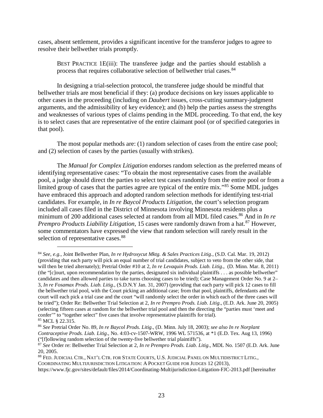cases, absent settlement, provides a significant incentive for the transferor judges to agree to resolve their bellwether trials promptly.

BEST PRACTICE 1E(iii): The transferee judge and the parties should establish a process that requires collaborative selection of bellwether trial cases.<sup>[84](#page-32-0)</sup>

In designing a trial-selection protocol, the transferee judge should be mindful that bellwether trials are most beneficial if they: (a) produce decisions on key issues applicable to other cases in the proceeding (including on *Daubert* issues, cross-cutting summary-judgment arguments, and the admissibility of key evidence); and (b) help the parties assess the strengths and weaknesses of various types of claims pending in the MDL proceeding. To that end, the key is to select cases that are representative of the entire claimant pool (or of specified categories in that pool).

The most popular methods are: (1) random selection of cases from the entire case pool; and (2) selection of cases by the parties (usually with strikes).

The *Manual for Complex Litigation* endorses random selection as the preferred means of identifying representative cases: "To obtain the most representative cases from the available pool, a judge should direct the parties to select test cases randomly from the entire pool or from a limited group of cases that the parties agree are typical of the entire mix."<sup>[85](#page-32-1)</sup> Some MDL judges have embraced this approach and adopted random selection methods for identifying test-trial candidates. For example, in *In re Baycol Products Litigation*, the court's selection program included all cases filed in the District of Minnesota involving Minnesota residents plus a minimum of 200 additional cases selected at random from all MDL filed cases.<sup>[86](#page-32-2)</sup> And in *In re Prempro Products Liability Litigation*, 15 cases were randomly drawn from a hat.<sup>[87](#page-32-3)</sup> However, some commentators have expressed the view that random selection will rarely result in the selection of representative cases.<sup>[88](#page-32-4)</sup>

COORDINATING MULTIJURISDICTION LITIGATION: A POCKET GUIDE FOR JUDGES 12 (2013),

https://www.fjc.gov/sites/default/files/2014/Coordinating-Multijurisdiction-Litigation-FJC-2013.pdf [hereinafter

<span id="page-32-5"></span><span id="page-32-0"></span> <sup>84</sup> *See, e.g.*, Joint Bellwether Plan, *In re Hydroxycut Mktg. & Sales Practices Litig*., (S.D. Cal. Mar. 19, 2012) (providing that each party will pick an equal number of trial candidates, subject to veto from the other side, that will then be tried alternately); Pretrial Order #10 at 2, *In re Levaquin Prods. Liab. Litig*., (D. Minn. Mar. 8, 2011) (the "[c]ourt, upon recommendation by the parties, designated six individual plaintiffs . . . as possible bellwether" candidates and then allowed parties to take turns choosing cases to be tried); Case Management Order No. 9 at 2– 3, *In re Fosamax Prods. Liab. Litig*., (S.D.N.Y Jan. 31, 2007) (providing that each party will pick 12 cases to fill the bellwether trial pool, with the Court picking an additional case; from that pool, plaintiffs, defendants and the court will each pick a trial case and the court "will randomly select the order in which each of the three cases will be tried"); Order Re: Bellwether Trial Selection at 2, *In re Prempro Prods. Liab. Litig*., (E.D. Ark. June 20, 2005) (selecting fifteen cases at random for the bellwether trial pool and then the directing the "parties must 'meet and confer'" to "together select" five cases that involve representative plaintiffs for trial). <sup>85</sup> MCL § 22.315.

<span id="page-32-2"></span><span id="page-32-1"></span><sup>86</sup> *See* Pretrial Order No. 89, *In re Baycol Prods. Litig*., (D. Minn. July 18, 2003); *see also In re Norplant Contraceptive Prods. Liab. Litig*., No. 4:03-cv-1507-WRW, 1996 WL 571536, at \*1 (E.D. Tex. Aug 13, 1996) ("[f]ollowing random selection of the twenty-five bellwether trial plaintiffs").

<span id="page-32-3"></span><sup>87</sup> *See* Order re: Bellwether Trial Selection at 2, *In re Prempro Prods. Liab. Litig*., MDL No. 1507 (E.D. Ark. June 20, 2005.

<span id="page-32-4"></span><sup>88</sup> FED. JUDICIAL CTR., NAT'L CTR. FOR STATE COURTS, U.S. JUDICIAL PANEL ON MULTIDISTRICT LITIG.,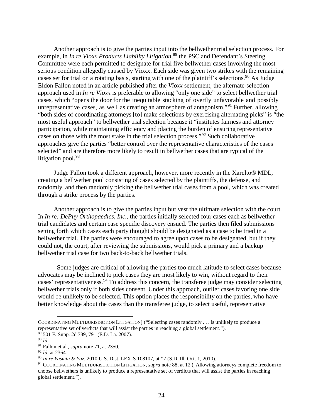Another approach is to give the parties input into the bellwether trial selection process. For example, in *In re Vioxx Products Liability Litigation*, [89](#page-33-0) the PSC and Defendant's Steering Committee were each permitted to designate for trial five bellwether cases involving the most serious condition allegedly caused by Vioxx. Each side was given two strikes with the remaining cases set for trial on a rotating basis, starting with one of the plaintiff's selections.<sup>[90](#page-33-1)</sup> As Judge Eldon Fallon noted in an article published after the *Vioxx* settlement, the alternate-selection approach used in *In re Vioxx* is preferable to allowing "only one side" to select bellwether trial cases, which "opens the door for the inequitable stacking of overtly unfavorable and possibly unrepresentative cases, as well as creating an atmosphere of antagonism."<sup>[91](#page-33-2)</sup> Further, allowing "both sides of coordinating attorneys [to] make selections by exercising alternating picks" is "the most useful approach" to bellwether trial selection because it "institutes fairness and attorney participation, while maintaining efficiency and placing the burden of ensuring representative cases on those with the most stake in the trial selection process."[92](#page-33-3) Such collaborative approaches give the parties "better control over the representative characteristics of the cases selected" and are therefore more likely to result in bellwether cases that are typical of the litigation pool.  $93$ 

Judge Fallon took a different approach, however, more recently in the Xarelto® MDL, creating a bellwether pool consisting of cases selected by the plaintiffs, the defense, and randomly, and then randomly picking the bellwether trial cases from a pool, which was created through a strike process by the parties.

Another approach is to give the parties input but vest the ultimate selection with the court. In *In re: DePuy Orthopaedics, Inc.*, the parties initially selected four cases each as bellwether trial candidates and certain case specific discovery ensued. The parties then filed submissions setting forth which cases each party thought should be designated as a case to be tried in a bellwether trial. The parties were encouraged to agree upon cases to be designated, but if they could not, the court, after reviewing the submissions, would pick a primary and a backup bellwether trial case for two back-to-back bellwether trials.

Some judges are critical of allowing the parties too much latitude to select cases because advocates may be inclined to pick cases they are most likely to win, without regard to their cases' representativeness.<sup>[94](#page-33-5)</sup> To address this concern, the transferee judge may consider selecting bellwether trials only if both sides consent. Under this approach, outlier cases favoring one side would be unlikely to be selected. This option places the responsibility on the parties, who have better knowledge about the cases than the transferee judge, to select useful, representative

COORDINATING MULTIJURISDICTION LITIGATION] ("Selecting cases randomly . . . is unlikely to produce a representative set of verdicts that will assist the parties in reaching a global settlement.").  $89\overline{501}$  F. Supp. 2d 789, 791 (E.D. La. 2007).

<span id="page-33-1"></span><span id="page-33-0"></span><sup>90</sup> *Id.*

<span id="page-33-2"></span><sup>91</sup> Fallon et al., *supra* not[e 71,](#page-28-5) at 2350.

<span id="page-33-3"></span><sup>92</sup> *Id*. at 2364.

<span id="page-33-4"></span><sup>93</sup> *In re Yasmin & Yaz*, 2010 U.S. Dist. LEXIS 108107, at \*7 (S.D. Ill. Oct. 1, 2010).

<span id="page-33-5"></span><sup>94</sup> COORDINATING MULTIJURISDICTION LITIGATION, *supra* note [88,](#page-32-5) at 12 ("Allowing attorneys complete freedom to choose bellwethers is unlikely to produce a representative set of verdicts that will assist the parties in reaching global settlement.").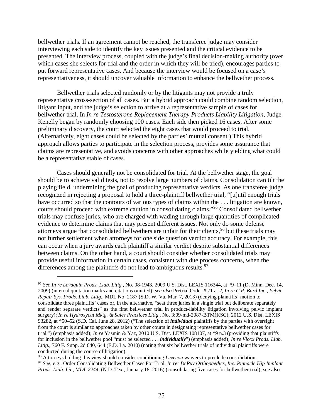bellwether trials. If an agreement cannot be reached, the transferee judge may consider interviewing each side to identify the key issues presented and the critical evidence to be presented. The interview process, coupled with the judge's final decision-making authority (over which cases she selects for trial and the order in which they will be tried), encourages parties to put forward representative cases. And because the interview would be focused on a case's representativeness, it should uncover valuable information to enhance the bellwether process.

Bellwether trials selected randomly or by the litigants may not provide a truly representative cross-section of all cases. But a hybrid approach could combine random selection, litigant input, and the judge's selection to arrive at a representative sample of cases for bellwether trial. In *In re Testosterone Replacement Therapy Products Liability Litigation*, Judge Kenelly began by randomly choosing 100 cases. Each side then picked 16 cases. After some preliminary discovery, the court selected the eight cases that would proceed to trial. (Alternatively, eight cases could be selected by the parties' mutual consent.) This hybrid approach allows parties to participate in the selection process, provides some assurance that claims are representative, and avoids concerns with other approaches while yielding what could be a representative stable of cases.

Cases should generally not be consolidated for trial. At the bellwether stage, the goal should be to achieve valid tests, not to resolve large numbers of claims. Consolidation can tilt the playing field, undermining the goal of producing representative verdicts. As one transferee judge recognized in rejecting a proposal to hold a three-plaintiff bellwether trial, "[u]ntil enough trials have occurred so that the contours of various types of claims within the ... litigation are known, courts should proceed with extreme caution in consolidating claims."[95](#page-34-0) Consolidated bellwether trials may confuse juries, who are charged with wading through large quantities of complicated evidence to determine claims that may present different issues. Not only do some defense attorneys argue that consolidated bellwethers are unfair for their clients,<sup>[96](#page-34-1)</sup> but these trials may not further settlement when attorneys for one side question verdict accuracy. For example, this can occur when a jury awards each plaintiff a similar verdict despite substantial differences between claims. On the other hand, a court should consider whether consolidated trials may provide useful information in certain cases, consistent with due process concerns, when the differences among the plaintiffs do not lead to ambiguous results.  $97$ 

<span id="page-34-0"></span> <sup>95</sup> *See In re Levaquin Prods. Liab. Litig*., No. 08-1943, 2009 U.S. Dist. LEXIS 116344, at \*9–11 (D. Minn. Dec. 14, 2009) (internal quotation marks and citations omitted); *see also* Pretrial Order # 71 at 2, *In re C.R. Bard Inc., Pelvic Repair Sys. Prods. Liab. Litig*., MDL No. 2187 (S.D. W. Va. Mar. 7, 2013) (denying plaintiffs' motion to consolidate three plaintiffs' cases or, in the alternative, "seat three juries in a single trial but deliberate separately and render separate verdicts" as the first bellwether trial in product-liability litigation involving pelvic implant surgery); *In re Hydroxycut Mktg. & Sales Practices Litig*., No. 3:09-md-2087-BTM(KSC), 2012 U.S. Dist. LEXIS 93282, at \*50–52 (S.D. Cal. June 28, 2012) ("The selection of *individual* plaintiffs by the parties with oversight from the court is similar to approaches taken by other courts in designating representative bellwether cases for trial.") (emphasis added); *In re* Yasmin & Yaz, 2010 U.S. Dist. LEXIS 108107, at \*9 n.3 (providing that plaintiffs for inclusion in the bellwether pool "must be selected . . . *individually*") (emphasis added); *In re Vioxx Prods. Liab. Litig.*, 760 F. Supp. 2d 640, 644 (E.D. La. 2010) (noting that six bellwether trials of individual plaintiffs were conducted during the course of litigation).

<span id="page-34-2"></span><span id="page-34-1"></span><sup>96</sup> Attorneys holding this view should consider conditioning *Lexecon* waivers to preclude consolidation. <sup>97</sup> *See*, e.g., Order Consolidating Bellwether Cases For Trial, *In re: DePuy Orthopaedics, Inc. Pinnacle Hip Implant Prods. Liab. Lit., MDL 2244*, (N.D. Tex., January 18, 2016) (consolidating five cases for bellwether trial); see also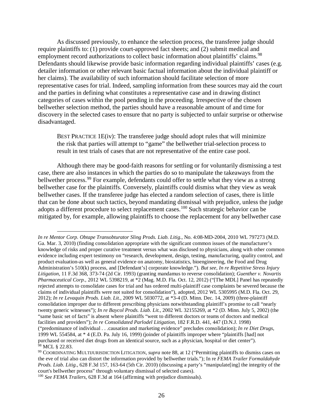As discussed previously, to enhance the selection process, the transferee judge should require plaintiffs to: (1) provide court-approved fact sheets; and (2) submit medical and employment record authorizations to collect basic information about plaintiffs' claims.<sup>[98](#page-35-0)</sup> Defendants should likewise provide basic information regarding individual plaintiffs' cases (e.g. detailer information or other relevant basic factual information about the individual plaintiff or her claims). The availability of such information should facilitate selection of more representative cases for trial. Indeed, sampling information from these sources may aid the court and the parties in defining what constitutes a representative case and in drawing distinct categories of cases within the pool pending in the proceeding. Irrespective of the chosen bellwether selection method, the parties should have a reasonable amount of and time for discovery in the selected cases to ensure that no party is subjected to unfair surprise or otherwise disadvantaged.

BEST PRACTICE 1E(iv): The transferee judge should adopt rules that will minimize the risk that parties will attempt to "game" the bellwether trial-selection process to result in test trials of cases that are not representative of the entire case pool.

Although there may be good-faith reasons for settling or for voluntarily dismissing a test case, there are also instances in which the parties do so to manipulate the takeaways from the bellwether process.<sup>[99](#page-35-1)</sup> For example, defendants could offer to settle what they view as a strong bellwether case for the plaintiffs. Conversely, plaintiffs could dismiss what they view as weak bellwether cases. If the transferee judge has elected a random selection of cases, there is little that can be done about such tactics, beyond mandating dismissal with prejudice, unless the judge adopts a different procedure to select replacement cases.<sup>[100](#page-35-2)</sup> Such strategic behavior can be mitigated by, for example, allowing plaintiffs to choose the replacement for any bellwether case

 $\overline{a}$ 

*In re Mentor Corp. Obtape Transobturator Sling Prods. Liab. Litig.*, No. 4:08-MD-2004, 2010 WL 797273 (M.D. Ga. Mar. 3, 2010) (finding consolidation appropriate with the significant common issues of the manufacturer's knowledge of risks and proper curative treatment versus what was disclosed to physicians, along with other common evidence including expert testimony on "research, development, design, testing, manufacturing, quality control, and product evaluation-as well as general evidence on anatomy, biostatistics, bioengineering, the Food and Drug Administration's 510(k) process, and [Defendant's] corporate knowledge."). *But see, In re Repetitive Stress Injury Litigation*, 11 F.3d 368, 373-74 (2d Cir. 1993) (granting mandamus to reverse consolidation); *Guenther v. Novartis Pharmaceutical Corp.*, 2012 WL 5398219, at \*2 (Mag. M.D. Fla. Oct. 12, 2012) ("[The MDL] Panel has repeatedly rejected attempts to consolidate cases for trial and has ordered multi-plaintiff case complaints be severed because the claims of individual plaintiffs were not suited for consolidation"), adopted, 2012 WL 5305995 (M.D. Fla. Oct. 29, 2012); *In re Levaquin Prods. Liab. Lit.*, 2009 WL 5030772, at \*3-4 (D. Minn. Dec. 14, 2009) (three-plaintiff consolidation improper due to different prescribing physicians notwithstanding plaintiff's promise to call "nearly twenty generic witnesses"); *In re Baycol Prods. Liab. Lit.*, 2002 WL 32155269, at \*2 (D. Minn. July 5, 2002) (the "same basic set of facts" is absent where plaintiffs "went to different doctors or teams of doctors and medical facilities and providers"); *In re Consolidated Parlodel Litigation*, 182 F.R.D. 441, 447 (D.N.J. 1998) ("predominance of individual . . .causation and marketing evidence" precludes consolidation); *In re Diet Drugs*, 1999 WL 554584, at \* 4 (E.D. Pa. July 16, 1999) (joinder of plaintiffs improper where "plaintiffs [had] not purchased or received diet drugs from an identical source, such as a physician, hospital or diet center").  $98$  MCL § 22.83.

<span id="page-35-1"></span><span id="page-35-0"></span><sup>99</sup> COORDINATING MULTIJURISDICTION LITIGATION, *supra* note [88,](#page-32-5) at 12 ("Permitting plaintiffs to dismiss cases on the eve of trial also can distort the information provided by bellwether trials."); In re *FEMA Trailer Formaldahyde Prods. Liab. Litig*., 628 F.3d 157, 163-64 (5th Cir. 2010) (discussing a party's "manipulate[ing] the integrity of the court's bellwether process" through voluntary dismissal of selected cases).

<span id="page-35-2"></span><sup>100</sup> *See FEMA Trailers*, 628 F.3d at 164 (affirming with prejudice dismissals).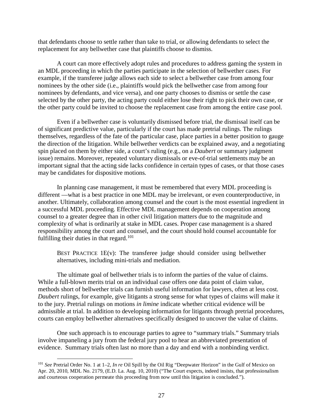that defendants choose to settle rather than take to trial, or allowing defendants to select the replacement for any bellwether case that plaintiffs choose to dismiss.

A court can more effectively adopt rules and procedures to address gaming the system in an MDL proceeding in which the parties participate in the selection of bellwether cases. For example, if the transferee judge allows each side to select a bellwether case from among four nominees by the other side (i.e., plaintiffs would pick the bellwether case from among four nominees by defendants, and vice versa), and one party chooses to dismiss or settle the case selected by the other party, the acting party could either lose their right to pick their own case, or the other party could be invited to choose the replacement case from among the entire case pool.

Even if a bellwether case is voluntarily dismissed before trial, the dismissal itself can be of significant predictive value, particularly if the court has made pretrial rulings. The rulings themselves, regardless of the fate of the particular case, place parties in a better position to gauge the direction of the litigation. While bellwether verdicts can be explained away, and a negotiating spin placed on them by either side, a court's ruling (e.g., on a *Daubert* or summary judgment issue) remains. Moreover, repeated voluntary dismissals or eve-of-trial settlements may be an important signal that the acting side lacks confidence in certain types of cases, or that those cases may be candidates for dispositive motions.

In planning case management, it must be remembered that every MDL proceeding is different —what is a best practice in one MDL may be irrelevant, or even counterproductive, in another. Ultimately, collaboration among counsel and the court is the most essential ingredient in a successful MDL proceeding. Effective MDL management depends on cooperation among counsel to a greater degree than in other civil litigation matters due to the magnitude and complexity of what is ordinarily at stake in MDL cases. Proper case management is a shared responsibility among the court and counsel, and the court should hold counsel accountable for fulfilling their duties in that regard.<sup>[101](#page-36-0)</sup>

BEST PRACTICE 1E(v): The transferee judge should consider using bellwether alternatives, including mini-trials and mediation.

The ultimate goal of bellwether trials is to inform the parties of the value of claims. While a full-blown merits trial on an individual case offers one data point of claim value, methods short of bellwether trials can furnish useful information for lawyers, often at less cost. *Daubert* rulings, for example, give litigants a strong sense for what types of claims will make it to the jury. Pretrial rulings on motions *in limine* indicate whether critical evidence will be admissible at trial. In addition to developing information for litigants through pretrial procedures, courts can employ bellwether alternatives specifically designed to uncover the value of claims.

One such approach is to encourage parties to agree to "summary trials." Summary trials involve impaneling a jury from the federal jury pool to hear an abbreviated presentation of evidence. Summary trials often last no more than a day and end with a nonbinding verdict.

<span id="page-36-0"></span> <sup>101</sup> *See* Pretrial Order No. 1 at 1–2, *In re* Oil Spill by the Oil Rig "Deepwater Horizon" in the Gulf of Mexico on Apr. 20, 2010*,* MDL No. 2179, (E.D. La. Aug. 10, 2010) ("The Court expects, indeed insists, that professionalism and courteous cooperation permeate this proceeding from now until this litigation is concluded.").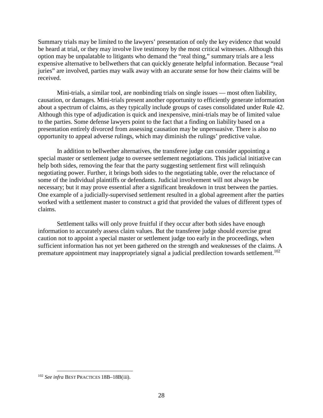Summary trials may be limited to the lawyers' presentation of only the key evidence that would be heard at trial, or they may involve live testimony by the most critical witnesses. Although this option may be unpalatable to litigants who demand the "real thing," summary trials are a less expensive alternative to bellwethers that can quickly generate helpful information. Because "real juries" are involved, parties may walk away with an accurate sense for how their claims will be received.

Mini-trials, a similar tool, are nonbinding trials on single issues — most often liability, causation, or damages. Mini-trials present another opportunity to efficiently generate information about a spectrum of claims, as they typically include groups of cases consolidated under Rule 42. Although this type of adjudication is quick and inexpensive, mini-trials may be of limited value to the parties. Some defense lawyers point to the fact that a finding on liability based on a presentation entirely divorced from assessing causation may be unpersuasive. There is also no opportunity to appeal adverse rulings, which may diminish the rulings' predictive value.

In addition to bellwether alternatives, the transferee judge can consider appointing a special master or settlement judge to oversee settlement negotiations. This judicial initiative can help both sides, removing the fear that the party suggesting settlement first will relinquish negotiating power. Further, it brings both sides to the negotiating table, over the reluctance of some of the individual plaintiffs or defendants. Judicial involvement will not always be necessary; but it may prove essential after a significant breakdown in trust between the parties. One example of a judicially-supervised settlement resulted in a global agreement after the parties worked with a settlement master to construct a grid that provided the values of different types of claims.

Settlement talks will only prove fruitful if they occur after both sides have enough information to accurately assess claim values. But the transferee judge should exercise great caution not to appoint a special master or settlement judge too early in the proceedings, when sufficient information has not yet been gathered on the strength and weaknesses of the claims. A premature appointment may inappropriately signal a judicial predilection towards settlement.<sup>[102](#page-37-0)</sup>

<span id="page-37-0"></span> <sup>102</sup> *See infra* BEST PRACTICES 18B–18B(iii).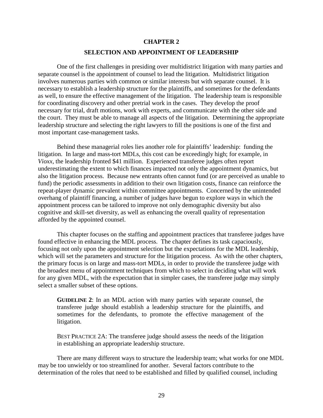# **CHAPTER 2 SELECTION AND APPOINTMENT OF LEADERSHIP**

One of the first challenges in presiding over multidistrict litigation with many parties and separate counsel is the appointment of counsel to lead the litigation. Multidistrict litigation involves numerous parties with common or similar interests but with separate counsel. It is necessary to establish a leadership structure for the plaintiffs, and sometimes for the defendants as well, to ensure the effective management of the litigation. The leadership team is responsible for coordinating discovery and other pretrial work in the cases. They develop the proof necessary for trial, draft motions, work with experts, and communicate with the other side and the court. They must be able to manage all aspects of the litigation. Determining the appropriate leadership structure and selecting the right lawyers to fill the positions is one of the first and most important case-management tasks.

Behind these managerial roles lies another role for plaintiffs' leadership: funding the litigation. In large and mass-tort MDLs, this cost can be exceedingly high; for example, in *Vioxx*, the leadership fronted \$41 million. Experienced transferee judges often report underestimating the extent to which finances impacted not only the appointment dynamics, but also the litigation process. Because new entrants often cannot fund (or are perceived as unable to fund) the periodic assessments in addition to their own litigation costs, finance can reinforce the repeat-player dynamic prevalent within committee appointments. Concerned by the unintended overhang of plaintiff financing, a number of judges have begun to explore ways in which the appointment process can be tailored to improve not only demographic diversity but also cognitive and skill-set diversity, as well as enhancing the overall quality of representation afforded by the appointed counsel.

This chapter focuses on the staffing and appointment practices that transferee judges have found effective in enhancing the MDL process. The chapter defines its task capaciously, focusing not only upon the appointment selection but the expectations for the MDL leadership, which will set the parameters and structure for the litigation process. As with the other chapters, the primary focus is on large and mass-tort MDLs, in order to provide the transferee judge with the broadest menu of appointment techniques from which to select in deciding what will work for any given MDL, with the expectation that in simpler cases, the transferee judge may simply select a smaller subset of these options.

**GUIDELINE 2**: In an MDL action with many parties with separate counsel, the transferee judge should establish a leadership structure for the plaintiffs, and sometimes for the defendants, to promote the effective management of the litigation.

BEST PRACTICE 2A: The transferee judge should assess the needs of the litigation in establishing an appropriate leadership structure.

There are many different ways to structure the leadership team; what works for one MDL may be too unwieldy or too streamlined for another. Several factors contribute to the determination of the roles that need to be established and filled by qualified counsel, including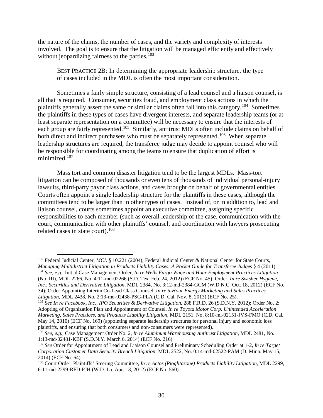the nature of the claims, the number of cases, and the variety and complexity of interests involved. The goal is to ensure that the litigation will be managed efficiently and effectively without jeopardizing fairness to the parties. $103$ 

BEST PRACTICE 2B: In determining the appropriate leadership structure, the type of cases included in the MDL is often the most important consideration.

Sometimes a fairly simple structure, consisting of a lead counsel and a liaison counsel, is all that is required. Consumer, securities fraud, and employment class actions in which the plaintiffs generally assert the same or similar claims often fall into this category.[104](#page-39-1) Sometimes the plaintiffs in these types of cases have divergent interests, and separate leadership teams (or at least separate representation on a committee) will be necessary to ensure that the interests of each group are fairly represented.<sup>[105](#page-39-2)</sup> Similarly, antitrust MDLs often include claims on behalf of both direct and indirect purchasers who must be separately represented.<sup>106</sup> When separate leadership structures are required, the transferee judge may decide to appoint counsel who will be responsible for coordinating among the teams to ensure that duplication of effort is minimized.<sup>[107](#page-39-4)</sup>

Mass tort and common disaster litigation tend to be the largest MDLs. Mass-tort litigation can be composed of thousands or even tens of thousands of individual personal-injury lawsuits, third-party payor class actions, and cases brought on behalf of governmental entities. Courts often appoint a single leadership structure for the plaintiffs in these cases, although the committees tend to be larger than in other types of cases. Instead of, or in addition to, lead and liaison counsel, courts sometimes appoint an executive committee, assigning specific responsibilities to each member (such as overall leadership of the case, communication with the court, communication with other plaintiffs' counsel, and coordination with lawyers prosecuting related cases in state court).<sup>[108](#page-39-5)</sup>

<span id="page-39-1"></span><span id="page-39-0"></span> <sup>103</sup> Federal Judicial Center, *MCL* § 10.221 (2004); Federal Judicial Center & National Center for State Courts*, Managing Multidistrict Litigation in Products Liability Cases: A Pocket Guide for Transferee Judges* § 4 (2011). <sup>104</sup> *See, e.g.,* Initial Case Management Order, *In re Wells Fargo Wage and Hour Employment Practices Litigation* (No. III), MDL 2266, No. 4:11-md-02266 (S.D. Tex. Feb. 24, 2012) (ECF No. 45); Order, *In re Swisher Hygiene, Inc., Securities and Derivative Litigation,* MDL 2384, No. 3:12-md-2384-GCM (W.D.N.C. Oct. 18, 2012) (ECF No. 34); Order Appointing Interim Co-Lead Class Counsel, *In re 5-Hour Energy Marketing and Sales Practices* 

*Litigation*, MDL 2438, No. 2:13-mo-02438-PSG-PLA (C.D. Cal. Nov. 8, 2013) (ECF No. 25).

<span id="page-39-2"></span><sup>105</sup> *See In re Facebook, Inc., IPO Securities & Derivative Litigation*, 288 F.R.D. 26 (S.D.N.Y. 2012); Order No. 2: Adopting of Organization Plan and Appointment of Counsel, *In re Toyota Motor Corp. Unintended Acceleration Marketing, Sales Practices, and Products Liability Litigation,* MDL 2151, No. 8:10-ml-02151-JVS-FMO (C.D. Cal. May 14, 2010) (ECF No. 169) (appointing separate leadership structures for personal injury and economic loss plaintiffs, and ensuring that both consumers and non-consumers were represented).

<span id="page-39-3"></span><sup>106</sup> *See, e.g.,* Case Management Order No. 2, *In re Aluminum Warehousing Antitrust Litigation*, MDL 2481, No. 1:13-md-02481-KBF (S.D.N.Y. March 6, 2014) (ECF No. 216).

<span id="page-39-4"></span><sup>107</sup> *See* Order for Appointment of Lead and Liaison Counsel and Preliminary Scheduling Order at 1-2, *In re Target Corporation Customer Data Security Breach Litigation*, MDL 2522, No. 0:14-md-02522-PAM (D. Minn. May 15, 2014) (ECF No. 64).

<span id="page-39-5"></span><sup>108</sup> Court Order: Plaintiffs' Steering Committee, *In re Actos (Pioglitazone) Products Liability Litigation*, MDL 2299, 6:11-md-2299-RFD-PJH (W.D. La. Apr. 13, 2012) (ECF No. 560).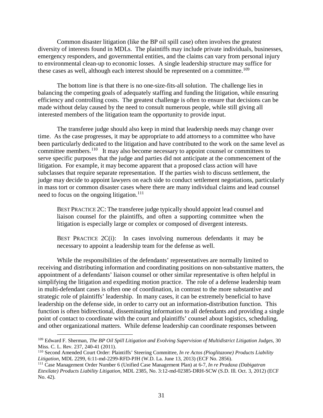Common disaster litigation (like the BP oil spill case) often involves the greatest diversity of interests found in MDLs. The plaintiffs may include private individuals, businesses, emergency responders, and governmental entities, and the claims can vary from personal injury to environmental clean-up to economic losses. A single leadership structure may suffice for these cases as well, although each interest should be represented on a committee.<sup>[109](#page-40-0)</sup>

The bottom line is that there is no one-size-fits-all solution. The challenge lies in balancing the competing goals of adequately staffing and funding the litigation, while ensuring efficiency and controlling costs. The greatest challenge is often to ensure that decisions can be made without delay caused by the need to consult numerous people, while still giving all interested members of the litigation team the opportunity to provide input.

The transferee judge should also keep in mind that leadership needs may change over time. As the case progresses, it may be appropriate to add attorneys to a committee who have been particularly dedicated to the litigation and have contributed to the work on the same level as committee members.<sup>[110](#page-40-1)</sup> It may also become necessary to appoint counsel or committees to serve specific purposes that the judge and parties did not anticipate at the commencement of the litigation. For example, it may become apparent that a proposed class action will have subclasses that require separate representation. If the parties wish to discuss settlement, the judge may decide to appoint lawyers on each side to conduct settlement negotiations, particularly in mass tort or common disaster cases where there are many individual claims and lead counsel need to focus on the ongoing litigation.<sup>111</sup>

BEST PRACTICE 2C: The transferee judge typically should appoint lead counsel and liaison counsel for the plaintiffs, and often a supporting committee when the litigation is especially large or complex or composed of divergent interests.

BEST PRACTICE 2C(i): In cases involving numerous defendants it may be necessary to appoint a leadership team for the defense as well.

While the responsibilities of the defendants' representatives are normally limited to receiving and distributing information and coordinating positions on non-substantive matters, the appointment of a defendants' liaison counsel or other similar representative is often helpful in simplifying the litigation and expediting motion practice. The role of a defense leadership team in multi-defendant cases is often one of coordination, in contrast to the more substantive and strategic role of plaintiffs' leadership. In many cases, it can be extremely beneficial to have leadership on the defense side, in order to carry out an information-distribution function. This function is often bidirectional, disseminating information to all defendants and providing a single point of contact to coordinate with the court and plaintiffs' counsel about logistics, scheduling, and other organizational matters. While defense leadership can coordinate responses between

<span id="page-40-0"></span> <sup>109</sup> Edward F. Sherman, *The BP Oil Spill Litigation and Evolving Supervision of Multidistrict Litigation Judges*, 30 Miss. C. L. Rev. 237, 240-41 (2011).

<span id="page-40-1"></span><sup>110</sup> Second Amended Court Order: Plaintiffs' Steering Committee, *In re Actos (Pioglitazone) Products Liability Litigation*, MDL 2299, 6:11-md-2299-RFD-PJH (W.D. La. June 13, 2013) (ECF No. 2856).

<span id="page-40-2"></span><sup>111</sup> Case Management Order Number 6 (Unified Case Management Plan) at 6-7*, In re Pradaxa (Dabigatran Etexilate) Products Liability Litigation*, MDL 2385, No. 3:12-md-02385-DRH-SCW (S.D. Ill. Oct. 3, 2012) (ECF No. 42).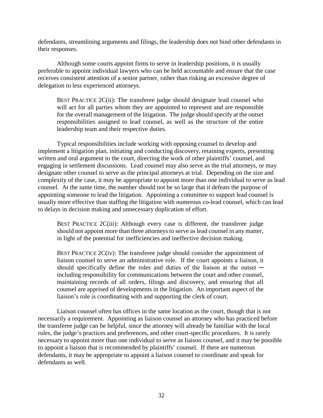defendants, streamlining arguments and filings, the leadership does not bind other defendants in their responses.

Although some courts appoint firms to serve in leadership positions, it is usually preferable to appoint individual lawyers who can be held accountable and ensure that the case receives consistent attention of a senior partner, rather than risking an excessive degree of delegation to less experienced attorneys.

BEST PRACTICE  $2C(i)$ : The transferee judge should designate lead counsel who will act for all parties whom they are appointed to represent and are responsible for the overall management of the litigation. The judge should specify at the outset responsibilities assigned to lead counsel, as well as the structure of the entire leadership team and their respective duties.

Typical responsibilities include working with opposing counsel to develop and implement a litigation plan, initiating and conducting discovery, retaining experts, presenting written and oral argument to the court, directing the work of other plaintiffs' counsel, and engaging in settlement discussions. Lead counsel may also serve as the trial attorneys, or may designate other counsel to serve as the principal attorneys at trial. Depending on the size and complexity of the case, it may be appropriate to appoint more than one individual to serve as lead counsel. At the same time, the number should not be so large that it defeats the purpose of appointing someone to lead the litigation. Appointing a committee to support lead counsel is usually more effective than staffing the litigation with numerous co-lead counsel, which can lead to delays in decision making and unnecessary duplication of effort.

BEST PRACTICE 2C(iii): Although every case is different, the transferee judge should not appoint more than three attorneys to serve as lead counsel in any matter, in light of the potential for inefficiencies and ineffective decision making.

BEST PRACTICE  $2C(iv)$ : The transferee judge should consider the appointment of liaison counsel to serve an administrative role. If the court appoints a liaison, it should specifically define the roles and duties of the liaison at the outset  $$ including responsibility for communications between the court and other counsel, maintaining records of all orders, filings and discovery, and ensuring that all counsel are apprised of developments in the litigation. An important aspect of the liaison's role is coordinating with and supporting the clerk of court.

Liaison counsel often has offices in the same location as the court, though that is not necessarily a requirement. Appointing as liaison counsel an attorney who has practiced before the transferee judge can be helpful, since the attorney will already be familiar with the local rules, the judge's practices and preferences, and other court-specific procedures. It is rarely necessary to appoint more than one individual to serve as liaison counsel, and it may be possible to appoint a liaison that is recommended by plaintiffs' counsel. If there are numerous defendants, it may be appropriate to appoint a liaison counsel to coordinate and speak for defendants as well.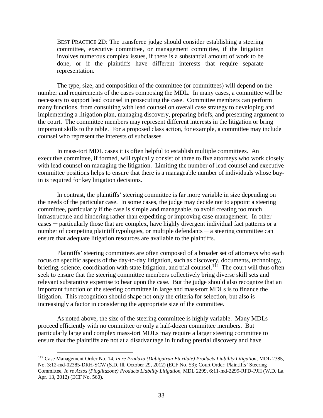BEST PRACTICE 2D: The transferee judge should consider establishing a steering committee, executive committee, or management committee, if the litigation involves numerous complex issues, if there is a substantial amount of work to be done, or if the plaintiffs have different interests that require separate representation.

The type, size, and composition of the committee (or committees) will depend on the number and requirements of the cases composing the MDL. In many cases, a committee will be necessary to support lead counsel in prosecuting the case. Committee members can perform many functions, from consulting with lead counsel on overall case strategy to developing and implementing a litigation plan, managing discovery, preparing briefs, and presenting argument to the court. The committee members may represent different interests in the litigation or bring important skills to the table. For a proposed class action, for example, a committee may include counsel who represent the interests of subclasses.

In mass-tort MDL cases it is often helpful to establish multiple committees. An executive committee, if formed, will typically consist of three to five attorneys who work closely with lead counsel on managing the litigation. Limiting the number of lead counsel and executive committee positions helps to ensure that there is a manageable number of individuals whose buyin is required for key litigation decisions.

In contrast, the plaintiffs' steering committee is far more variable in size depending on the needs of the particular case. In some cases, the judge may decide not to appoint a steering committee, particularly if the case is simple and manageable, to avoid creating too much infrastructure and hindering rather than expediting or improving case management. In other cases ─ particularly those that are complex, have highly divergent individual fact patterns or a number of competing plaintiff typologies, or multiple defendants — a steering committee can ensure that adequate litigation resources are available to the plaintiffs.

Plaintiffs' steering committees are often composed of a broader set of attorneys who each focus on specific aspects of the day-to-day litigation, such as discovery, documents, technology, briefing, science, coordination with state litigation, and trial counsel.<sup>[112](#page-42-0)</sup> The court will thus often seek to ensure that the steering committee members collectively bring diverse skill sets and relevant substantive expertise to bear upon the case. But the judge should also recognize that an important function of the steering committee in large and mass-tort MDLs is to finance the litigation. This recognition should shape not only the criteria for selection, but also is increasingly a factor in considering the appropriate size of the committee.

As noted above, the size of the steering committee is highly variable. Many MDLs proceed efficiently with no committee or only a half-dozen committee members. But particularly large and complex mass-tort MDLs may require a larger steering committee to ensure that the plaintiffs are not at a disadvantage in funding pretrial discovery and have

<span id="page-42-0"></span> <sup>112</sup> Case Management Order No. 14, *In re Pradaxa (Dabigatran Etexilate) Products Liability Litigation*, MDL 2385, No. 3:12-md-02385-DRH-SCW (S.D. Ill. October 29, 2012) (ECF No. 53); Court Order: Plaintiffs' Steering Committee, *In re Actos (Pioglitazone) Products Liability Litigation*, MDL 2299, 6:11-md-2299-RFD-PJH (W.D. La. Apr. 13, 2012) (ECF No. 560).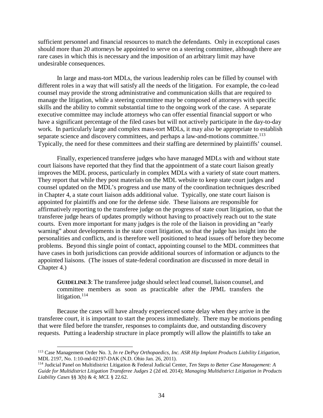sufficient personnel and financial resources to match the defendants. Only in exceptional cases should more than 20 attorneys be appointed to serve on a steering committee, although there are rare cases in which this is necessary and the imposition of an arbitrary limit may have undesirable consequences.

In large and mass-tort MDLs, the various leadership roles can be filled by counsel with different roles in a way that will satisfy all the needs of the litigation. For example, the co-lead counsel may provide the strong administrative and communication skills that are required to manage the litigation, while a steering committee may be composed of attorneys with specific skills and the ability to commit substantial time to the ongoing work of the case. A separate executive committee may include attorneys who can offer essential financial support or who have a significant percentage of the filed cases but will not actively participate in the day-to-day work. In particularly large and complex mass-tort MDLs, it may also be appropriate to establish separate science and discovery committees, and perhaps a law-and-motions committee.<sup>[113](#page-43-0)</sup> Typically, the need for these committees and their staffing are determined by plaintiffs' counsel.

Finally, experienced transferee judges who have managed MDLs with and without state court liaisons have reported that they find that the appointment of a state court liaison greatly improves the MDL process, particularly in complex MDLs with a variety of state court matters. They report that while they post materials on the MDL website to keep state court judges and counsel updated on the MDL's progress and use many of the coordination techniques described in Chapter 4, a state court liaison adds additional value. Typically, one state court liaison is appointed for plaintiffs and one for the defense side. These liaisons are responsible for affirmatively reporting to the transferee judge on the progress of state court litigation, so that the transferee judge hears of updates promptly without having to proactively reach out to the state courts. Even more important for many judges is the role of the liaison in providing an "early warning" about developments in the state court litigation, so that the judge has insight into the personalities and conflicts, and is therefore well positioned to head issues off before they become problems. Beyond this single point of contact, appointing counsel to the MDL committees that have cases in both jurisdictions can provide additional sources of information or adjuncts to the appointed liaisons. (The issues of state-federal coordination are discussed in more detail in Chapter 4.)

**GUIDELINE 3**: The transferee judge should select lead counsel, liaison counsel, and committee members as soon as practicable after the JPML transfers the litigation. $114$ 

Because the cases will have already experienced some delay when they arrive in the transferee court, it is important to start the process immediately. There may be motions pending that were filed before the transfer, responses to complaints due, and outstanding discovery requests. Putting a leadership structure in place promptly will allow the plaintiffs to take an

<span id="page-43-0"></span> <sup>113</sup> Case Management Order No. 3, *In re DePuy Orthopaedics, Inc. ASR Hip Implant Products Liability Litigation*, MDL 2197, No. 1:10-md-02197-DAK (N.D. Ohio Jan. 26, 2011).

<span id="page-43-1"></span><sup>114</sup> Judicial Panel on Multidistrict Litigation & Federal Judicial Center, *Ten Steps to Better Case Management: A Guide for Multidistrict Litigation Transferee Judges* 2 (2d ed. 2014); *Managing Multidistrict Litigation in Products Liability Cases* §§ 3(b) & 4; *MCL* § 22.62.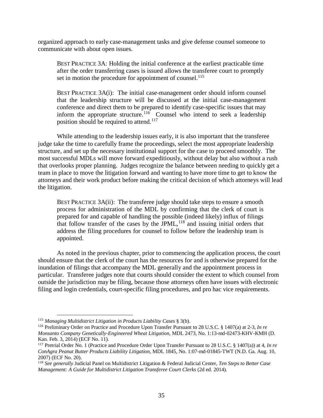organized approach to early case-management tasks and give defense counsel someone to communicate with about open issues.

BEST PRACTICE 3A: Holding the initial conference at the earliest practicable time after the order transferring cases is issued allows the transferee court to promptly set in motion the procedure for appointment of counsel.<sup>[115](#page-44-0)</sup>

BEST PRACTICE 3A(i): The initial case-management order should inform counsel that the leadership structure will be discussed at the initial case-management conference and direct them to be prepared to identify case-specific issues that may inform the appropriate structure.<sup>[116](#page-44-1)</sup> Counsel who intend to seek a leadership position should be required to attend.<sup>[117](#page-44-2)</sup>

While attending to the leadership issues early, it is also important that the transferee judge take the time to carefully frame the proceedings, select the most appropriate leadership structure, and set up the necessary institutional support for the case to proceed smoothly. The most successful MDLs will move forward expeditiously, without delay but also without a rush that overlooks proper planning. Judges recognize the balance between needing to quickly get a team in place to move the litigation forward and wanting to have more time to get to know the attorneys and their work product before making the critical decision of which attorneys will lead the litigation.

BEST PRACTICE 3A(ii): The transferee judge should take steps to ensure a smooth process for administration of the MDL by confirming that the clerk of court is prepared for and capable of handling the possible (indeed likely) influx of filings that follow transfer of the cases by the  $JPML$ ,<sup>[118](#page-44-3)</sup> and issuing initial orders that address the filing procedures for counsel to follow before the leadership team is appointed.

As noted in the previous chapter, prior to commencing the application process, the court should ensure that the clerk of the court has the resources for and is otherwise prepared for the inundation of filings that accompany the MDL generally and the appointment process in particular. Transferee judges note that courts should consider the extent to which counsel from outside the jurisdiction may be filing, because those attorneys often have issues with electronic filing and login credentials, court-specific filing procedures, and pro hac vice requirements.

<span id="page-44-0"></span> <sup>115</sup> *Managing Multidistrict Litigation in Products Liability Cases* § 3(b).

<span id="page-44-1"></span><sup>116</sup> Preliminary Order on Practice and Procedure Upon Transfer Pursuant to 28 U.S.C. § 1407(a) at 2-3, *In re Monsanto Company Genetically-Engineered Wheat Litigation,* MDL 2473, No. 1:13-md-02473-KHV-KMH (D. Kan. Feb. 3, 2014) (ECF No. 11).

<span id="page-44-2"></span><sup>117</sup> Pretrial Order No. 1 (Practice and Procedure Order Upon Transfer Pursuant to 28 U.S.C. § 1407(a)) at 4, *In re ConAgra Peanut Butter Products Liability Litigation*, MDL 1845, No. 1:07-md-01845-TWT (N.D. Ga. Aug. 10, 2007) (ECF No. 20).

<span id="page-44-3"></span><sup>118</sup> *See generally* Judicial Panel on Multidistrict Litigation & Federal Judicial Center*, Ten Steps to Better Case Management: A Guide for Multidistrict Litigation Transferee Court Clerks* (2d ed. 2014).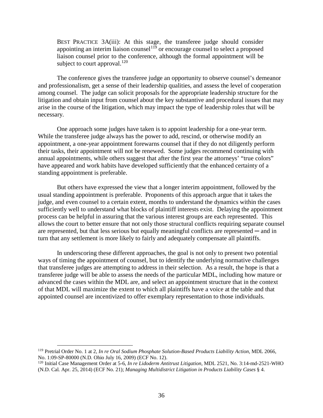BEST PRACTICE 3A(iii): At this stage, the transferee judge should consider appointing an interim liaison counsel<sup>[119](#page-45-0)</sup> or encourage counsel to select a proposed liaison counsel prior to the conference, although the formal appointment will be subject to court approval.<sup>[120](#page-45-1)</sup>

The conference gives the transferee judge an opportunity to observe counsel's demeanor and professionalism, get a sense of their leadership qualities, and assess the level of cooperation among counsel. The judge can solicit proposals for the appropriate leadership structure for the litigation and obtain input from counsel about the key substantive and procedural issues that may arise in the course of the litigation, which may impact the type of leadership roles that will be necessary.

One approach some judges have taken is to appoint leadership for a one-year term. While the transferee judge always has the power to add, rescind, or otherwise modify an appointment, a one-year appointment forewarns counsel that if they do not diligently perform their tasks, their appointment will not be renewed. Some judges recommend continuing with annual appointments, while others suggest that after the first year the attorneys' "true colors" have appeared and work habits have developed sufficiently that the enhanced certainty of a standing appointment is preferable.

But others have expressed the view that a longer interim appointment, followed by the usual standing appointment is preferable. Proponents of this approach argue that it takes the judge, and even counsel to a certain extent, months to understand the dynamics within the cases sufficiently well to understand what blocks of plaintiff interests exist. Delaying the appointment process can be helpful in assuring that the various interest groups are each represented. This allows the court to better ensure that not only those structural conflicts requiring separate counsel are represented, but that less serious but equally meaningful conflicts are represented — and in turn that any settlement is more likely to fairly and adequately compensate all plaintiffs.

In underscoring these different approaches, the goal is not only to present two potential ways of timing the appointment of counsel, but to identify the underlying normative challenges that transferee judges are attempting to address in their selection. As a result, the hope is that a transferee judge will be able to assess the needs of the particular MDL, including how mature or advanced the cases within the MDL are, and select an appointment structure that in the context of that MDL will maximize the extent to which all plaintiffs have a voice at the table and that appointed counsel are incentivized to offer exemplary representation to those individuals.

<span id="page-45-0"></span> <sup>119</sup> Pretrial Order No. 1 at 2, *In re Oral Sodium Phosphate Solution-Based Products Liability Action*, MDL 2066, No. 1:09-SP-80000 (N.D. Ohio July 16, 2009) (ECF No. 12).

<span id="page-45-1"></span><sup>120</sup> Initial Case Management Order at 5-6*, In re Lidoderm Antitrust Litigation*, MDL 2521, No. 3:14-md-2521-WHO (N.D. Cal. Apr. 25, 2014) (ECF No. 21); *Managing Multidistrict Litigation in Products Liability Cases* § 4.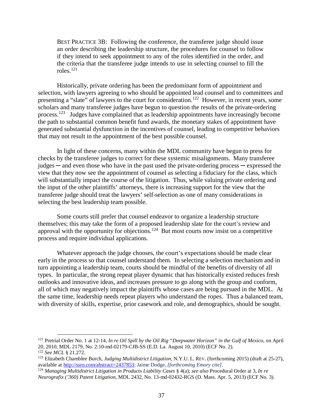BEST PRACTICE 3B: Following the conference, the transferee judge should issue an order describing the leadership structure, the procedures for counsel to follow if they intend to seek appointment to any of the roles identified in the order, and the criteria that the transferee judge intends to use in selecting counsel to fill the roles.[121](#page-46-0) 

Historically, private ordering has been the predominant form of appointment and selection, with lawyers agreeing to who should be appointed lead counsel and to committees and presenting a "slate" of lawyers to the court for consideration.<sup>[122](#page-46-1)</sup> However, in recent years, some scholars and many transferee judges have begun to question the results of the private-ordering process.[123](#page-46-2) Judges have complained that as leadership appointments have increasingly become the path to substantial common benefit fund awards, the monetary stakes of appointment have generated substantial dysfunction in the incentives of counsel, leading to competitive behaviors that may not result in the appointment of the best possible counsel.

In light of these concerns, many within the MDL community have begun to press for checks by the transferee judges to correct for these systemic misalignments. Many transferee judges ─ and even those who have in the past used the private-ordering process ─ expressed the view that they now see the appointment of counsel as selecting a fiduciary for the class, which will substantially impact the course of the litigation. Thus, while valuing private ordering and the input of the other plaintiffs' attorneys, there is increasing support for the view that the transferee judge should treat the lawyers' self-selection as one of many considerations in selecting the best leadership team possible.

Some courts still prefer that counsel endeavor to organize a leadership structure themselves; this may take the form of a proposed leadership slate for the court's review and approval with the opportunity for objections.<sup>124</sup> But most courts now insist on a competitive process and require individual applications.

Whatever approach the judge chooses, the court's expectations should be made clear early in the process so that counsel understand them. In selecting a selection mechanism and in turn appointing a leadership team, courts should be mindful of the benefits of diversity of all types. In particular, the strong repeat player dynamic that has historically existed reduces fresh outlooks and innovative ideas, and increases pressure to go along with the group and conform, all of which may negatively impact the plaintiffs whose cases are being pursued in the MDL. At the same time, leadership needs repeat players who understand the ropes. Thus a balanced team, with diversity of skills, expertise, prior casework and role, and demographics, should be sought.

<span id="page-46-0"></span> <sup>121</sup> Pretrial Order No. 1 at 12-14, *In re Oil Spill by the Oil Rig "Deepwater Horizon" in the Gulf of Mexico*, on April 20, 2010, MDL 2179, No. 2:10-md-02179-CJB-SS (E.D. La. August 10, 2010) (ECF No. 2).

<span id="page-46-1"></span><sup>122</sup> *See MCL* § 21.272.

<span id="page-46-2"></span><sup>123</sup> Elizabeth Chamblee Burch, *Judging Multidistrict Litigation*, N.Y.U. L. REV. (forthcoming 2015) (draft at 25-27), available at [http://ssrn.com/abstract=2437853;](http://ssrn.com/abstract=2437853) Jaime Dodge*, [forthcoming Emory cite]*.

<span id="page-46-3"></span><sup>124</sup> *Managing Multidistrict Litigation in Products Liability Cases* § 4(a); *see also* Procedural Order at 3, *In re Neurografix ('360) Patent Litigation*, MDL 2432, No. 13-md-02432-RGS (D. Mass. Apr. 5, 2013) (ECF No. 3).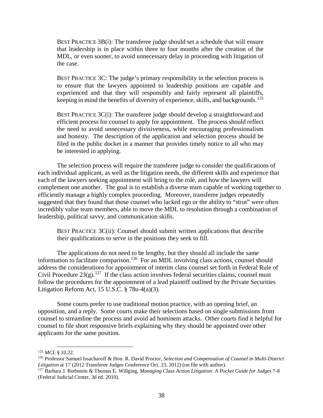BEST PRACTICE 3B(i): The transferee judge should set a schedule that will ensure that leadership is in place within three to four months after the creation of the MDL, or even sooner, to avoid unnecessary delay in proceeding with litigation of the case.

BEST PRACTICE 3C: The judge's primary responsibility in the selection process is to ensure that the lawyers appointed to leadership positions are capable and experienced and that they will responsibly and fairly represent all plaintiffs, keeping in mind the benefits of diversity of experience, skills, and backgrounds.<sup>125</sup>

BEST PRACTICE  $3C(i)$ : The transferee judge should develop a straightforward and efficient process for counsel to apply for appointment. The process should reflect the need to avoid unnecessary divisiveness, while encouraging professionalism and honesty. The description of the application and selection process should be filed in the public docket in a manner that provides timely notice to all who may be interested in applying.

The selection process will require the transferee judge to consider the qualifications of each individual applicant, as well as the litigation needs, the different skills and experience that each of the lawyers seeking appointment will bring to the role, and how the lawyers will complement one another. The goal is to establish a diverse team capable of working together to efficiently manage a highly complex proceeding. Moreover, transferee judges repeatedly suggested that they found that those counsel who lacked ego or the ability to "strut" were often incredibly value team members, able to move the MDL to resolution through a combination of leadership, political savvy, and communication skills.

BEST PRACTICE  $3C(i)$ : Counsel should submit written applications that describe their qualifications to serve in the positions they seek to fill.

The applications do not need to be lengthy, but they should all include the same information to facilitate comparison.<sup>[126](#page-47-1)</sup> For an MDL involving class actions, counsel should address the considerations for appointment of interim class counsel set forth in Federal Rule of Civil Procedure  $23(g)$ .<sup>[127](#page-47-2)</sup> If the class action involves federal securities claims, counsel must follow the procedures for the appointment of a lead plaintiff outlined by the Private Securities Litigation Reform Act, 15 U.S.C. § 78u-4(a)(3).

Some courts prefer to use traditional motion practice, with an opening brief, an opposition, and a reply. Some courts make their selections based on single submissions from counsel to streamline the process and avoid ad hominem attacks. Other courts find it helpful for counsel to file short responsive briefs explaining why they should be appointed over other applicants for the same position.

<span id="page-47-0"></span> <sup>125</sup> *MCL* § 10.22.

<span id="page-47-1"></span><sup>126</sup> Professor Samuel Issacharoff & Hon. R. David Proctor, *Selection and Compensation of Counsel in Multi-District Litigation* at 17 (2012 Transferee Judges Conference Oct. 23, 2012) (on file with author).

<span id="page-47-2"></span><sup>127</sup> Barbara J. Rothstein & Thomas E. Willging, *Managing Class Action Litigation: A Pocket Guide for Judges* 7-8 (Federal Judicial Center, 3d ed. 2010).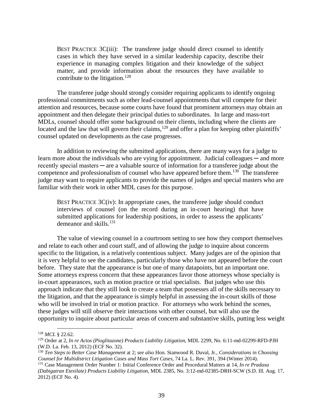BEST PRACTICE 3C(iii): The transferee judge should direct counsel to identify cases in which they have served in a similar leadership capacity, describe their experience in managing complex litigation and their knowledge of the subject matter, and provide information about the resources they have available to contribute to the litigation.<sup>[128](#page-48-0)</sup>

The transferee judge should strongly consider requiring applicants to identify ongoing professional commitments such as other lead-counsel appointments that will compete for their attention and resources, because some courts have found that prominent attorneys may obtain an appointment and then delegate their principal duties to subordinates. In large and mass-tort MDLs, counsel should offer some background on their clients, including where the clients are located and the law that will govern their claims,<sup>[129](#page-48-1)</sup> and offer a plan for keeping other plaintiffs' counsel updated on developments as the case progresses.

In addition to reviewing the submitted applications, there are many ways for a judge to learn more about the individuals who are vying for appointment. Judicial colleagues — and more recently special masters — are a valuable source of information for a transferee judge about the competence and professionalism of counsel who have appeared before them.<sup>[130](#page-48-2)</sup> The transferee judge may want to require applicants to provide the names of judges and special masters who are familiar with their work in other MDL cases for this purpose.

BEST PRACTICE 3C(iv): In appropriate cases, the transferee judge should conduct interviews of counsel (on the record during an in-court hearing) that have submitted applications for leadership positions, in order to assess the applicants' demeanor and skills.<sup>[131](#page-48-3)</sup>

The value of viewing counsel in a courtroom setting to see how they comport themselves and relate to each other and court staff, and of allowing the judge to inquire about concerns specific to the litigation, is a relatively contentious subject. Many judges are of the opinion that it is very helpful to see the candidates, particularly those who have not appeared before the court before. They state that the appearance is but one of many datapoints, but an important one. Some attorneys express concern that these appearances favor those attorneys whose specialty is in-court appearances, such as motion practice or trial specialists. But judges who use this approach indicate that they still look to create a team that possesses all of the skills necessary to the litigation, and that the appearance is simply helpful in assessing the in-court skills of those who will be involved in trial or motion practice. For attorneys who work behind the scenes, these judges will still observe their interactions with other counsel, but will also use the opportunity to inquire about particular areas of concern and substantive skills, putting less weight

<span id="page-48-0"></span> <sup>128</sup> *MCL* § 22.62.

<span id="page-48-1"></span><sup>129</sup> Order at 2, *In re Actos (Pioglitazone) Products Liability Litigation,* MDL 2299, No. 6:11-md-02299-RFD-PJH (W.D. La. Feb. 13, 2012) (ECF No. 32).

<span id="page-48-2"></span><sup>130</sup> *Ten Steps to Better Case Management* at 2; *see also* Hon. Stanwood R. Duval, Jr., *Considerations in Choosing Counsel for Multidistrict Litigation Cases and Mass Tort Cases*, 74 La. L. Rev. 391, 394 (Winter 2014).

<span id="page-48-3"></span><sup>131</sup> Case Management Order Number 1: Initial Conference Order and Procedural Matters at 14, *In re Pradaxa (Dabigatran Etexilate) Products Liability Litigation*, MDL 2385, No. 3:12-md-02385-DRH-SCW (S.D. Ill. Aug. 17, 2012) (ECF No. 4).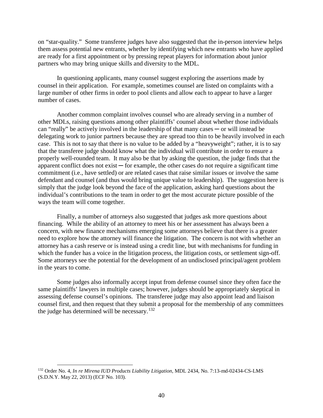on "star-quality." Some transferee judges have also suggested that the in-person interview helps them assess potential new entrants, whether by identifying which new entrants who have applied are ready for a first appointment or by pressing repeat players for information about junior partners who may bring unique skills and diversity to the MDL.

In questioning applicants, many counsel suggest exploring the assertions made by counsel in their application. For example, sometimes counsel are listed on complaints with a large number of other firms in order to pool clients and allow each to appear to have a larger number of cases.

Another common complaint involves counsel who are already serving in a number of other MDLs, raising questions among other plaintiffs' counsel about whether those individuals can "really" be actively involved in the leadership of that many cases ─ or will instead be delegating work to junior partners because they are spread too thin to be heavily involved in each case. This is not to say that there is no value to be added by a "heavyweight"; rather, it is to say that the transferee judge should know what the individual will contribute in order to ensure a properly well-rounded team. It may also be that by asking the question, the judge finds that the apparent conflict does not exist  $-$  for example, the other cases do not require a significant time commitment (i.e., have settled) or are related cases that raise similar issues or involve the same defendant and counsel (and thus would bring unique value to leadership). The suggestion here is simply that the judge look beyond the face of the application, asking hard questions about the individual's contributions to the team in order to get the most accurate picture possible of the ways the team will come together.

Finally, a number of attorneys also suggested that judges ask more questions about financing. While the ability of an attorney to meet his or her assessment has always been a concern, with new finance mechanisms emerging some attorneys believe that there is a greater need to explore how the attorney will finance the litigation. The concern is not with whether an attorney has a cash reserve or is instead using a credit line, but with mechanisms for funding in which the funder has a voice in the litigation process, the litigation costs, or settlement sign-off. Some attorneys see the potential for the development of an undisclosed principal/agent problem in the years to come.

Some judges also informally accept input from defense counsel since they often face the same plaintiffs' lawyers in multiple cases; however, judges should be appropriately skeptical in assessing defense counsel's opinions. The transferee judge may also appoint lead and liaison counsel first, and then request that they submit a proposal for the membership of any committees the judge has determined will be necessary.<sup>132</sup>

<span id="page-49-0"></span> <sup>132</sup> Order No. 4, *In re Mirena IUD Products Liability Litigation*, MDL 2434, No. 7:13-md-02434-CS-LMS (S.D.N.Y. May 22, 2013) (ECF No. 103).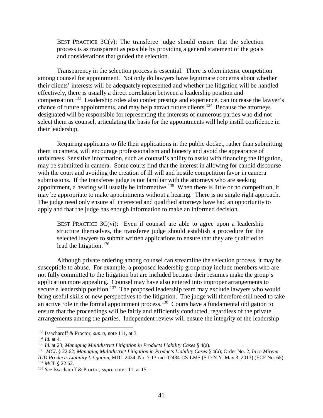BEST PRACTICE  $3C(v)$ : The transferee judge should ensure that the selection process is as transparent as possible by providing a general statement of the goals and considerations that guided the selection.

Transparency in the selection process is essential. There is often intense competition among counsel for appointment. Not only do lawyers have legitimate concerns about whether their clients' interests will be adequately represented and whether the litigation will be handled effectively, there is usually a direct correlation between a leadership position and compensation.[133](#page-50-0) Leadership roles also confer prestige and experience, can increase the lawyer's chance of future appointments, and may help attract future clients.<sup>134</sup> Because the attorneys designated will be responsible for representing the interests of numerous parties who did not select them as counsel, articulating the basis for the appointments will help instill confidence in their leadership.

Requiring applicants to file their applications in the public docket, rather than submitting them in camera, will encourage professionalism and honesty and avoid the appearance of unfairness. Sensitive information, such as counsel's ability to assist with financing the litigation, may be submitted in camera. Some courts find that the interest in allowing for candid discourse with the court and avoiding the creation of ill will and hostile competition favor in camera submissions. If the transferee judge is not familiar with the attorneys who are seeking appointment, a hearing will usually be informative.<sup>[135](#page-50-2)</sup> When there is little or no competition, it may be appropriate to make appointments without a hearing. There is no single right approach. The judge need only ensure all interested and qualified attorneys have had an opportunity to apply and that the judge has enough information to make an informed decision.

BEST PRACTICE  $3C(vi)$ : Even if counsel are able to agree upon a leadership structure themselves, the transferee judge should establish a procedure for the selected lawyers to submit written applications to ensure that they are qualified to lead the litigation. $136$ 

Although private ordering among counsel can streamline the selection process, it may be susceptible to abuse. For example, a proposed leadership group may include members who are not fully committed to the litigation but are included because their resumes make the group's application more appealing. Counsel may have also entered into improper arrangements to secure a leadership position.<sup>[137](#page-50-4)</sup> The proposed leadership team may exclude lawyers who would bring useful skills or new perspectives to the litigation. The judge will therefore still need to take an active role in the formal appointment process.<sup>[138](#page-50-5)</sup> Courts have a fundamental obligation to ensure that the proceedings will be fairly and efficiently conducted, regardless of the private arrangements among the parties. Independent review will ensure the integrity of the leadership

<span id="page-50-0"></span> <sup>133</sup> Issacharoff & Proctor, *supra*, note 111, at 3.

<span id="page-50-1"></span><sup>134</sup> *Id.* at 4.

<span id="page-50-2"></span><sup>135</sup> *Id.* at 23; *Managing Multidistrict Litigation in Products Liability Cases* § 4(a).

<span id="page-50-3"></span><sup>136</sup> *MCL* § 22.62; *Managing Multidistrict Litigation in Products Liability Cases* § 4(a); Order No. 2, *In re Mirena IUD Products Liability Litigation*, MDL 2434, No. 7:13-md-02434-CS-LMS (S.D.N.Y. May 3, 2013) (ECF No. 65). <sup>137</sup> *MCL* § 22.62.

<span id="page-50-5"></span><span id="page-50-4"></span><sup>138</sup> *See* Issacharoff & Proctor, *supra* note 111, at 15.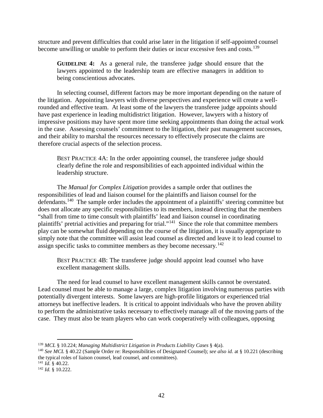structure and prevent difficulties that could arise later in the litigation if self-appointed counsel become unwilling or unable to perform their duties or incur excessive fees and costs.<sup>139</sup>

**GUIDELINE 4:** As a general rule, the transferee judge should ensure that the lawyers appointed to the leadership team are effective managers in addition to being conscientious advocates.

In selecting counsel, different factors may be more important depending on the nature of the litigation. Appointing lawyers with diverse perspectives and experience will create a wellrounded and effective team. At least some of the lawyers the transferee judge appoints should have past experience in leading multidistrict litigation. However, lawyers with a history of impressive positions may have spent more time seeking appointments than doing the actual work in the case. Assessing counsels' commitment to the litigation, their past management successes, and their ability to marshal the resources necessary to effectively prosecute the claims are therefore crucial aspects of the selection process.

BEST PRACTICE 4A: In the order appointing counsel, the transferee judge should clearly define the role and responsibilities of each appointed individual within the leadership structure.

The *Manual for Complex Litigation* provides a sample order that outlines the responsibilities of lead and liaison counsel for the plaintiffs and liaison counsel for the defendants.<sup>[140](#page-51-1)</sup> The sample order includes the appointment of a plaintiffs' steering committee but does not allocate any specific responsibilities to its members, instead directing that the members "shall from time to time consult with plaintiffs' lead and liaison counsel in coordinating plaintiffs' pretrial activities and preparing for trial."[141](#page-51-2) Since the role that committee members play can be somewhat fluid depending on the course of the litigation, it is usually appropriate to simply note that the committee will assist lead counsel as directed and leave it to lead counsel to assign specific tasks to committee members as they become necessary.<sup>[142](#page-51-3)</sup>

BEST PRACTICE 4B: The transferee judge should appoint lead counsel who have excellent management skills.

The need for lead counsel to have excellent management skills cannot be overstated. Lead counsel must be able to manage a large, complex litigation involving numerous parties with potentially divergent interests. Some lawyers are high-profile litigators or experienced trial attorneys but ineffective leaders. It is critical to appoint individuals who have the proven ability to perform the administrative tasks necessary to effectively manage all of the moving parts of the case. They must also be team players who can work cooperatively with colleagues, opposing

<span id="page-51-0"></span> <sup>139</sup> *MCL* § 10.224; *Managing Multidistrict Litigation in Products Liability Cases* § 4(a).

<span id="page-51-1"></span><sup>140</sup> *See MCL* § 40.22 (Sample Order re: Responsibilities of Designated Counsel); *see also id.* at § 10.221 (describing the typical roles of liaison counsel, lead counsel, and committees).

<span id="page-51-2"></span><sup>141</sup> *Id.* § 40.22.

<span id="page-51-3"></span><sup>142</sup> *Id.* § 10.222.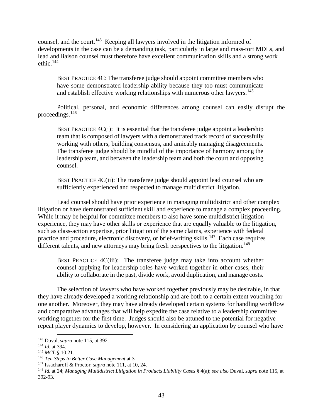counsel, and the court.[143](#page-52-0) Keeping all lawyers involved in the litigation informed of developments in the case can be a demanding task, particularly in large and mass-tort MDLs, and lead and liaison counsel must therefore have excellent communication skills and a strong work ethic.<sup>144</sup>

BEST PRACTICE 4C: The transferee judge should appoint committee members who have some demonstrated leadership ability because they too must communicate and establish effective working relationships with numerous other lawyers.<sup>[145](#page-52-2)</sup>

Political, personal, and economic differences among counsel can easily disrupt the proceedings.[146](#page-52-3)

BEST PRACTICE  $4C(i)$ : It is essential that the transferee judge appoint a leadership team that is composed of lawyers with a demonstrated track record of successfully working with others, building consensus, and amicably managing disagreements. The transferee judge should be mindful of the importance of harmony among the leadership team, and between the leadership team and both the court and opposing counsel.

BEST PRACTICE 4C(ii): The transferee judge should appoint lead counsel who are sufficiently experienced and respected to manage multidistrict litigation.

Lead counsel should have prior experience in managing multidistrict and other complex litigation or have demonstrated sufficient skill and experience to manage a complex proceeding. While it may be helpful for committee members to also have some multidistrict litigation experience, they may have other skills or experience that are equally valuable to the litigation, such as class-action expertise, prior litigation of the same claims, experience with federal practice and procedure, electronic discovery, or brief-writing skills.<sup>[147](#page-52-4)</sup> Each case requires different talents, and new attorneys may bring fresh perspectives to the litigation.<sup>[148](#page-52-5)</sup>

BEST PRACTICE 4C(iii): The transferee judge may take into account whether counsel applying for leadership roles have worked together in other cases, their ability to collaborate in the past, divide work, avoid duplication, and manage costs.

The selection of lawyers who have worked together previously may be desirable, in that they have already developed a working relationship and are both to a certain extent vouching for one another. Moreover, they may have already developed certain systems for handling workflow and comparative advantages that will help expedite the case relative to a leadership committee working together for the first time. Judges should also be attuned to the potential for negative repeat player dynamics to develop, however. In considering an application by counsel who have

<span id="page-52-0"></span> <sup>143</sup> Duval, *supra* note 115, at 392.

<span id="page-52-1"></span><sup>144</sup> *Id.* at 394.

<span id="page-52-2"></span><sup>145</sup> *MCL* § 10.21.

<span id="page-52-3"></span><sup>146</sup> *Ten Steps to Better Case Management* at 3.

<sup>147</sup> Issacharoff & Proctor, *supra* note 111, at 10, 24.

<span id="page-52-5"></span><span id="page-52-4"></span><sup>148</sup> *Id.* at 24; *Managing Multidistrict Litigation in Products Liability Cases* § 4(a); *see also* Duval, *supra* note 115, at 392-93.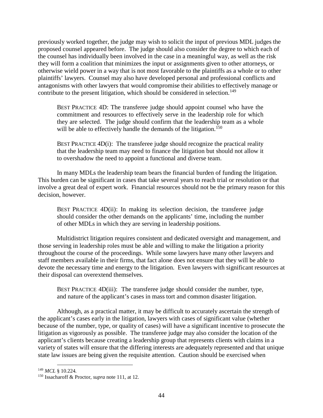previously worked together, the judge may wish to solicit the input of previous MDL judges the proposed counsel appeared before. The judge should also consider the degree to which each of the counsel has individually been involved in the case in a meaningful way, as well as the risk they will form a coalition that minimizes the input or assignments given to other attorneys, or otherwise wield power in a way that is not most favorable to the plaintiffs as a whole or to other plaintiffs' lawyers. Counsel may also have developed personal and professional conflicts and antagonisms with other lawyers that would compromise their abilities to effectively manage or contribute to the present litigation, which should be considered in selection.<sup>[149](#page-53-0)</sup>

BEST PRACTICE 4D: The transferee judge should appoint counsel who have the commitment and resources to effectively serve in the leadership role for which they are selected. The judge should confirm that the leadership team as a whole will be able to effectively handle the demands of the litigation.<sup>[150](#page-53-1)</sup>

BEST PRACTICE  $4D(i)$ : The transferee judge should recognize the practical reality that the leadership team may need to finance the litigation but should not allow it to overshadow the need to appoint a functional and diverse team.

In many MDLs the leadership team bears the financial burden of funding the litigation. This burden can be significant in cases that take several years to reach trial or resolution or that involve a great deal of expert work. Financial resources should not be the primary reason for this decision, however.

BEST PRACTICE 4D(ii): In making its selection decision, the transferee judge should consider the other demands on the applicants' time, including the number of other MDLs in which they are serving in leadership positions.

Multidistrict litigation requires consistent and dedicated oversight and management, and those serving in leadership roles must be able and willing to make the litigation a priority throughout the course of the proceedings. While some lawyers have many other lawyers and staff members available in their firms, that fact alone does not ensure that they will be able to devote the necessary time and energy to the litigation. Even lawyers with significant resources at their disposal can overextend themselves.

BEST PRACTICE 4D(iii): The transferee judge should consider the number, type, and nature of the applicant's cases in mass tort and common disaster litigation.

Although, as a practical matter, it may be difficult to accurately ascertain the strength of the applicant's cases early in the litigation, lawyers with cases of significant value (whether because of the number, type, or quality of cases) will have a significant incentive to prosecute the litigation as vigorously as possible. The transferee judge may also consider the location of the applicant's clients because creating a leadership group that represents clients with claims in a variety of states will ensure that the differing interests are adequately represented and that unique state law issues are being given the requisite attention. Caution should be exercised when

<span id="page-53-0"></span> <sup>149</sup> *MCL* § 10.224.

<span id="page-53-1"></span><sup>150</sup> Issacharoff & Proctor, *supra* note 111, at 12.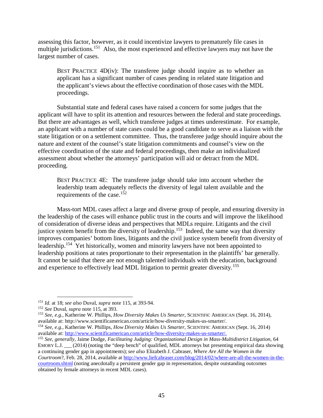assessing this factor, however, as it could incentivize lawyers to prematurely file cases in multiple jurisdictions.<sup>151</sup> Also, the most experienced and effective lawyers may not have the largest number of cases.

BEST PRACTICE 4D(iv): The transferee judge should inquire as to whether an applicant has a significant number of cases pending in related state litigation and the applicant's views about the effective coordination of those cases with the MDL proceedings.

Substantial state and federal cases have raised a concern for some judges that the applicant will have to split its attention and resources between the federal and state proceedings. But there are advantages as well, which transferee judges at times underestimate. For example, an applicant with a number of state cases could be a good candidate to serve as a liaison with the state litigation or on a settlement committee. Thus, the transferee judge should inquire about the nature and extent of the counsel's state litigation commitments and counsel's view on the effective coordination of the state and federal proceedings, then make an individualized assessment about whether the attorneys' participation will aid or detract from the MDL proceeding.

BEST PRACTICE 4E: The transferee judge should take into account whether the leadership team adequately reflects the diversity of legal talent available and the requirements of the case.[152](#page-54-1)

Mass-tort MDL cases affect a large and diverse group of people, and ensuring diversity in the leadership of the cases will enhance public trust in the courts and will improve the likelihood of consideration of diverse ideas and perspectives that MDLs require. Litigants and the civil justice system benefit from the diversity of leadership.<sup>153</sup> Indeed, the same way that diversity improves companies' bottom lines, litigants and the civil justice system benefit from diversity of leadership.<sup>154</sup> Yet historically, women and minority lawyers have not been appointed to leadership positions at rates proportionate to their representation in the plaintiffs' bar generally. It cannot be said that there are not enough talented individuals with the education, background and experience to effectively lead MDL litigation to permit greater diversity.<sup>[155](#page-54-4)</sup>

<span id="page-54-0"></span> <sup>151</sup> *Id.* at 18; *see also* Duval, *supra* note 115, at 393-94.

<span id="page-54-1"></span><sup>152</sup> *See* Duval, *supra* note 115, at 393.

<span id="page-54-2"></span><sup>153</sup> *See, e.g.*, Katherine W. Phillips, *How Diversity Makes Us Smarter*, SCIENTIFIC AMERICAN (Sept. 16, 2014), available at: http://www.scientificamerican.com/article/how-diversity-makes-us-smarter/.

<span id="page-54-3"></span><sup>&</sup>lt;sup>154</sup> *See, e.g.*, Katherine W. Phillips, *How Diversity Makes Us Smarter*, SCIENTIFIC AMERICAN (Sept. 16, 2014) available at: http://www.scientificamerican.com/article/how-diversity-makes-us-smarter/.

<span id="page-54-4"></span><sup>&</sup>lt;sup>155</sup> See, generally, Jaime Dodge, *Facilitating Judging: Organizational Design in Mass-Multidistrict Litigation*, 64 EMORY L.J. \_\_\_ (2014) (noting the "deep bench" of qualified, MDL attorneys but presenting empirical data showing a continuing gender gap in appointments);*see also* Elizabeth J. Cabraser, *Where Are All the Women in the Courtroom*?, Feb. 28, 2014, available at [http://www.liefcabraser.com/blog/2014/02/where-are-all-the-women-in-the](http://www.liefcabraser.com/blog/2014/02/where-are-all-the-women-in-the-courtroom.shtml)[courtroom.shtml](http://www.liefcabraser.com/blog/2014/02/where-are-all-the-women-in-the-courtroom.shtml) (noting anecdotally a persistent gender gap in representation, despite outstanding outcomes obtained by female attorneys in recent MDL cases).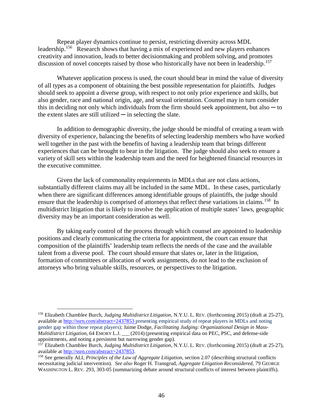Repeat player dynamics continue to persist, restricting diversity across MDL leadership.[156](#page-55-0) Research shows that having a mix of experienced and new players enhances creativity and innovation, leads to better decisionmaking and problem solving, and promotes discussion of novel concepts raised by those who historically have not been in leadership.<sup>[157](#page-55-1)</sup>

Whatever application process is used, the court should bear in mind the value of diversity of all types as a component of obtaining the best possible representation for plaintiffs. Judges should seek to appoint a diverse group, with respect to not only prior experience and skills, but also gender, race and national origin, age, and sexual orientation. Counsel may in turn consider this in deciding not only which individuals from the firm should seek appointment, but also  $-$  to the extent slates are still utilized  $\overline{-}$  in selecting the slate.

In addition to demographic diversity, the judge should be mindful of creating a team with diversity of experience, balancing the benefits of selecting leadership members who have worked well together in the past with the benefits of having a leadership team that brings different experiences that can be brought to bear in the litigation. The judge should also seek to ensure a variety of skill sets within the leadership team and the need for heightened financial resources in the executive committee.

Given the lack of commonality requirements in MDLs that are not class actions, substantially different claims may all be included in the same MDL. In these cases, particularly when there are significant differences among identifiable groups of plaintiffs, the judge should ensure that the leadership is comprised of attorneys that reflect these variations in claims.<sup>[158](#page-55-2)</sup> In multidistrict litigation that is likely to involve the application of multiple states' laws, geographic diversity may be an important consideration as well.

By taking early control of the process through which counsel are appointed to leadership positions and clearly communicating the criteria for appointment, the court can ensure that composition of the plaintiffs' leadership team reflects the needs of the case and the available talent from a diverse pool. The court should ensure that slates or, later in the litigation, formation of committees or allocation of work assignments, do not lead to the exclusion of attorneys who bring valuable skills, resources, or perspectives to the litigation.

<span id="page-55-0"></span> <sup>156</sup> Elizabeth Chamblee Burch, *Judging Multidistrict Litigation*, N.Y.U. L. REV. (forthcoming 2015) (draft at 25-27), available at<http://ssrn.com/abstract=2437853> presenting empirical study of repeat players in MDLs and noting gender gap within those repeat players); Jaime Dodge, *Facilitating Judging: Organizational Design in Mass-Multidistrict Litigation*, 64 EMORY L.J. \_\_\_ (2014) (presenting empirical data on PEC, PSC, and defense-side appointments, and noting a persistent but narrowing gender gap).

<span id="page-55-1"></span><sup>157</sup> Elizabeth Chamblee Burch, *Judging Multidistrict Litigation*, N.Y.U. L. REV. (forthcoming 2015) (draft at 25-27), available at [http://ssrn.com/abstract=2437853.](http://ssrn.com/abstract=2437853)

<span id="page-55-2"></span><sup>158</sup> See generally ALI, *Principles of the Law of Aggregate Litigation*, section 2.07 (describing structural conflicts necessitating judicial intervention). *See also* Roger H. Transgrud, *Aggregate Litigation Reconsidered*, 79 GEORGE WASHINGTON L. REV. 293, 303-05 (summarizing debate around structural conflicts of interest between plaintiffs).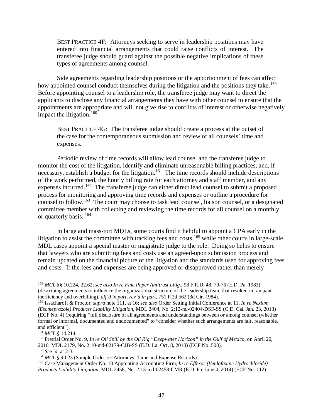BEST PRACTICE 4F: Attorneys seeking to serve in leadership positions may have entered into financial arrangements that could raise conflicts of interest. The transferee judge should guard against the possible negative implications of these types of agreements among counsel.

Side agreements regarding leadership positions or the apportionment of fees can affect how appointed counsel conduct themselves during the litigation and the positions they take.<sup>159</sup> Before appointing counsel to a leadership role, the transferee judge may want to direct the applicants to disclose any financial arrangements they have with other counsel to ensure that the appointments are appropriate and will not give rise to conflicts of interest or otherwise negatively impact the litigation. $160$ 

BEST PRACTICE 4G: The transferee judge should create a process at the outset of the case for the contemporaneous submission and review of all counsels' time and expenses.

Periodic review of time records will allow lead counsel and the transferee judge to monitor the cost of the litigation, identify and eliminate unreasonable billing practices, and, if necessary, establish a budget for the litigation.<sup>[161](#page-56-2)</sup> The time records should include descriptions of the work performed, the hourly billing rate for each attorney and staff member, and any expenses incurred.<sup>162</sup> The transferee judge can either direct lead counsel to submit a proposed process for monitoring and approving time records and expenses or outline a procedure for counsel to follow.[163](#page-56-4) The court may choose to task lead counsel, liaison counsel, or a designated committee member with collecting and reviewing the time records for all counsel on a monthly or quarterly basis. [164](#page-56-5) 

In large and mass-tort MDLs, some courts find it helpful to appoint a CPA early in the litigation to assist the committee with tracking fees and costs,  $165$  while other courts in large-scale MDL cases appoint a special master or magistrate judge to the role. Doing so helps to ensure that lawyers who are submitting fees and costs use an agreed-upon submission process and remain updated on the financial picture of the litigation and the standards used for approving fees and costs. If the fees and expenses are being approved or disapproved rather than merely

<span id="page-56-0"></span> <sup>159</sup> *MCL* §§ 10.224, 22.62; *see also In re Fine Paper Antitrust Litig.*, 98 F.R.D. 48, 70-76 (E.D. Pa. 1983) (describing agreements to influence the organizational structure of the leadership team that resulted in rampant inefficiency and overbilling), *aff'd in part, rev'd in part*, 751 F.2d 562 (3d Cir. 1984).

<span id="page-56-1"></span><sup>160</sup> Issacharoff & Proctor, *supra* note 111, at 16; *see also* Order Setting Initial Conference at 11, *In re Nexium (Esomeprazole) Products Liability Litigation*, MDL 2404, No. 2:12-ml-02404-DSF-SS (C.D. Cal. Jan. 23, 2013) (ECF No. 4) (requiring "full disclosure of all agreements and understandings between or among counsel (whether formal or informal, documented and undocumented" to "consider whether such arrangements are fair, reasonable, and efficient").

<span id="page-56-2"></span><sup>161</sup> *MCL* § 14.214.

<span id="page-56-3"></span><sup>&</sup>lt;sup>162</sup> Pretrial Order No. 9, *In re Oil Spill by the Oil Rig "Deepwater Horizon" in the Gulf of Mexico*, on April 20, 2010, MDL 2179, No. 2:10-md-02179-CJB-SS (E.D. La. Oct. 8, 2010) (ECF No. 508).

<span id="page-56-4"></span><sup>163</sup> *See id.* at 2-3.

<span id="page-56-5"></span><sup>&</sup>lt;sup>164</sup> *MCL* § 40.23 (Sample Order re: Attorneys' Time and Expense Records).

<span id="page-56-6"></span><sup>165</sup> Case Management Order No. 10 Appointing Accounting Firm, *In re Effexor (Venlafaxine Hydrochloride) Products Liability Litigation*, MDL 2458, No. 2:13-md-02458-CMR (E.D. Pa. June 4, 2014) (ECF No. 112).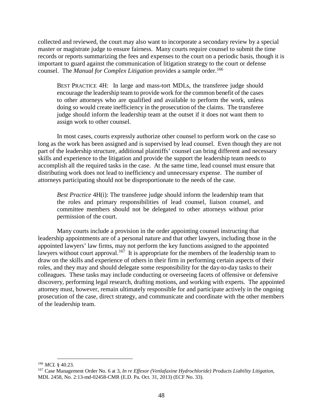collected and reviewed, the court may also want to incorporate a secondary review by a special master or magistrate judge to ensure fairness. Many courts require counsel to submit the time records or reports summarizing the fees and expenses to the court on a periodic basis, though it is important to guard against the communication of litigation strategy to the court or defense counsel. The *Manual for Complex Litigation* provides a sample order.<sup>[166](#page-57-0)</sup>

BEST PRACTICE 4H: In large and mass-tort MDLs, the transferee judge should encourage the leadership team to provide work for the common benefit of the cases to other attorneys who are qualified and available to perform the work, unless doing so would create inefficiency in the prosecution of the claims. The transferee judge should inform the leadership team at the outset if it does not want them to assign work to other counsel.

In most cases, courts expressly authorize other counsel to perform work on the case so long as the work has been assigned and is supervised by lead counsel. Even though they are not part of the leadership structure, additional plaintiffs' counsel can bring different and necessary skills and experience to the litigation and provide the support the leadership team needs to accomplish all the required tasks in the case. At the same time, lead counsel must ensure that distributing work does not lead to inefficiency and unnecessary expense. The number of attorneys participating should not be disproportionate to the needs of the case.

*Best Practice* 4H(i): The transferee judge should inform the leadership team that the roles and primary responsibilities of lead counsel, liaison counsel, and committee members should not be delegated to other attorneys without prior permission of the court.

Many courts include a provision in the order appointing counsel instructing that leadership appointments are of a personal nature and that other lawyers, including those in the appointed lawyers' law firms, may not perform the key functions assigned to the appointed lawyers without court approval.<sup>[167](#page-57-1)</sup> It is appropriate for the members of the leadership team to draw on the skills and experience of others in their firm in performing certain aspects of their roles, and they may and should delegate some responsibility for the day-to-day tasks to their colleagues. These tasks may include conducting or overseeing facets of offensive or defensive discovery, performing legal research, drafting motions, and working with experts. The appointed attorney must, however, remain ultimately responsible for and participate actively in the ongoing prosecution of the case, direct strategy, and communicate and coordinate with the other members of the leadership team.

<span id="page-57-0"></span> <sup>166</sup> *MCL* § 40.23.

<span id="page-57-1"></span><sup>167</sup> Case Management Order No. 6 at 3, *In re Effexor (Venlafaxine Hydrochloride) Products Liability Litigation*, MDL 2458, No. 2:13-md-02458-CMR (E.D. Pa. Oct. 31, 2013) (ECF No. 33).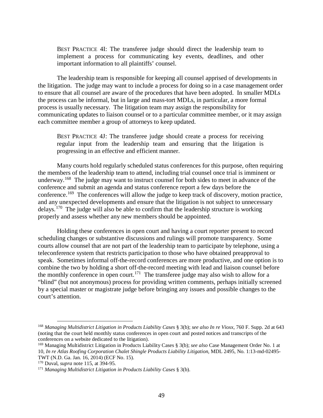BEST PRACTICE 4I: The transferee judge should direct the leadership team to implement a process for communicating key events, deadlines, and other important information to all plaintiffs' counsel.

The leadership team is responsible for keeping all counsel apprised of developments in the litigation. The judge may want to include a process for doing so in a case management order to ensure that all counsel are aware of the procedures that have been adopted. In smaller MDLs the process can be informal, but in large and mass-tort MDLs, in particular, a more formal process is usually necessary. The litigation team may assign the responsibility for communicating updates to liaison counsel or to a particular committee member, or it may assign each committee member a group of attorneys to keep updated.

BEST PRACTICE 4J: The transferee judge should create a process for receiving regular input from the leadership team and ensuring that the litigation is progressing in an effective and efficient manner.

Many courts hold regularly scheduled status conferences for this purpose, often requiring the members of the leadership team to attend, including trial counsel once trial is imminent or underway.<sup>168</sup> The judge may want to instruct counsel for both sides to meet in advance of the conference and submit an agenda and status conference report a few days before the conference.[169](#page-58-1) The conferences will allow the judge to keep track of discovery, motion practice, and any unexpected developments and ensure that the litigation is not subject to unnecessary delays.<sup>[170](#page-58-2)</sup> The judge will also be able to confirm that the leadership structure is working properly and assess whether any new members should be appointed.

Holding these conferences in open court and having a court reporter present to record scheduling changes or substantive discussions and rulings will promote transparency. Some courts allow counsel that are not part of the leadership team to participate by telephone, using a teleconference system that restricts participation to those who have obtained preapproval to speak. Sometimes informal off-the-record conferences are more productive, and one option is to combine the two by holding a short off-the-record meeting with lead and liaison counsel before the monthly conference in open court.<sup>[171](#page-58-3)</sup> The transferee judge may also wish to allow for a "blind" (but not anonymous) process for providing written comments, perhaps initially screened by a special master or magistrate judge before bringing any issues and possible changes to the court's attention.

<span id="page-58-0"></span> <sup>168</sup> *Managing Multidistrict Litigation in Products Liability Cases* § 3(b); *see also In re Vioxx*, 760 F. Supp. 2d at 643 (noting that the court held monthly status conferences in open court and posted notices and transcripts of the conferences on a website dedicated to the litigation).

<span id="page-58-1"></span><sup>169</sup> Managing Multidistrict Litigation in Products Liability Cases § 3(b); *see also* Case Management Order No. 1 at 10, *In re Atlas Roofing Corporation Chalet Shingle Products Liability Litigation*, MDL 2495, No. 1:13-md-02495- TWT (N.D. Ga. Jan. 16, 2014) (ECF No. 15).

<span id="page-58-2"></span><sup>170</sup> Duval, *supra* note 115, at 394-95.

<span id="page-58-3"></span><sup>171</sup> *Managing Multidistrict Litigation in Products Liability Cases* § 3(b).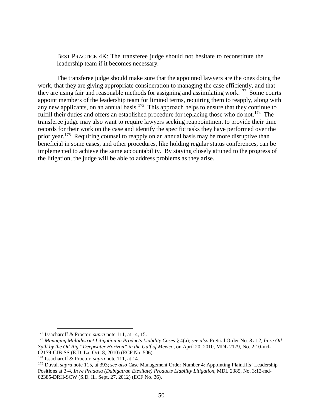BEST PRACTICE 4K: The transferee judge should not hesitate to reconstitute the leadership team if it becomes necessary.

The transferee judge should make sure that the appointed lawyers are the ones doing the work, that they are giving appropriate consideration to managing the case efficiently, and that they are using fair and reasonable methods for assigning and assimilating work.<sup>[172](#page-59-0)</sup> Some courts appoint members of the leadership team for limited terms, requiring them to reapply, along with any new applicants, on an annual basis.<sup>173</sup> This approach helps to ensure that they continue to fulfill their duties and offers an established procedure for replacing those who do not.<sup>[174](#page-59-2)</sup> The transferee judge may also want to require lawyers seeking reappointment to provide their time records for their work on the case and identify the specific tasks they have performed over the prior year.<sup>[175](#page-59-3)</sup> Requiring counsel to reapply on an annual basis may be more disruptive than beneficial in some cases, and other procedures, like holding regular status conferences, can be implemented to achieve the same accountability. By staying closely attuned to the progress of the litigation, the judge will be able to address problems as they arise.

<span id="page-59-0"></span> <sup>172</sup> Issacharoff & Proctor, *supra* note 111, at 14, 15.

<span id="page-59-1"></span><sup>173</sup> *Managing Multidistrict Litigation in Products Liability Cases* § 4(a); *see also* Pretrial Order No. 8 at 2, *In re Oil Spill by the Oil Rig "Deepwater Horizon" in the Gulf of Mexico*, on April 20, 2010, MDL 2179, No. 2:10-md-02179-CJB-SS (E.D. La. Oct. 8, 2010) (ECF No. 506).

<span id="page-59-2"></span><sup>174</sup> Issacharoff & Proctor, *supra* note 111, at 14.

<span id="page-59-3"></span><sup>175</sup> Duval, *supra* note 115, at 393; *see also* Case Management Order Number 4: Appointing Plaintiffs' Leadership Positions at 3-4, *In re Pradaxa (Dabigatran Etexilate) Products Liability Litigation*, MDL 2385, No. 3:12-md-02385-DRH-SCW (S.D. Ill. Sept. 27, 2012) (ECF No. 36).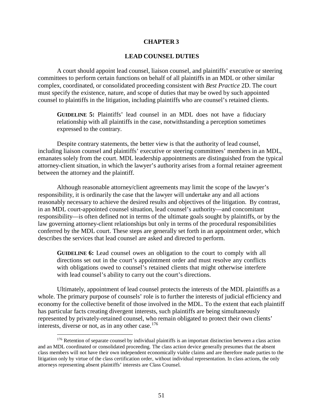## **CHAPTER 3**

## **LEAD COUNSEL DUTIES**

A court should appoint lead counsel, liaison counsel, and plaintiffs' executive or steering committees to perform certain functions on behalf of all plaintiffs in an MDL or other similar complex, coordinated, or consolidated proceeding consistent with *Best Practice* 2D. The court must specify the existence, nature, and scope of duties that may be owed by such appointed counsel to plaintiffs in the litigation, including plaintiffs who are counsel's retained clients.

**GUIDELINE 5:** Plaintiffs' lead counsel in an MDL does not have a fiduciary relationship with all plaintiffs in the case, notwithstanding a perception sometimes expressed to the contrary.

Despite contrary statements, the better view is that the authority of lead counsel, including liaison counsel and plaintiffs' executive or steering committees' members in an MDL, emanates solely from the court. MDL leadership appointments are distinguished from the typical attorney-client situation, in which the lawyer's authority arises from a formal retainer agreement between the attorney and the plaintiff.

Although reasonable attorney/client agreements may limit the scope of the lawyer's responsibility, it is ordinarily the case that the lawyer will undertake any and all actions reasonably necessary to achieve the desired results and objectives of the litigation. By contrast, in an MDL court-appointed counsel situation, lead counsel's authority––and concomitant responsibility––is often defined not in terms of the ultimate goals sought by plaintiffs, or by the law governing attorney-client relationships but only in terms of the procedural responsibilities conferred by the MDL court. These steps are generally set forth in an appointment order, which describes the services that lead counsel are asked and directed to perform.

**GUIDELINE 6:** Lead counsel owes an obligation to the court to comply with all directions set out in the court's appointment order and must resolve any conflicts with obligations owed to counsel's retained clients that might otherwise interfere with lead counsel's ability to carry out the court's directions.

Ultimately, appointment of lead counsel protects the interests of the MDL plaintiffs as a whole. The primary purpose of counsels' role is to further the interests of judicial efficiency and economy for the collective benefit of those involved in the MDL. To the extent that each plaintiff has particular facts creating divergent interests, such plaintiffs are being simultaneously represented by privately-retained counsel, who remain obligated to protect their own clients' interests, diverse or not, as in any other case. $176$ 

<span id="page-60-0"></span><sup>&</sup>lt;sup>176</sup> Retention of separate counsel by individual plaintiffs is an important distinction between a class action and an MDL coordinated or consolidated proceeding. The class action device generally presumes that the absent class members will not have their own independent economically viable claims and are therefore made parties to the litigation only by virtue of the class certification order, without individual representation. In class actions, the only attorneys representing absent plaintiffs' interests are Class Counsel.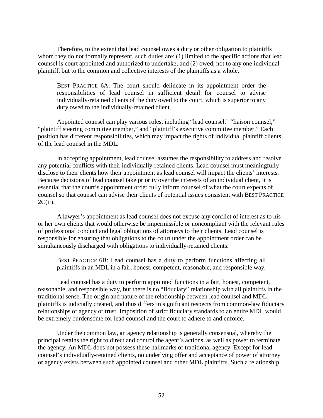Therefore, to the extent that lead counsel owes a duty or other obligation to plaintiffs whom they do not formally represent, such duties are: (1) limited to the specific actions that lead counsel is court appointed and authorized to undertake; and (2) owed, not to any one individual plaintiff, but to the common and collective interests of the plaintiffs as a whole.

BEST PRACTICE 6A: The court should delineate in its appointment order the responsibilities of lead counsel in sufficient detail for counsel to advise individually-retained clients of the duty owed to the court, which is superior to any duty owed to the individually-retained client.

Appointed counsel can play various roles, including "lead counsel," "liaison counsel," "plaintiff steering committee member," and "plaintiff's executive committee member." Each position has different responsibilities, which may impact the rights of individual plaintiff clients of the lead counsel in the MDL.

In accepting appointment, lead counsel assumes the responsibility to address and resolve any potential conflicts with their individually-retained clients. Lead counsel must meaningfully disclose to their clients how their appointment as lead counsel will impact the clients' interests. Because decisions of lead counsel take priority over the interests of an individual client, it is essential that the court's appointment order fully inform counsel of what the court expects of counsel so that counsel can advise their clients of potential issues consistent with BEST PRACTICE  $2C(ii)$ .

A lawyer's appointment as lead counsel does not excuse any conflict of interest as to his or her own clients that would otherwise be impermissible or noncompliant with the relevant rules of professional conduct and legal obligations of attorneys to their clients. Lead counsel is responsible for ensuring that obligations to the court under the appointment order can be simultaneously discharged with obligations to individually-retained clients.

BEST PRACTICE 6B: Lead counsel has a duty to perform functions affecting all plaintiffs in an MDL in a fair, honest, competent, reasonable, and responsible way.

Lead counsel has a duty to perform appointed functions in a fair, honest, competent, reasonable, and responsible way, but there is no "fiduciary" relationship with all plaintiffs in the traditional sense. The origin and nature of the relationship between lead counsel and MDL plaintiffs is judicially created, and thus differs in significant respects from common-law fiduciary relationships of agency or trust. Imposition of strict fiduciary standards to an entire MDL would be extremely burdensome for lead counsel and the court to adhere to and enforce.

Under the common law, an agency relationship is generally consensual, whereby the principal retains the right to direct and control the agent's actions, as well as power to terminate the agency. An MDL does not possess these hallmarks of traditional agency. Except for lead counsel's individually-retained clients, no underlying offer and acceptance of power of attorney or agency exists between such appointed counsel and other MDL plaintiffs. Such a relationship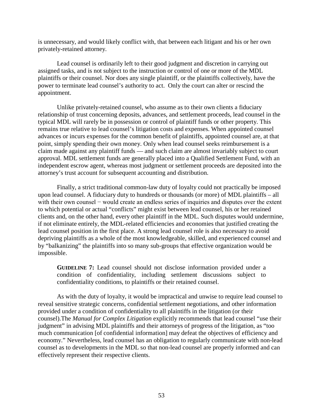is unnecessary, and would likely conflict with, that between each litigant and his or her own privately-retained attorney.

Lead counsel is ordinarily left to their good judgment and discretion in carrying out assigned tasks, and is not subject to the instruction or control of one or more of the MDL plaintiffs or their counsel. Nor does any single plaintiff, or the plaintiffs collectively, have the power to terminate lead counsel's authority to act. Only the court can alter or rescind the appointment.

Unlike privately-retained counsel, who assume as to their own clients a fiduciary relationship of trust concerning deposits, advances, and settlement proceeds, lead counsel in the typical MDL will rarely be in possession or control of plaintiff funds or other property. This remains true relative to lead counsel's litigation costs and expenses. When appointed counsel advances or incurs expenses for the common benefit of plaintiffs, appointed counsel are, at that point, simply spending their own money. Only when lead counsel seeks reimbursement is a claim made against any plaintiff funds — and such claim are almost invariably subject to court approval. MDL settlement funds are generally placed into a Qualified Settlement Fund, with an independent escrow agent, whereas most judgment or settlement proceeds are deposited into the attorney's trust account for subsequent accounting and distribution.

Finally, a strict traditional common-law duty of loyalty could not practically be imposed upon lead counsel. A fiduciary duty to hundreds or thousands (or more) of MDL plaintiffs – all with their own counsel – would create an endless series of inquiries and disputes over the extent to which potential or actual "conflicts" might exist between lead counsel, his or her retained clients and, on the other hand, every other plaintiff in the MDL. Such disputes would undermine, if not eliminate entirely, the MDL-related efficiencies and economies that justified creating the lead counsel position in the first place. A strong lead counsel role is also necessary to avoid depriving plaintiffs as a whole of the most knowledgeable, skilled, and experienced counsel and by "balkanizing" the plaintiffs into so many sub-groups that effective organization would be impossible.

**GUIDELINE 7:** Lead counsel should not disclose information provided under a condition of confidentiality, including settlement discussions subject to confidentiality conditions, to plaintiffs or their retained counsel.

As with the duty of loyalty, it would be impractical and unwise to require lead counsel to reveal sensitive strategic concerns, confidential settlement negotiations, and other information provided under a condition of confidentiality to all plaintiffs in the litigation (or their counsel).The *Manual for Complex Litigation* explicitly recommends that lead counsel "use their judgment" in advising MDL plaintiffs and their attorneys of progress of the litigation, as "too much communication [of confidential information] may defeat the objectives of efficiency and economy." Nevertheless, lead counsel has an obligation to regularly communicate with non-lead counsel as to developments in the MDL so that non-lead counsel are properly informed and can effectively represent their respective clients.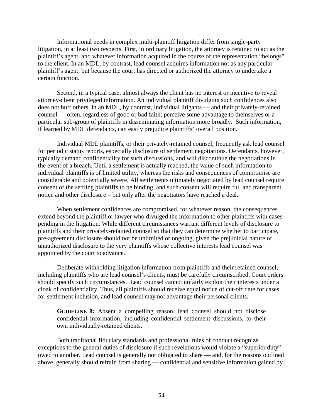Informational needs in complex multi-plaintiff litigation differ from single-party litigation, in at least two respects. First, in ordinary litigation, the attorney is retained to act as the plaintiff's agent, and whatever information acquired in the course of the representation "belongs" to the client. In an MDL, by contrast, lead counsel acquires information not as any particular plaintiff's agent, but because the court has directed or authorized the attorney to undertake a certain function.

Second, in a typical case, almost always the client has no interest or incentive to reveal attorney-client privileged information. An individual plaintiff divulging such confidences also does not hurt others. In an MDL, by contrast, individual litigants — and their privately-retained counsel — often, regardless of good or bad faith, perceive some advantage to themselves or a particular sub-group of plaintiffs in disseminating information more broadly. Such information, if learned by MDL defendants, can easily prejudice plaintiffs' overall position.

Individual MDL plaintiffs, or their privately-retained counsel, frequently ask lead counsel for periodic status reports, especially disclosure of settlement negotiations. Defendants, however, typically demand confidentiality for such discussions, and will discontinue the negotiations in the event of a breach. Until a settlement is actually reached, the value of such information to individual plaintiffs is of limited utility, whereas the risks and consequences of compromise are considerable and potentially severe. All settlements ultimately negotiated by lead counsel require consent of the settling plaintiffs to be binding, and such consent will require full and transparent notice and other disclosure – but only after the negotiators have reached a deal.

When settlement confidences are compromised, for whatever reason, the consequences extend beyond the plaintiff or lawyer who divulged the information to other plaintiffs with cases pending in the litigation. While different circumstances warrant different levels of disclosure to plaintiffs and their privately-retained counsel so that they can determine whether to participate, pre-agreement disclosure should not be unlimited or ongoing, given the prejudicial nature of unauthorized disclosure to the very plaintiffs whose collective interests lead counsel was appointed by the court to advance.

Deliberate withholding litigation information from plaintiffs and their retained counsel, including plaintiffs who are lead counsel's clients, must be carefully circumscribed. Court orders should specify such circumstances. Lead counsel cannot unfairly exploit their interests under a cloak of confidentiality. Thus, all plaintiffs should receive equal notice of cut-off date for cases for settlement inclusion, and lead counsel may not advantage their personal clients.

**GUIDELINE 8:** Absent a compelling reason, lead counsel should not disclose confidential information, including confidential settlement discussions, to their own individually-retained clients.

Both traditional fiduciary standards and professional rules of conduct recognize exceptions to the general duties of disclosure if such revelations would violate a "superior duty" owed to another. Lead counsel is generally not obligated to share — and, for the reasons outlined above, generally should refrain from sharing — confidential and sensitive information gained by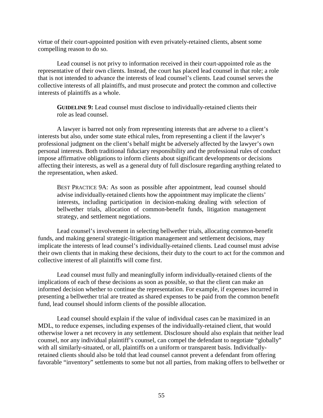virtue of their court-appointed position with even privately-retained clients, absent some compelling reason to do so.

Lead counsel is not privy to information received in their court-appointed role as the representative of their own clients. Instead, the court has placed lead counsel in that role; a role that is not intended to advance the interests of lead counsel's clients. Lead counsel serves the collective interests of all plaintiffs, and must prosecute and protect the common and collective interests of plaintiffs as a whole.

**GUIDELINE 9:** Lead counsel must disclose to individually-retained clients their role as lead counsel.

A lawyer is barred not only from representing interests that are adverse to a client's interests but also, under some state ethical rules, from representing a client if the lawyer's professional judgment on the client's behalf might be adversely affected by the lawyer's own personal interests. Both traditional fiduciary responsibility and the professional rules of conduct impose affirmative obligations to inform clients about significant developments or decisions affecting their interests, as well as a general duty of full disclosure regarding anything related to the representation, when asked.

BEST PRACTICE 9A: As soon as possible after appointment, lead counsel should advise individually-retained clients how the appointment may implicate the clients' interests, including participation in decision-making dealing with selection of bellwether trials, allocation of common-benefit funds, litigation management strategy, and settlement negotiations.

Lead counsel's involvement in selecting bellwether trials, allocating common-benefit funds, and making general strategic-litigation management and settlement decisions, may implicate the interests of lead counsel's individually-retained clients. Lead counsel must advise their own clients that in making these decisions, their duty to the court to act for the common and collective interest of all plaintiffs will come first.

Lead counsel must fully and meaningfully inform individually-retained clients of the implications of each of these decisions as soon as possible, so that the client can make an informed decision whether to continue the representation. For example, if expenses incurred in presenting a bellwether trial are treated as shared expenses to be paid from the common benefit fund, lead counsel should inform clients of the possible allocation.

Lead counsel should explain if the value of individual cases can be maximized in an MDL, to reduce expenses, including expenses of the individually-retained client, that would otherwise lower a net recovery in any settlement. Disclosure should also explain that neither lead counsel, nor any individual plaintiff's counsel, can compel the defendant to negotiate "globally" with all similarly-situated, or all, plaintiffs on a uniform or transparent basis. Individuallyretained clients should also be told that lead counsel cannot prevent a defendant from offering favorable "inventory" settlements to some but not all parties, from making offers to bellwether or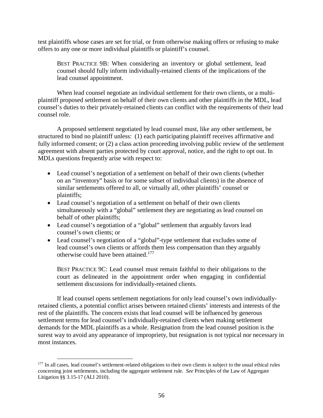test plaintiffs whose cases are set for trial, or from otherwise making offers or refusing to make offers to any one or more individual plaintiffs or plaintiff's counsel.

BEST PRACTICE 9B: When considering an inventory or global settlement, lead counsel should fully inform individually-retained clients of the implications of the lead counsel appointment.

When lead counsel negotiate an individual settlement for their own clients, or a multiplaintiff proposed settlement on behalf of their own clients and other plaintiffs in the MDL, lead counsel's duties to their privately-retained clients can conflict with the requirements of their lead counsel role.

A proposed settlement negotiated by lead counsel must, like any other settlement, be structured to bind no plaintiff unless: (1) each participating plaintiff receives affirmative and fully informed consent; or (2) a class action proceeding involving public review of the settlement agreement with absent parties protected by court approval, notice, and the right to opt out. In MDLs questions frequently arise with respect to:

- Lead counsel's negotiation of a settlement on behalf of their own clients (whether on an "inventory" basis or for some subset of individual clients) in the absence of similar settlements offered to all, or virtually all, other plaintiffs' counsel or plaintiffs;
- Lead counsel's negotiation of a settlement on behalf of their own clients simultaneously with a "global" settlement they are negotiating as lead counsel on behalf of other plaintiffs;
- Lead counsel's negotiation of a "global" settlement that arguably favors lead counsel's own clients; or
- Lead counsel's negotiation of a "global"-type settlement that excludes some of lead counsel's own clients or affords them less compensation than they arguably otherwise could have been attained.<sup>[177](#page-65-0)</sup>

BEST PRACTICE 9C: Lead counsel must remain faithful to their obligations to the court as delineated in the appointment order when engaging in confidential settlement discussions for individually-retained clients.

If lead counsel opens settlement negotiations for only lead counsel's own individuallyretained clients, a potential conflict arises between retained clients' interests and interests of the rest of the plaintiffs. The concern exists that lead counsel will be influenced by generous settlement terms for lead counsel's individually-retained clients when making settlement demands for the MDL plaintiffs as a whole. Resignation from the lead counsel position is the surest way to avoid any appearance of impropriety, but resignation is not typical nor necessary in most instances.

<span id="page-65-0"></span><sup>&</sup>lt;sup>177</sup> In all cases, lead counsel's settlement-related obligations to their own clients is subject to the usual ethical rules concerning joint settlements, including the aggregate settlement rule. *See* Principles of the Law of Aggregate Litigation §§ 3.15-17 (ALI 2010).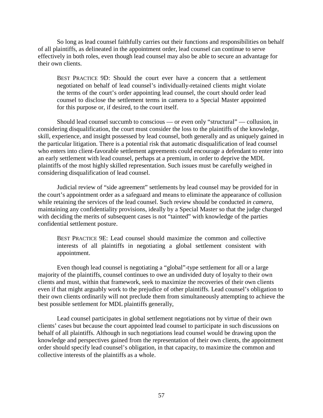So long as lead counsel faithfully carries out their functions and responsibilities on behalf of all plaintiffs, as delineated in the appointment order, lead counsel can continue to serve effectively in both roles, even though lead counsel may also be able to secure an advantage for their own clients.

BEST PRACTICE 9D: Should the court ever have a concern that a settlement negotiated on behalf of lead counsel's individually-retained clients might violate the terms of the court's order appointing lead counsel, the court should order lead counsel to disclose the settlement terms in camera to a Special Master appointed for this purpose or, if desired, to the court itself.

Should lead counsel succumb to conscious — or even only "structural" — collusion, in considering disqualification, the court must consider the loss to the plaintiffs of the knowledge, skill, experience, and insight possessed by lead counsel, both generally and as uniquely gained in the particular litigation. There is a potential risk that automatic disqualification of lead counsel who enters into client-favorable settlement agreements could encourage a defendant to enter into an early settlement with lead counsel, perhaps at a premium, in order to deprive the MDL plaintiffs of the most highly skilled representation. Such issues must be carefully weighed in considering disqualification of lead counsel.

Judicial review of "side agreement" settlements by lead counsel may be provided for in the court's appointment order as a safeguard and means to eliminate the appearance of collusion while retaining the services of the lead counsel. Such review should be conducted *in camera*, maintaining any confidentiality provisions, ideally by a Special Master so that the judge charged with deciding the merits of subsequent cases is not "tainted" with knowledge of the parties confidential settlement posture.

BEST PRACTICE 9E: Lead counsel should maximize the common and collective interests of all plaintiffs in negotiating a global settlement consistent with appointment.

Even though lead counsel is negotiating a "global"-type settlement for all or a large majority of the plaintiffs, counsel continues to owe an undivided duty of loyalty to their own clients and must, within that framework, seek to maximize the recoveries of their own clients even if that might arguably work to the prejudice of other plaintiffs. Lead counsel's obligation to their own clients ordinarily will not preclude them from simultaneously attempting to achieve the best possible settlement for MDL plaintiffs generally,

Lead counsel participates in global settlement negotiations not by virtue of their own clients' cases but because the court appointed lead counsel to participate in such discussions on behalf of all plaintiffs. Although in such negotiations lead counsel would be drawing upon the knowledge and perspectives gained from the representation of their own clients, the appointment order should specify lead counsel's obligation, in that capacity, to maximize the common and collective interests of the plaintiffs as a whole.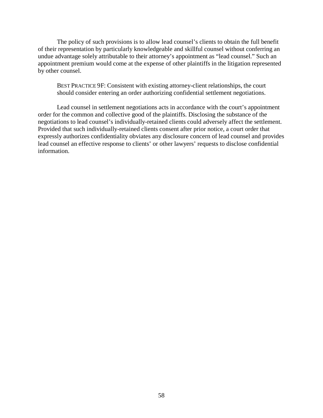The policy of such provisions is to allow lead counsel's clients to obtain the full benefit of their representation by particularly knowledgeable and skillful counsel without conferring an undue advantage solely attributable to their attorney's appointment as "lead counsel." Such an appointment premium would come at the expense of other plaintiffs in the litigation represented by other counsel.

BEST PRACTICE 9F: Consistent with existing attorney-client relationships, the court should consider entering an order authorizing confidential settlement negotiations.

Lead counsel in settlement negotiations acts in accordance with the court's appointment order for the common and collective good of the plaintiffs. Disclosing the substance of the negotiations to lead counsel's individually-retained clients could adversely affect the settlement. Provided that such individually-retained clients consent after prior notice, a court order that expressly authorizes confidentiality obviates any disclosure concern of lead counsel and provides lead counsel an effective response to clients' or other lawyers' requests to disclose confidential information.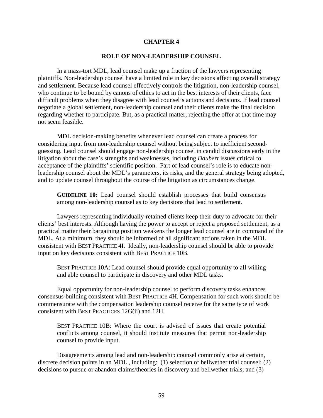## **CHAPTER 4**

#### **ROLE OF NON-LEADERSHIP COUNSEL**

In a mass-tort MDL, lead counsel make up a fraction of the lawyers representing plaintiffs. Non-leadership counsel have a limited role in key decisions affecting overall strategy and settlement. Because lead counsel effectively controls the litigation, non-leadership counsel, who continue to be bound by canons of ethics to act in the best interests of their clients, face difficult problems when they disagree with lead counsel's actions and decisions. If lead counsel negotiate a global settlement, non-leadership counsel and their clients make the final decision regarding whether to participate. But, as a practical matter, rejecting the offer at that time may not seem feasible.

MDL decision-making benefits whenever lead counsel can create a process for considering input from non-leadership counsel without being subject to inefficient secondguessing. Lead counsel should engage non-leadership counsel in candid discussions early in the litigation about the case's strengths and weaknesses, including *Daubert* issues critical to acceptance of the plaintiffs' scientific position. Part of lead counsel's role is to educate nonleadership counsel about the MDL's parameters, its risks, and the general strategy being adopted, and to update counsel throughout the course of the litigation as circumstances change.

**GUIDELINE 10:** Lead counsel should establish processes that build consensus among non-leadership counsel as to key decisions that lead to settlement.

Lawyers representing individually-retained clients keep their duty to advocate for their clients' best interests. Although having the power to accept or reject a proposed settlement, as a practical matter their bargaining position weakens the longer lead counsel are in command of the MDL. At a minimum, they should be informed of all significant actions taken in the MDL consistent with BEST PRACTICE 4I. Ideally, non-leadership counsel should be able to provide input on key decisions consistent with BEST PRACTICE 10B.

BEST PRACTICE 10A: Lead counsel should provide equal opportunity to all willing and able counsel to participate in discovery and other MDL tasks.

Equal opportunity for non-leadership counsel to perform discovery tasks enhances consensus-building consistent with BEST PRACTICE 4H. Compensation for such work should be commensurate with the compensation leadership counsel receive for the same type of work consistent with BEST PRACTICES 12G(ii) and 12H.

BEST PRACTICE 10B: Where the court is advised of issues that create potential conflicts among counsel, it should institute measures that permit non-leadership counsel to provide input.

Disagreements among lead and non-leadership counsel commonly arise at certain, discrete decision points in an MDL , including: (1) selection of bellwether trial counsel; (2) decisions to pursue or abandon claims/theories in discovery and bellwether trials; and (3)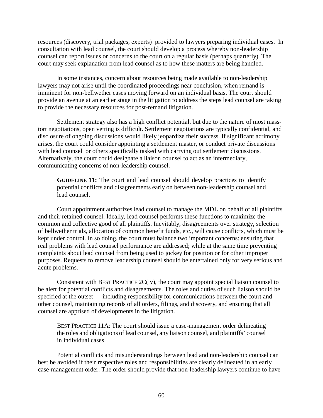resources (discovery, trial packages, experts) provided to lawyers preparing individual cases. In consultation with lead counsel, the court should develop a process whereby non-leadership counsel can report issues or concerns to the court on a regular basis (perhaps quarterly). The court may seek explanation from lead counsel as to how these matters are being handled.

In some instances, concern about resources being made available to non-leadership lawyers may not arise until the coordinated proceedings near conclusion, when remand is imminent for non-bellwether cases moving forward on an individual basis. The court should provide an avenue at an earlier stage in the litigation to address the steps lead counsel are taking to provide the necessary resources for post-remand litigation.

Settlement strategy also has a high conflict potential, but due to the nature of most masstort negotiations, open vetting is difficult. Settlement negotiations are typically confidential, and disclosure of ongoing discussions would likely jeopardize their success. If significant acrimony arises, the court could consider appointing a settlement master, or conduct private discussions with lead counsel or others specifically tasked with carrying out settlement discussions. Alternatively, the court could designate a liaison counsel to act as an intermediary, communicating concerns of non-leadership counsel.

**GUIDELINE 11:** The court and lead counsel should develop practices to identify potential conflicts and disagreements early on between non-leadership counsel and lead counsel.

Court appointment authorizes lead counsel to manage the MDL on behalf of all plaintiffs and their retained counsel. Ideally, lead counsel performs these functions to maximize the common and collective good of all plaintiffs. Inevitably, disagreements over strategy, selection of bellwether trials, allocation of common benefit funds, etc., will cause conflicts, which must be kept under control. In so doing, the court must balance two important concerns: ensuring that real problems with lead counsel performance are addressed; while at the same time preventing complaints about lead counsel from being used to jockey for position or for other improper purposes. Requests to remove leadership counsel should be entertained only for very serious and acute problems.

Consistent with BEST PRACTICE 2C(iv), the court may appoint special liaison counsel to be alert for potential conflicts and disagreements. The roles and duties of such liaison should be specified at the outset — including responsibility for communications between the court and other counsel, maintaining records of all orders, filings, and discovery, and ensuring that all counsel are apprised of developments in the litigation.

BEST PRACTICE 11A: The court should issue a case-management order delineating the roles and obligations of lead counsel, any liaison counsel, and plaintiffs' counsel in individual cases.

Potential conflicts and misunderstandings between lead and non-leadership counsel can best be avoided if their respective roles and responsibilities are clearly delineated in an early case-management order. The order should provide that non-leadership lawyers continue to have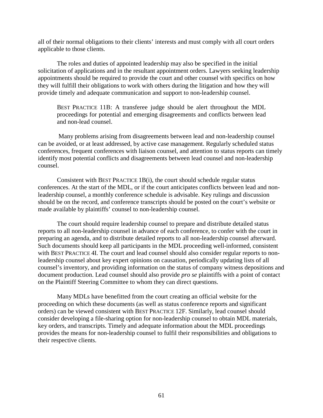all of their normal obligations to their clients' interests and must comply with all court orders applicable to those clients.

The roles and duties of appointed leadership may also be specified in the initial solicitation of applications and in the resultant appointment orders. Lawyers seeking leadership appointments should be required to provide the court and other counsel with specifics on how they will fulfill their obligations to work with others during the litigation and how they will provide timely and adequate communication and support to non-leadership counsel.

BEST PRACTICE 11B: A transferee judge should be alert throughout the MDL proceedings for potential and emerging disagreements and conflicts between lead and non-lead counsel.

Many problems arising from disagreements between lead and non-leadership counsel can be avoided, or at least addressed, by active case management. Regularly scheduled status conferences, frequent conferences with liaison counsel, and attention to status reports can timely identify most potential conflicts and disagreements between lead counsel and non-leadership counsel.

Consistent with BEST PRACTICE 1B(i), the court should schedule regular status conferences. At the start of the MDL, or if the court anticipates conflicts between lead and nonleadership counsel, a monthly conference schedule is advisable. Key rulings and discussion should be on the record, and conference transcripts should be posted on the court's website or made available by plaintiffs' counsel to non-leadership counsel.

The court should require leadership counsel to prepare and distribute detailed status reports to all non-leadership counsel in advance of each conference, to confer with the court in preparing an agenda, and to distribute detailed reports to all non-leadership counsel afterward. Such documents should keep all participants in the MDL proceeding well-informed, consistent with BEST PRACTICE 4I. The court and lead counsel should also consider regular reports to nonleadership counsel about key expert opinions on causation, periodically updating lists of all counsel's inventory, and providing information on the status of company witness depositions and document production. Lead counsel should also provide *pro se* plaintiffs with a point of contact on the Plaintiff Steering Committee to whom they can direct questions.

Many MDLs have benefitted from the court creating an official website for the proceeding on which these documents (as well as status conference reports and significant orders) can be viewed consistent with BEST PRACTICE 12F. Similarly, lead counsel should consider developing a file-sharing option for non-leadership counsel to obtain MDL materials, key orders, and transcripts. Timely and adequate information about the MDL proceedings provides the means for non-leadership counsel to fulfil their responsibilities and obligations to their respective clients.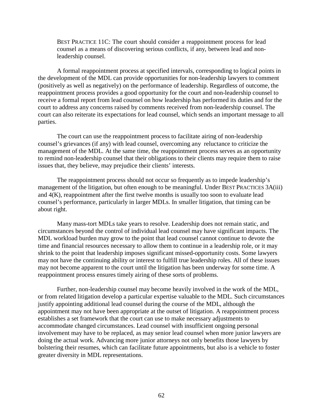BEST PRACTICE 11C: The court should consider a reappointment process for lead counsel as a means of discovering serious conflicts, if any, between lead and nonleadership counsel.

A formal reappointment process at specified intervals, corresponding to logical points in the development of the MDL can provide opportunities for non-leadership lawyers to comment (positively as well as negatively) on the performance of leadership. Regardless of outcome, the reappointment process provides a good opportunity for the court and non-leadership counsel to receive a formal report from lead counsel on how leadership has performed its duties and for the court to address any concerns raised by comments received from non-leadership counsel. The court can also reiterate its expectations for lead counsel, which sends an important message to all parties.

The court can use the reappointment process to facilitate airing of non-leadership counsel's grievances (if any) with lead counsel, overcoming any reluctance to criticize the management of the MDL. At the same time, the reappointment process serves as an opportunity to remind non-leadership counsel that their obligations to their clients may require them to raise issues that, they believe, may prejudice their clients' interests.

The reappointment process should not occur so frequently as to impede leadership's management of the litigation, but often enough to be meaningful. Under BEST PRACTICES 3A(iii) and 4(K), reappointment after the first twelve months is usually too soon to evaluate lead counsel's performance, particularly in larger MDLs. In smaller litigation, that timing can be about right.

Many mass-tort MDLs take years to resolve. Leadership does not remain static, and circumstances beyond the control of individual lead counsel may have significant impacts. The MDL workload burden may grow to the point that lead counsel cannot continue to devote the time and financial resources necessary to allow them to continue in a leadership role, or it may shrink to the point that leadership imposes significant missed-opportunity costs. Some lawyers may not have the continuing ability or interest to fulfill true leadership roles. All of these issues may not become apparent to the court until the litigation has been underway for some time. A reappointment process ensures timely airing of these sorts of problems.

Further, non-leadership counsel may become heavily involved in the work of the MDL, or from related litigation develop a particular expertise valuable to the MDL. Such circumstances justify appointing additional lead counsel during the course of the MDL, although the appointment may not have been appropriate at the outset of litigation. A reappointment process establishes a set framework that the court can use to make necessary adjustments to accommodate changed circumstances. Lead counsel with insufficient ongoing personal involvement may have to be replaced, as may senior lead counsel when more junior lawyers are doing the actual work. Advancing more junior attorneys not only benefits those lawyers by bolstering their resumes, which can facilitate future appointments, but also is a vehicle to foster greater diversity in MDL representations.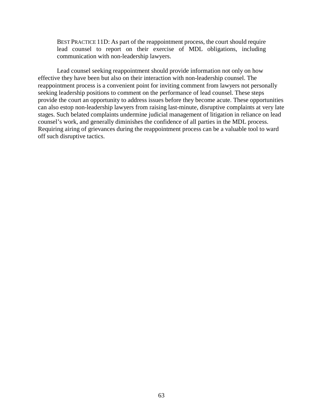BEST PRACTICE 11D: As part of the reappointment process, the court should require lead counsel to report on their exercise of MDL obligations, including communication with non-leadership lawyers.

Lead counsel seeking reappointment should provide information not only on how effective they have been but also on their interaction with non-leadership counsel. The reappointment process is a convenient point for inviting comment from lawyers not personally seeking leadership positions to comment on the performance of lead counsel. These steps provide the court an opportunity to address issues before they become acute. These opportunities can also estop non-leadership lawyers from raising last-minute, disruptive complaints at very late stages. Such belated complaints undermine judicial management of litigation in reliance on lead counsel's work, and generally diminishes the confidence of all parties in the MDL process. Requiring airing of grievances during the reappointment process can be a valuable tool to ward off such disruptive tactics.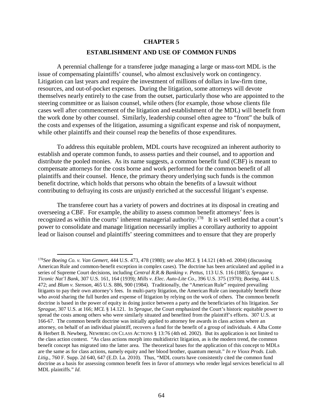## **CHAPTER 5**

## **ESTABLISHMENT AND USE OF COMMON FUNDS**

A perennial challenge for a transferee judge managing a large or mass-tort MDL is the issue of compensating plaintiffs' counsel, who almost exclusively work on contingency. Litigation can last years and require the investment of millions of dollars in law-firm time, resources, and out-of-pocket expenses. During the litigation, some attorneys will devote themselves nearly entirely to the case from the outset, particularly those who are appointed to the steering committee or as liaison counsel, while others (for example, those whose clients file cases well after commencement of the litigation and establishment of the MDL) will benefit from the work done by other counsel. Similarly, leadership counsel often agree to "front" the bulk of the costs and expenses of the litigation, assuming a significant expense and risk of nonpayment, while other plaintiffs and their counsel reap the benefits of those expenditures.

To address this equitable problem, MDL courts have recognized an inherent authority to establish and operate common funds, to assess parties and their counsel, and to apportion and distribute the pooled monies. As its name suggests, a common benefit fund (CBF) is meant to compensate attorneys for the costs borne and work performed for the common benefit of all plaintiffs and their counsel. Hence, the primary theory underlying such funds is the common benefit doctrine, which holds that persons who obtain the benefits of a lawsuit without contributing to defraying its costs are unjustly enriched at the successful litigant's expense.

The transferee court has a variety of powers and doctrines at its disposal in creating and overseeing a CBF. For example, the ability to assess common benefit attorneys' fees is recognized as within the courts' inherent managerial authority.<sup>178</sup> It is well settled that a court's power to consolidate and manage litigation necessarily implies a corollary authority to appoint lead or liaison counsel and plaintiffs' steering committees and to ensure that they are properly

<span id="page-73-0"></span> <sup>178</sup>*See Boeing Co. v. Van Gemert*, 444 U.S. 473, 478 (1980); *see also MCL* § 14.121 (4th ed. 2004) (discussing American Rule and common-benefit exception in complex cases). The doctrine has been articulated and applied in a series of Supreme Court decisions, including *Central R.R.& Banking v. Pettus*, 113 U.S. 116 (1885); *[Sprague v.](http://www.westlaw.com/Find/Default.wl?rs=dfa1.0&vr=2.0&DB=780&FindType=Y&ReferencePositionType=S&SerialNum=1939124178&ReferencePosition=164)  Ticonic Nat'l Bank*[, 307 U.S. 161, 164 \(1939\);](http://www.westlaw.com/Find/Default.wl?rs=dfa1.0&vr=2.0&DB=780&FindType=Y&ReferencePositionType=S&SerialNum=1939124178&ReferencePosition=164) *Mills v. Elec. Auto-Lite Co*., 396 U.S. 375 (1970); *Boeing*, 444 U.S. 472; and *Blum v. Stenson*, 465 U.S. 886, 900 (1984). Traditionally, the "American Rule" required prevailing litigants to pay their own attorney's fees. In multi-party litigation, the American Rule can inequitably benefit those who avoid sharing the full burden and expense of litigation by relying on the work of others. The common benefit doctrine is based in the power of equity in doing justice between a party and the beneficiaries of his litigation. *See Sprague*, 307 U.S. at 166; *MCL* [§ 14.121.](http://www.westlaw.com/Find/Default.wl?rs=dfa1.0&vr=2.0&DB=0109803&FindType=Y&SerialNum=0297010298) In *Sprague*, the Court emphasized the Court's historic equitable power to spread the costs among others who were similarly situated and benefited from the plaintiff's efforts. 307 U.S. at 166-67. The common benefit doctrine was initially applied to attorney fee awards in class actions where an attorney, on behalf of an individual plaintiff, recovers a fund for the benefit of a group of individuals. [4 Alba](http://www.westlaw.com/Find/Default.wl?rs=dfa1.0&vr=2.0&DB=0113076&FindType=Y&SerialNum=0292059217) Conte [& Herbert B. Newberg, NEWBERG ON CLASS ACTIONS](http://www.westlaw.com/Find/Default.wl?rs=dfa1.0&vr=2.0&DB=0113076&FindType=Y&SerialNum=0292059217) [§ 13:76 \(4th ed. 2002\).](http://www.westlaw.com/Find/Default.wl?rs=dfa1.0&vr=2.0&DB=0113076&FindType=Y&SerialNum=0292059217) But its application is not limited to the class action context. "As class actions morph into multidistrict litigation, as is the modern trend, the common benefit concept has migrated into the latter area. The theoretical bases for the application of this concept to MDLs are the same as for class actions, namely equity and her blood brother, quantum meruit." *In re Vioxx Prods. Liab. Litig*., 760 F. Supp. 2d 640, 647 (E.D. La. 2010). Thus, "MDL courts have consistently cited the common fund doctrine as a basis for assessing common benefit fees in favor of attorneys who render legal services beneficial to all MDL plaintiffs." *Id*.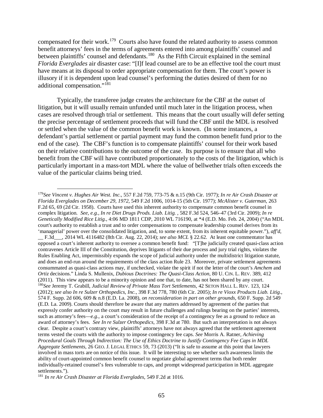compensated for their work.<sup>179</sup> Courts also have found the related authority to assess common benefit attorneys' fees in the terms of agreements entered into among plaintiffs' counsel and between plaintiffs' counsel and defendants.<sup>180</sup> As the Fifth Circuit explained in the seminal *Florida Everglades* air disaster case: "[I]f lead counsel are to be an effective tool the court must have means at its disposal to order appropriate compensation for them. The court's power is illusory if it is dependent upon lead counsel's performing the duties desired of them for no additional compensation."[181](#page-74-2)

Typically, the transferee judge creates the architecture for the CBF at the outset of litigation, but it will usually remain unfunded until much later in the litigation process, when cases are resolved through trial or settlement. This means that the court usually will defer setting the precise percentage of settlement proceeds that will fund the CBF until the MDL is resolved or settled when the value of the common benefit work is known. (In some instances, a defendant's partial settlement or partial payment may fund the common benefit fund prior to the end of the case). The CBF's function is to compensate plaintiffs' counsel for their work based on their relative contributions to the outcome of the case. Its purpose is to ensure that all who benefit from the CBF will have contributed proportionately to the costs of the litigation, which is particularly important in a mass-tort MDL where the value of bellwether trials often exceeds the value of the particular claims being tried.

<span id="page-74-1"></span><span id="page-74-0"></span> <sup>179</sup>*See Vincent v. Hughes Air West. Inc*., 557 F.2d 759, 773-75 & n.15 (9th Cir. 1977); *[In re Air Crash Disaster at](http://www.westlaw.com/Find/Default.wl?rs=dfa1.0&vr=2.0&DB=350&FindType=Y&SerialNum=1977104038)  [Florida Everglades on December 29, 1972](http://www.westlaw.com/Find/Default.wl?rs=dfa1.0&vr=2.0&DB=350&FindType=Y&SerialNum=1977104038)*, [549 F.2d 1006, 1014-15 \(5th Cir. 1977\);](http://www.westlaw.com/Find/Default.wl?rs=dfa1.0&vr=2.0&DB=350&FindType=Y&SerialNum=1977104038) *McAlister v. Guterman*, 263 F.2d 65, 69 (2d Cir. 1958). Courts have used this inherent authority to compensate common benefit counsel in complex litigation. *See, e.g., [In re Diet Drugs Prods. Liab. Litig.](http://www.westlaw.com/Find/Default.wl?rs=dfa1.0&vr=2.0&DB=506&FindType=Y&ReferencePositionType=S&SerialNum=2019983199&ReferencePosition=546)* [, 582 F.3d 524, 546–47 \(3rd Cir. 2009\);](http://www.westlaw.com/Find/Default.wl?rs=dfa1.0&vr=2.0&DB=506&FindType=Y&ReferencePositionType=S&SerialNum=2019983199&ReferencePosition=546) *[In re](http://www.westlaw.com/Find/Default.wl?rs=dfa1.0&vr=2.0&DB=999&FindType=Y&SerialNum=2021462091)  [Genetically Modified Rice Litig.](http://www.westlaw.com/Find/Default.wl?rs=dfa1.0&vr=2.0&DB=999&FindType=Y&SerialNum=2021462091)*, [4:06 MD 1811 CDP, 2010 WL 716190, at \\*4](http://www.westlaw.com/Find/Default.wl?rs=dfa1.0&vr=2.0&DB=999&FindType=Y&SerialNum=2021462091) (E.D. Mo. Feb. 24, 2004) ("An MDL court's authority to establish a trust and to order compensations to compensate leadership counsel derives from its 'managerial' power over the consolidated litigation, and, to some extent, from its inherent equitable power."), *aff'd*, \_\_ F.3d\_\_\_, 2014 WL 4116482 (8th Cir. Aug. 22, 2014); *see also MCL* [§ 22.62.](http://www.westlaw.com/Find/Default.wl?rs=dfa1.0&vr=2.0&DB=0109803&FindType=Y&SerialNum=0297010448) At least one commentator has opposed a court's inherent authority to oversee a common benefit fund: "[T]he judicially created quasi-class action contravenes Article III of the Constitution, deprives litigants of their due process and jury trial rights, violates the Rules Enabling Act, impermissibly expands the scope of judicial authority under the multidistrict litigation statute, and does an end-run around the requirements of the class action Rule 23. Moreover, private settlement agreements consummated as quasi-class actions may, if unchecked, violate the spirit if not the letter of the court's *Amchem* and *Ortiz* decisions." Linda S. Mullenix, *Dubious Doctrines: The Quasi-Class Action*, 80 U. CIN. L. REV. 389, 412 (2011). This view appears to be a minority opinion and one that, to date, has not been shared by any court. <sup>180</sup>*See* Jeremy T. Grabill, *Judicial Review of Private Mass Tort Settlements,* 42 SETON HALL L. REV. 123, 124 (2012); *see also In re Sulzer Orthopedics, Inc.*, 398 F.3d 778, 780 (6th Cir. 2005); *In re Vioxx Products Liab. Litig.*, 574 F. Supp. 2d 606, 609 & n.8 (E.D. La. 2008), *on reconsideration in part on other grounds,* 650 F. Supp. 2d 549 (E.D. La. 2009). Courts should therefore be aware that any matters addressed by agreement of the parties that expressly confer authority on the court may result in future challenges and rulings bearing on the parties' interests, such as attorney's fees—*e.g*., a court's consideration of the receipt of a contingency fee as a ground to reduce an award of attorney's fees. *See In re Sulzer Orthopedics*, 398 F.3d at 780. But such an interpretation is not always clear. Despite a court's contrary view, plaintiffs' attorneys have not always agreed that the settlement agreement terms vested the courts with the authority to impose contingency fee caps. *See* Morris A. Ratner, *Achieving Procedural Goals Through Indirection: The Use of Ethics Doctrine to Justify Contingency Fee Caps in MDL Aggregate Settlements*, 26 GEO. J. LEGAL ETHICS 59, 73 (2013) ("It is safe to assume at this point that lawyers involved in mass torts are on notice of this issue. It will be interesting to see whether such awareness limits the ability of court-appointed common benefit counsel to negotiate global agreement terms that both render individually-retained counsel's fees vulnerable to caps, and prompt widespread participation in MDL aggregate settlements.").

<span id="page-74-2"></span><sup>181</sup> *[In re Air Crash Disaster at Florida Everglades](http://www.westlaw.com/Find/Default.wl?rs=dfa1.0&vr=2.0&DB=350&FindType=Y&SerialNum=1977104038)*, [549 F.2d at 1016.](http://www.westlaw.com/Find/Default.wl?rs=dfa1.0&vr=2.0&DB=350&FindType=Y&SerialNum=1977104038)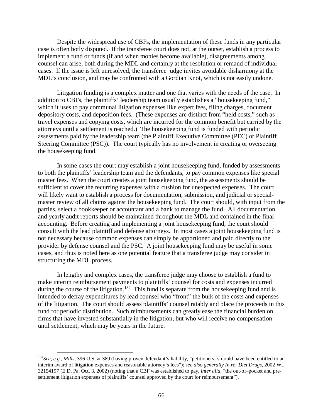Despite the widespread use of CBFs, the implementation of these funds in any particular case is often hotly disputed. If the transferee court does not, at the outset, establish a process to implement a fund or funds (if and when monies become available), disagreements among counsel can arise, both during the MDL and certainly at the resolution or remand of individual cases. If the issue is left unresolved, the transferee judge invites avoidable disharmony at the MDL's conclusion, and may be confronted with a Gordian Knot, which is not easily undone.

Litigation funding is a complex matter and one that varies with the needs of the case. In addition to CBFs, the plaintiffs' leadership team usually establishes a "housekeeping fund," which it uses to pay communal litigation expenses like expert fees, filing charges, document depository costs, and deposition fees. (These expenses are distinct from "held costs," such as travel expenses and copying costs, which are incurred for the common benefit but carried by the attorneys until a settlement is reached.) The housekeeping fund is funded with periodic assessments paid by the leadership team (the Plaintiff Executive Committee (PEC) or Plaintiff Steering Committee (PSC)). The court typically has no involvement in creating or overseeing the housekeeping fund.

In some cases the court may establish a joint housekeeping fund, funded by assessments to both the plaintiffs' leadership team and the defendants, to pay common expenses like special master fees. When the court creates a joint housekeeping fund, the assessments should be sufficient to cover the recurring expenses with a cushion for unexpected expenses. The court will likely want to establish a process for documentation, submission, and judicial or specialmaster review of all claims against the housekeeping fund. The court should, with input from the parties, select a bookkeeper or accountant and a bank to manage the fund. All documentation and yearly audit reports should be maintained throughout the MDL and contained in the final accounting. Before creating and implementing a joint housekeeping fund, the court should consult with the lead plaintiff and defense attorneys. In most cases a joint housekeeping fund is not necessary because common expenses can simply be apportioned and paid directly to the provider by defense counsel and the PSC. A joint housekeeping fund may be useful in some cases, and thus is noted here as one potential feature that a transferee judge may consider in structuring the MDL process.

In lengthy and complex cases, the transferee judge may choose to establish a fund to make interim reimbursement payments to plaintiffs' counsel for costs and expenses incurred during the course of the litigation.<sup>182</sup> This fund is separate from the housekeeping fund and is intended to defray expenditures by lead counsel who "front" the bulk of the costs and expenses of the litigation. The court should assess plaintiffs' counsel ratably and place the proceeds in this fund for periodic distribution. Such reimbursements can greatly ease the financial burden on firms that have invested substantially in the litigation, but who will receive no compensation until settlement, which may be years in the future.

<span id="page-75-0"></span> <sup>182</sup>*See, e.g.*, *Mills*, 396 U.S. at 389 (having proven defendant's liability, "petitioners [sh]ould have been entitled to an interim award of litigation expenses and reasonable attorney's fees"); *see also generally In re: Diet Drugs*, 2002 WL 32154197 (E.D. Pa. Oct. 3, 2002) (noting that a CBF was established to pay, *inter alia*, "the out-of–pocket and presettlement litigation expenses of plaintiffs' counsel approved by the court for reimbursement").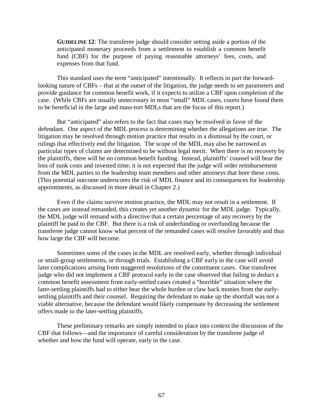**GUIDELINE 12**: The transferee judge should consider setting aside a portion of the anticipated monetary proceeds from a settlement to establish a common benefit fund (CBF) for the purpose of paying reasonable attorneys' fees, costs, and expenses from that fund.

This standard uses the term "anticipated" intentionally. It reflects in part the forwardlooking nature of CBFs – that at the outset of the litigation, the judge needs to set parameters and provide guidance for common benefit work, if it expects to utilize a CBF upon completion of the case. (While CBFs are usually unnecessary in most "small" MDL cases, courts have found them to be beneficial in the large and mass-tort MDLs that are the focus of this report.)

But "anticipated" also refers to the fact that cases may be resolved in favor of the defendant. One aspect of the MDL process is determining whether the allegations are true. The litigation may be resolved through motion practice that results in a dismissal by the court, or rulings that effectively end the litigation. The scope of the MDL may also be narrowed as particular types of claims are determined to be without legal merit. When there is no recovery by the plaintiffs, there will be no common benefit funding. Instead, plaintiffs' counsel will bear the loss of sunk costs and invested time; it is not expected that the judge will order reimbursement from the MDL parties to the leadership team members and other attorneys that bore these costs. (This potential outcome underscores the risk of MDL finance and its consequences for leadership appointments, as discussed in more detail in Chapter 2.)

Even if the claims survive motion practice, the MDL may not result in a settlement. If the cases are instead remanded, this creates yet another dynamic for the MDL judge. Typically, the MDL judge will remand with a directive that a certain percentage of any recovery by the plaintiff be paid to the CBF. But there is a risk of underfunding or overfunding because the transferee judge cannot know what percent of the remanded cases will resolve favorably and thus how large the CBF will become.

Sometimes some of the cases in the MDL are resolved early, whether through individual or small-group settlements, or through trials. Establishing a CBF early in the case will avoid later complications arising from staggered resolutions of the constituent cases. One transferee judge who did not implement a CBF protocol early in the case observed that failing to deduct a common benefit assessment from early-settled cases created a "horrible" situation where the later-settling plaintiffs had to either bear the whole burden or claw back monies from the earlysettling plaintiffs and their counsel. Requiring the defendant to make up the shortfall was not a viable alternative, because the defendant would likely compensate by decreasing the settlement offers made to the later-settling plaintiffs.

These preliminary remarks are simply intended to place into context the discussion of the CBF that follows—and the importance of careful consideration by the transferee judge of whether and how the fund will operate, early in the case.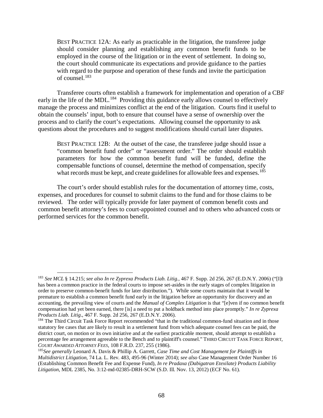BEST PRACTICE 12A: As early as practicable in the litigation, the transferee judge should consider planning and establishing any common benefit funds to be employed in the course of the litigation or in the event of settlement. In doing so, the court should communicate its expectations and provide guidance to the parties with regard to the purpose and operation of these funds and invite the participation of counsel. [183](#page-77-0)

Transferee courts often establish a framework for implementation and operation of a CBF early in the life of the MDL.<sup>184</sup> Providing this guidance early allows counsel to effectively manage the process and minimizes conflict at the end of the litigation. Courts find it useful to obtain the counsels' input, both to ensure that counsel have a sense of ownership over the process and to clarify the court's expectations. Allowing counsel the opportunity to ask questions about the procedures and to suggest modifications should curtail later disputes.

BEST PRACTICE 12B: At the outset of the case, the transferee judge should issue a "common benefit fund order" or "assessment order." The order should establish parameters for how the common benefit fund will be funded, define the compensable functions of counsel, determine the method of compensation, specify what records must be kept, and create guidelines for allowable fees and expenses.<sup>[185](#page-77-2)</sup>

The court's order should establish rules for the documentation of attorney time, costs, expenses, and procedures for counsel to submit claims to the fund and for those claims to be reviewed. The order will typically provide for later payment of common benefit costs and common benefit attorney's fees to court-appointed counsel and to others who advanced costs or performed services for the common benefit.

<span id="page-77-0"></span> <sup>183</sup> *See MCL* § 14.215; *see also In re Zyprexa Products Liab. Litig.*, 467 F. Supp. 2d 256, 267 (E.D.N.Y. 2006) ("[I]t has been a common practice in the federal courts to impose set-asides in the early stages of complex litigation in order to preserve common-benefit funds for later distribution."). While some courts maintain that it would be premature to establish a common benefit fund early in the litigation before an opportunity for discovery and an accounting, the prevailing view of courts and the *Manual of Complex Litigation* is that "[e]ven if no common benefit compensation had yet been earned, there [is] a need to put a holdback method into place promptly." *In re Zyprexa Products Liab. Litig*., 467 F. Supp. 2d 256, 267 (E.D.N.Y. 2006).

<span id="page-77-1"></span><sup>&</sup>lt;sup>184</sup> The Third Circuit Task Force Report recommended "that in the traditional common-fund situation and in those statutory fee cases that are likely to result in a settlement fund from which adequate counsel fees can be paid, the district court, on motion or its own initiative and at the earliest practicable moment, should attempt to establish a percentage fee arrangement agreeable to the Bench and to plaintiff's counsel." THIRD CIRCUIT TASK FORCE REPORT, *COURT AWARDED ATTORNEY FEES*, 108 F.R.D. 237, 255 (1986).

<span id="page-77-2"></span><sup>185</sup>*See generally* Leonard A. Davis & Phillip A. Garrett, *Case Time and Cost Management for Plaintiffs in Multidistrict Litigation,* 74 La. L. Rev. 483, 495-96 (Winter 2014); *see also* Case Management Order Number 16 (Establishing Common Benefit Fee and Expense Fund), *In re Pradaxa (Dabigatran Etexilate) Products Liability Litigation*, MDL 2385, No. 3:12-md-02385-DRH-SCW (S.D. Ill. Nov. 13, 2012) (ECF No. 61).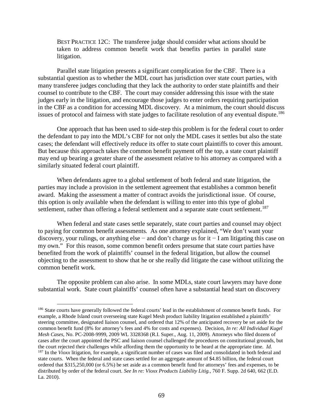BEST PRACTICE 12C: The transferee judge should consider what actions should be taken to address common benefit work that benefits parties in parallel state litigation.

Parallel state litigation presents a significant complication for the CBF. There is a substantial question as to whether the MDL court has jurisdiction over state court parties, with many transferee judges concluding that they lack the authority to order state plaintiffs and their counsel to contribute to the CBF. The court may consider addressing this issue with the state judges early in the litigation, and encourage those judges to enter orders requiring participation in the CBF as a condition for accessing MDL discovery. At a minimum, the court should discuss issues of protocol and fairness with state judges to facilitate resolution of any eventual dispute.<sup>[186](#page-78-0)</sup>

One approach that has been used to side-step this problem is for the federal court to order the defendant to pay into the MDL's CBF for not only the MDL cases it settles but also the state cases; the defendant will effectively reduce its offer to state court plaintiffs to cover this amount. But because this approach takes the common benefit payment off the top, a state court plaintiff may end up bearing a greater share of the assessment relative to his attorney as compared with a similarly situated federal court plaintiff.

When defendants agree to a global settlement of both federal and state litigation, the parties may include a provision in the settlement agreement that establishes a common benefit award. Making the assessment a matter of contract avoids the jurisdictional issue. Of course, this option is only available when the defendant is willing to enter into this type of global settlement, rather than offering a federal settlement and a separate state court settlement.<sup>[187](#page-78-1)</sup>

When federal and state cases settle separately, state court parties and counsel may object to paying for common benefit assessments. As one attorney explained, "We don't want your discovery, your rulings, or anything else − and don't charge us for it − I am litigating this case on my own." For this reason, some common benefit orders presume that state court parties have benefited from the work of plaintiffs' counsel in the federal litigation, but allow the counsel objecting to the assessment to show that he or she really did litigate the case without utilizing the common benefit work.

The opposite problem can also arise. In some MDLs, state court lawyers may have done substantial work. State court plaintiffs' counsel often have a substantial head start on discovery

<span id="page-78-1"></span><span id="page-78-0"></span><sup>&</sup>lt;sup>186</sup> State courts have generally followed the federal courts' lead in the establishment of common benefit funds. For example, a Rhode Island court overseeing state Kugel Mesh product liability litigation established a plaintiffs' steering committee, designated liaison counsel, and ordered that 12% of the anticipated recovery be set aside for the common benefit fund (8% for attorney's fees and 4% for costs and expenses). Decision, *In re: All Individual Kugel Mesh Cases*, No. PC-2008-9999, 2009 WL 3328368 (R.I. Super., Aug. 11, 2009). Attorneys who filed dozens of cases after the court appointed the PSC and liaison counsel challenged the procedures on constitutional grounds, but the court rejected their challenges while affording them the opportunity to be heard at the appropriate time. *Id.*  <sup>187</sup> In the *Vioxx* litigation, for example, a significant number of cases was filed and consolidated in both federal and state courts. When the federal and state cases settled for an aggregate amount of \$4.85 billion, the federal court ordered that \$315,250,000 (or 6.5%) be set aside as a common benefit fund for attorneys' fees and expenses, to be distributed by order of the federal court. *See In re: Vioxx Products Liability Litig.*, 760 F. Supp. 2d 640, 662 (E.D. La. 2010).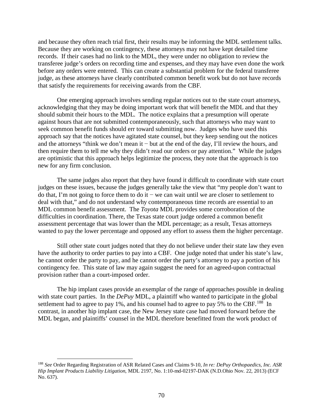and because they often reach trial first, their results may be informing the MDL settlement talks. Because they are working on contingency, these attorneys may not have kept detailed time records. If their cases had no link to the MDL, they were under no obligation to review the transferee judge's orders on recording time and expenses, and they may have even done the work before any orders were entered. This can create a substantial problem for the federal transferee judge, as these attorneys have clearly contributed common benefit work but do not have records that satisfy the requirements for receiving awards from the CBF.

One emerging approach involves sending regular notices out to the state court attorneys, acknowledging that they may be doing important work that will benefit the MDL and that they should submit their hours to the MDL. The notice explains that a presumption will operate against hours that are not submitted contemporaneously, such that attorneys who may want to seek common benefit funds should err toward submitting now. Judges who have used this approach say that the notices have agitated state counsel, but they keep sending out the notices and the attorneys "think we don't mean it − but at the end of the day, I'll review the hours, and then require them to tell me why they didn't read our orders or pay attention." While the judges are optimistic that this approach helps legitimize the process, they note that the approach is too new for any firm conclusion.

The same judges also report that they have found it difficult to coordinate with state court judges on these issues, because the judges generally take the view that "my people don't want to do that, I'm not going to force them to do it − we can wait until we are closer to settlement to deal with that," and do not understand why contemporaneous time records are essential to an MDL common benefit assessment. The *Toyota* MDL provides some corroboration of the difficulties in coordination. There, the Texas state court judge ordered a common benefit assessment percentage that was lower than the MDL percentage; as a result, Texas attorneys wanted to pay the lower percentage and opposed any effort to assess them the higher percentage.

Still other state court judges noted that they do not believe under their state law they even have the authority to order parties to pay into a CBF. One judge noted that under his state's law, he cannot order the party to pay, and he cannot order the party's attorney to pay a portion of his contingency fee. This state of law may again suggest the need for an agreed-upon contractual provision rather than a court-imposed order.

The hip implant cases provide an exemplar of the range of approaches possible in dealing with state court parties. In the *DePuy* MDL, a plaintiff who wanted to participate in the global settlement had to agree to pay 1%, and his counsel had to agree to pay  $5\%$  to the CBF.<sup>[188](#page-79-0)</sup> In contrast, in another hip implant case, the New Jersey state case had moved forward before the MDL began, and plaintiffs' counsel in the MDL therefore benefitted from the work product of

<span id="page-79-0"></span> <sup>188</sup> *See* Order Regarding Registration of ASR Related Cases and Claims 9-10, *In re: DePuy Orthopaedics, Inc. ASR Hip Implant Products Liability Litigation*, MDL 2197, No. 1:10-md-02197-DAK (N.D.Ohio Nov. 22, 2013) (ECF No. 637).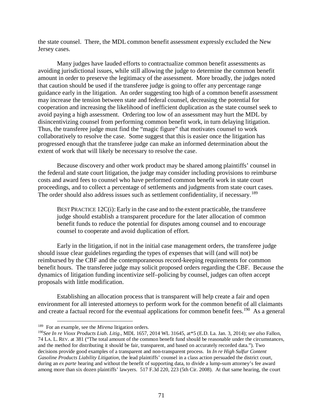the state counsel. There, the MDL common benefit assessment expressly excluded the New Jersey cases.

Many judges have lauded efforts to contractualize common benefit assessments as avoiding jurisdictional issues, while still allowing the judge to determine the common benefit amount in order to preserve the legitimacy of the assessment. More broadly, the judges noted that caution should be used if the transferee judge is going to offer any percentage range guidance early in the litigation. An order suggesting too high of a common benefit assessment may increase the tension between state and federal counsel, decreasing the potential for cooperation and increasing the likelihood of inefficient duplication as the state counsel seek to avoid paying a high assessment. Ordering too low of an assessment may hurt the MDL by disincentivizing counsel from performing common benefit work, in turn delaying litigation. Thus, the transferee judge must find the "magic figure" that motivates counsel to work collaboratively to resolve the case. Some suggest that this is easier once the litigation has progressed enough that the transferee judge can make an informed determination about the extent of work that will likely be necessary to resolve the case.

Because discovery and other work product may be shared among plaintiffs' counsel in the federal and state court litigation, the judge may consider including provisions to reimburse costs and award fees to counsel who have performed common benefit work in state court proceedings, and to collect a percentage of settlements and judgments from state court cases. The order should also address issues such as settlement confidentiality, if necessary.<sup>189</sup>

BEST PRACTICE  $12C(i)$ : Early in the case and to the extent practicable, the transferee judge should establish a transparent procedure for the later allocation of common benefit funds to reduce the potential for disputes among counsel and to encourage counsel to cooperate and avoid duplication of effort.

Early in the litigation, if not in the initial case management orders, the transferee judge should issue clear guidelines regarding the types of expenses that will (and will not) be reimbursed by the CBF and the contemporaneous record-keeping requirements for common benefit hours. The transferee judge may solicit proposed orders regarding the CBF. Because the dynamics of litigation funding incentivize self–policing by counsel, judges can often accept proposals with little modification.

Establishing an allocation process that is transparent will help create a fair and open environment for all interested attorneys to perform work for the common benefit of all claimants and create a factual record for the eventual applications for common benefit fees.<sup>[190](#page-80-1)</sup> As a general

<span id="page-80-0"></span> <sup>189</sup> For an example, see the *Mirena* litigation orders.

<span id="page-80-1"></span><sup>190</sup>*See In re Vioxx Products Liab. Litig*., MDL 1657, 2014 WL 31645, at\*5 (E.D. La. Jan. 3, 2014); *see also* Fallon, 74 LA. L. REV. at 381 ("The total amount of the common benefit fund should be reasonable under the circumstances, and the method for distributing it should be fair, transparent, and based on accurately recorded data."). Two decisions provide good examples of a transparent and non-transparent process. In *In re High Sulfur Content Gasoline Products Liability Litigation,* the lead plaintiffs' counsel in a class action persuaded the district court, during an *ex parte* hearing and without the benefit of supporting data, to divide a lump-sum attorney's fee award among more than six dozen plaintiffs' lawyers. 517 F.3d 220, 223 (5th Cir. 2008). At that same hearing, the court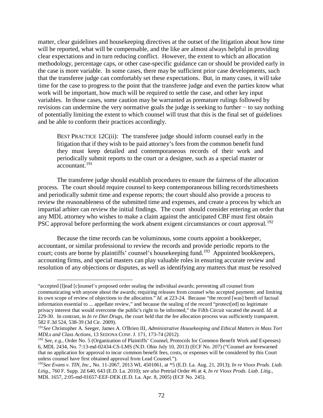matter, clear guidelines and housekeeping directives at the outset of the litigation about how time will be reported, what will be compensable, and the like are almost always helpful in providing clear expectations and in turn reducing conflict. However, the extent to which an allocation methodology, percentage caps, or other case-specific guidance can or should be provided early in the case is more variable. In some cases, there may be sufficient prior case developments, such that the transferee judge can comfortably set these expectations. But, in many cases, it will take time for the case to progress to the point that the transferee judge and even the parties know what work will be important, how much will be required to settle the case, and other key input variables. In those cases, some caution may be warranted as premature rulings followed by revisions can undermine the very normative goals the judge is seeking to further − to say nothing of potentially limiting the extent to which counsel will trust that this is the final set of guidelines and be able to conform their practices accordingly.

BEST PRACTICE 12C(ii): The transferee judge should inform counsel early in the litigation that if they wish to be paid attorney's fees from the common benefit fund they must keep detailed and contemporaneous records of their work and periodically submit reports to the court or a designee, such as a special master or accountant.[191](#page-81-0)

The transferee judge should establish procedures to ensure the fairness of the allocation process. The court should require counsel to keep contemporaneous billing records/timesheets and periodically submit time and expense reports; the court should also provide a process to review the reasonableness of the submitted time and expenses, and create a process by which an impartial arbiter can review the initial findings. The court should consider entering an order that any MDL attorney who wishes to make a claim against the anticipated CBF must first obtain PSC approval before performing the work absent exigent circumstances or court approval.<sup>[192](#page-81-1)</sup>

Because the time records can be voluminous, some courts appoint a bookkeeper, accountant, or similar professional to review the records and provide periodic reports to the court; costs are borne by plaintiffs' counsel's housekeeping fund.<sup>[193](#page-81-2)</sup> Appointed bookkeepers, accounting firms, and special masters can play valuable roles in ensuring accurate review and resolution of any objections or disputes, as well as identifying any matters that must be resolved

 <sup>&</sup>quot;accepted [l]ead [c]ounsel's proposed order sealing the individual awards; preventing all counsel from communicating with anyone about the awards; requiring releases from counsel who accepted payment; and limiting its own scope of review of objections to the allocation." *Id.* at 223-24. Because "the record [was] bereft of factual information essential to ... appellate review," and because the sealing of the record "protect[ed] no legitimate privacy interest that would overcome the public's right to be informed," the Fifth Circuit vacated the award. *Id.* at 229-30. In contrast, in *In re Diet Drugs*, the court held that the fee allocation process was sufficiently transparent. 582 F.3d 524, 538-39 (3d Cir. 2009).

<span id="page-81-0"></span><sup>191</sup>*See* Christopher A. Seeger, James A. O'Brien III, *Administrative Housekeeping and Ethical Matters in Mass Tort MDLs and Class Actions*, 13 SEDONA CONF. J. 171, 173-74 (2012).

<span id="page-81-1"></span><sup>192</sup> *See, e.g.,* Order No. 5 (Organization of Plaintiffs' Counsel, Protocols for Common Benefit Work and Expenses) 6, MDL 2434, No. 7:13-md-02434-CS-LMS (N.D. Ohio July 10, 2013) (ECF No. 207) ("Counsel are forewarned that no application for approval to incur common benefit fees, costs, or expenses will be considered by this Court unless counsel have first obtained approval from Lead Counsel.").

<span id="page-81-2"></span><sup>193</sup>*See Evans v. TIN, Inc.*, No. 11-2067, 2013 WL 4501061, at \*5 (E.D. La. Aug. 21, 2013); *In re Vioxx Prods. Liab. Litig*., 760 F. Supp. 2d 640, 643 (E.D. La. 2010); *see also* Pretrial Order #6 at 4, *In re Vioxx Prods. Liab. Litig*., MDL 1657, 2:05-md-01657-EEF-DEK (E.D. La. Apr. 8, 2005) (ECF No. 245).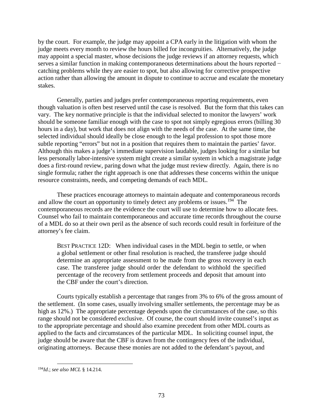by the court. For example, the judge may appoint a CPA early in the litigation with whom the judge meets every month to review the hours billed for incongruities. Alternatively, the judge may appoint a special master, whose decisions the judge reviews if an attorney requests, which serves a similar function in making contemporaneous determinations about the hours reported − catching problems while they are easier to spot, but also allowing for corrective prospective action rather than allowing the amount in dispute to continue to accrue and escalate the monetary stakes.

Generally, parties and judges prefer contemporaneous reporting requirements, even though valuation is often best reserved until the case is resolved. But the form that this takes can vary. The key normative principle is that the individual selected to monitor the lawyers' work should be someone familiar enough with the case to spot not simply egregious errors (billing 30 hours in a day), but work that does not align with the needs of the case. At the same time, the selected individual should ideally be close enough to the legal profession to spot those more subtle reporting "errors" but not in a position that requires them to maintain the parties' favor. Although this makes a judge's immediate supervision laudable, judges looking for a similar but less personally labor-intensive system might create a similar system in which a magistrate judge does a first-round review, paring down what the judge must review directly. Again, there is no single formula; rather the right approach is one that addresses these concerns within the unique resource constraints, needs, and competing demands of each MDL.

These practices encourage attorneys to maintain adequate and contemporaneous records and allow the court an opportunity to timely detect any problems or issues.<sup>[194](#page-82-0)</sup> The contemporaneous records are the evidence the court will use to determine how to allocate fees. Counsel who fail to maintain contemporaneous and accurate time records throughout the course of a MDL do so at their own peril as the absence of such records could result in forfeiture of the attorney's fee claim.

BEST PRACTICE 12D: When individual cases in the MDL begin to settle, or when a global settlement or other final resolution is reached, the transferee judge should determine an appropriate assessment to be made from the gross recovery in each case. The transferee judge should order the defendant to withhold the specified percentage of the recovery from settlement proceeds and deposit that amount into the CBF under the court's direction.

Courts typically establish a percentage that ranges from 3% to 6% of the gross amount of the settlement. (In some cases, usually involving smaller settlements, the percentage may be as high as 12%.) The appropriate percentage depends upon the circumstances of the case, so this range should not be considered exclusive. Of course, the court should invite counsel's input as to the appropriate percentage and should also examine precedent from other MDL courts as applied to the facts and circumstances of the particular MDL. In soliciting counsel input, the judge should be aware that the CBF is drawn from the contingency fees of the individual, originating attorneys. Because these monies are not added to the defendant's payout, and

<span id="page-82-0"></span> <sup>194</sup>*Id*.; *see also MCL* § 14.214.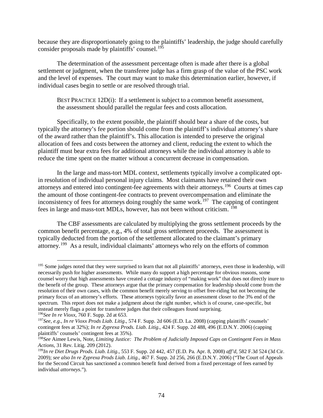because they are disproportionately going to the plaintiffs' leadership, the judge should carefully consider proposals made by plaintiffs' counsel.<sup>[195](#page-83-0)</sup>

The determination of the assessment percentage often is made after there is a global settlement or judgment, when the transferee judge has a firm grasp of the value of the PSC work and the level of expenses. The court may want to make this determination earlier, however, if individual cases begin to settle or are resolved through trial.

BEST PRACTICE 12D(i): If a settlement is subject to a common benefit assessment, the assessment should parallel the regular fees and costs allocation.

Specifically, to the extent possible, the plaintiff should bear a share of the costs, but typically the attorney's fee portion should come from the plaintiff's individual attorney's share of the award rather than the plaintiff's. This allocation is intended to preserve the original allocation of fees and costs between the attorney and client, reducing the extent to which the plaintiff must bear extra fees for additional attorneys while the individual attorney is able to reduce the time spent on the matter without a concurrent decrease in compensation.

In the large and mass-tort MDL context, settlements typically involve a complicated optin resolution of individual personal injury claims. Most claimants have retained their own attorneys and entered into contingent-fee agreements with their attorneys.[196](#page-83-1) Courts at times cap the amount of those contingent-fee contracts to prevent overcompensation and eliminate the inconsistency of fees for attorneys doing roughly the same work.<sup>197</sup> The capping of contingent fees in large and mass-tort MDLs, however, has not been without criticism. [198](#page-83-3)

The CBF assessments are calculated by multiplying the gross settlement proceeds by the common benefit percentage, e.g., 4% of total gross settlement proceeds. The assessment is typically deducted from the portion of the settlement allocated to the claimant's primary attorney.<sup>199</sup> As a result, individual claimants' attorneys who rely on the efforts of common

<span id="page-83-0"></span><sup>&</sup>lt;sup>195</sup> Some judges noted that they were surprised to learn that not all plaintiffs' attorneys, even those in leadership, will necessarily push for higher assessments. While many do support a high percentage for obvious reasons, some counsel worry that high assessments have created a cottage industry of "making work" that does not directly inure to the benefit of the group. These attorneys argue that the primary compensation for leadership should come from the resolution of their own cases, with the common benefit merely serving to offset free-riding but not becoming the primary focus of an attorney's efforts. These attorneys typically favor an assessment closer to the 3% end of the spectrum. This report does not make a judgment about the right number, which is of course, case-specific, but instead merely flags a point for transferee judges that their colleagues found surprising.  $^{196}$ See In re Vioxx, 760 F. Supp. 2d at 653.

<span id="page-83-2"></span><span id="page-83-1"></span><sup>&</sup>lt;sup>197</sup>See, e.g., *In re Vioxx Prods Liab. Litig.*, 574 F. Supp. 2d 606 (E.D. La. 2008) (capping plaintiffs' counsels' contingent fees at 32%); *In re Zyprexa Prods. Liab. Litig*., 424 F. Supp. 2d 488, 496 (E.D.N.Y. 2006) (capping plaintiffs' counsels' contingent fees at 35%).

<span id="page-83-3"></span><sup>198</sup>*See* Aimee Lewis, Note, *Limiting Justice: The Problem of Judicially Imposed Caps on Contingent Fees in Mass Actions*, 31 Rev. Litig. 209 (2012).

<span id="page-83-4"></span><sup>199</sup>*In re Diet Drugs Prods. Liab. Litig.*, 553 F. Supp. 2d 442, 457 (E.D. Pa. Apr. 8, 2008) *aff'd*, 582 F.3d 524 (3d Cir. 2009); *see also In re Zyprexa Prods Liab. Litig.*, 467 F. Supp. 2d 256, 266 (E.D.N.Y. 2006) ("The Court of Appeals for the Second Circuit has sanctioned a common benefit fund derived from a fixed percentage of fees earned by individual *attorneys*.").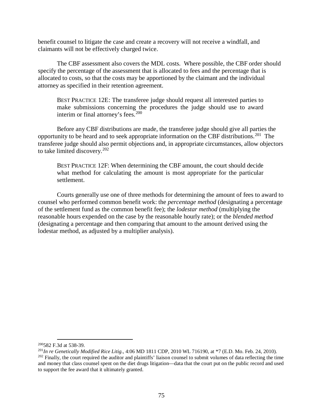benefit counsel to litigate the case and create a recovery will not receive a windfall, and claimants will not be effectively charged twice.

The CBF assessment also covers the MDL costs. Where possible, the CBF order should specify the percentage of the assessment that is allocated to fees and the percentage that is allocated to costs, so that the costs may be apportioned by the claimant and the individual attorney as specified in their retention agreement.

BEST PRACTICE 12E: The transferee judge should request all interested parties to make submissions concerning the procedures the judge should use to award interim or final attorney's fees.<sup>[200](#page-84-0)</sup>

Before any CBF distributions are made, the transferee judge should give all parties the opportunity to be heard and to seek appropriate information on the CBF distributions.[201](#page-84-1) The transferee judge should also permit objections and, in appropriate circumstances, allow objectors to take limited discovery.[202](#page-84-2)

BEST PRACTICE 12F: When determining the CBF amount, the court should decide what method for calculating the amount is most appropriate for the particular settlement.

Courts generally use one of three methods for determining the amount of fees to award to counsel who performed common benefit work: the *percentage method* (designating a percentage of the settlement fund as the common benefit fee); the *lodestar method* (multiplying the reasonable hours expended on the case by the reasonable hourly rate); or the *blended method* (designating a percentage and then comparing that amount to the amount derived using the lodestar method, as adjusted by a multiplier analysis).

<span id="page-84-0"></span> <sup>200582</sup> F.3d at 538-39.

<span id="page-84-2"></span><span id="page-84-1"></span><sup>201</sup>*In re Genetically Modified Rice Litig.*, 4:06 MD 1811 CDP, 2010 WL 716190, at \*7 (E.D. Mo. Feb. 24, 2010). <sup>202</sup> Finally, the court required the auditor and plaintiffs' liaison counsel to submit volumes of data reflecting the time and money that class counsel spent on the diet drugs litigation—data that the court put on the public record and used to support the fee award that it ultimately granted.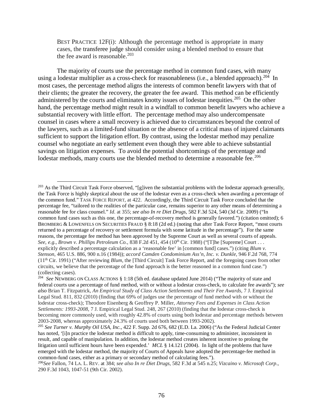BEST PRACTICE 12F(i): Although the percentage method is appropriate in many cases, the transferee judge should consider using a blended method to ensure that the fee award is reasonable. $203$ 

The majority of courts use the percentage method in common fund cases, with many using a lodestar multiplier as a cross-check for reasonableness (i.e., a blended approach).<sup>[204](#page-85-1)</sup> In most cases, the percentage method aligns the interests of common benefit lawyers with that of their clients; the greater the recovery, the greater the fee award. This method can be efficiently administered by the courts and eliminates knotty issues of lodestar inequities.<sup>[205](#page-85-2)</sup> On the other hand, the percentage method might result in a windfall to common benefit lawyers who achieve a substantial recovery with little effort. The percentage method may also undercompensate counsel in cases where a small recovery is achieved due to circumstances beyond the control of the lawyers, such as a limited-fund situation or the absence of a critical mass of injured claimants sufficient to support the litigation effort. By contrast, using the lodestar method may penalize counsel who negotiate an early settlement even though they were able to achieve substantial savings on litigation expenses. To avoid the potential shortcomings of the percentage and lodestar methods, many courts use the blended method to determine a reasonable fee.<sup>[206](#page-85-3)</sup>

<span id="page-85-0"></span> $^{203}$  As the Third Circuit Task Force observed, "[g]iven the substantial problems with the lodestar approach generally, the Task Force is highly skeptical about the use of the lodestar even as a cross-check when awarding a percentage of the common fund." TASK FORCE REPORT, at 422. Accordingly, the Third Circuit Task Force concluded that the percentage fee, "tailored to the realities of the particular case, remains superior to any other means of determining a reasonable fee for class counsel." *Id*. at 355; *see also In re Diet Drugs*, 582 F.3d 524, 540 (3d Cir. 2009) ("In common fund cases such as this one, the percentage-of-recovery method is generally favored.") (citation omitted); 6 BROMBERG & LOWENFELS ON SECURITIES FRAUD § 8:18 (2d ed.) (noting that after Task Force Report, "most courts returned to a percentage of recovery or settlement formula with some latitude in the percentage"). For the same reasons, the percentage fee method has been approved by the Supreme Court as well as several courts of appeals. *See, e.g., Brown v. Phillips Petroleum Co., 838 F.2d 451, 454 (10<sup>th</sup> Cir. 1988) ("[T]he [Supreme] Court . . .* explicitly described a percentage calculation as a 'reasonable fee' in [common fund] cases.") (citing *Blum v. Stenson*, 465 U.S. 886, 900 n.16 (1984)); *accord Camden Condominium Ass'n, Inc. v. Dunkle*, 946 F.2d 768, 774  $(11<sup>th</sup> Cir. 1991)$  ("After reviewing *Blum*, the [Third Circuit] Task Force Report, and the foregoing cases from other circuits, we believe that the percentage of the fund approach is the better reasoned in a common fund case.") (collecting cases).

<span id="page-85-1"></span><sup>204</sup> *See* NEWBERG ON CLASS ACTIONS § 1:18 (5th ed. database updated June 2014) ("The majority of state and federal courts use a percentage of fund method, with or without a lodestar cross-check, to calculate fee awards"); *see also* Brian T. Fitzpatrick, *An Empirical Study of Class Action Settlements and Their Fee Awards*, 7 J. Empirical Legal Stud. 811, 832 (2010) (finding that 69% of judges use the percentage of fund method with or without the lodestar cross-check); Theodore Eisenberg & Geoffrey P. Miller, *Attorney Fees and Expenses in Class Action Settlements: 1993-2008*, 7 J. Empirical Legal Stud. 248, 267 (2010) (finding that the lodestar cross-check is becoming more commonly used, with roughly 42.8% of courts using both lodestar and percentage methods between 2003-2008, whereas approximately 24.3% of courts used both between 1993-2002).

<span id="page-85-2"></span><sup>205</sup> *See Turner v. Murphy Oil USA, Inc.*, 422 F. Supp. 2d 676, 682 (E.D. La. 2006) ("As the Federal Judicial Center has noted, '[i]n practice the lodestar method is difficult to apply, time-consuming to administer, inconsistent in result, and capable of manipulation. In addition, the lodestar method creates inherent incentive to prolong the litigation until sufficient hours have been expended.' *MCL* § 14.121 (2004). In light of the problems that have emerged with the lodestar method, the majority of Courts of Appeals have adopted the percentage-fee method in common-fund cases, either as a primary or secondary method of calculating fees.").

<span id="page-85-3"></span><sup>206</sup>*See* Fallon, 74 LA. L. REV. at 384; *see also In re Diet Drugs*, 582 F.3d at 545 n.25; *Vizcaino v. Microsoft Corp*., 290 F.3d 1043, 1047-51 (9th Cir. 2002).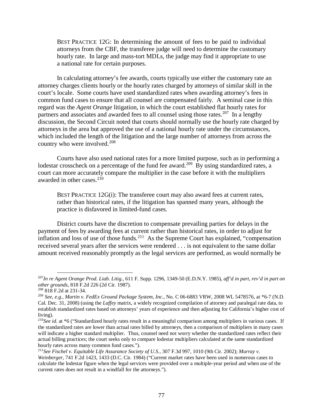BEST PRACTICE 12G: In determining the amount of fees to be paid to individual attorneys from the CBF, the transferee judge will need to determine the customary hourly rate. In large and mass-tort MDLs, the judge may find it appropriate to use a national rate for certain purposes.

In calculating attorney's fee awards, courts typically use either the customary rate an attorney charges clients hourly or the hourly rates charged by attorneys of similar skill in the court's locale. Some courts have used standardized rates when awarding attorney's fees in common fund cases to ensure that all counsel are compensated fairly. A seminal case in this regard was the *Agent Orange* litigation, in which the court established flat hourly rates for partners and associates and awarded fees to all counsel using those rates.<sup>207</sup> In a lengthy discussion, the Second Circuit noted that courts should normally use the hourly rate charged by attorneys in the area but approved the use of a national hourly rate under the circumstances, which included the length of the litigation and the large number of attorneys from across the country who were involved.<sup>[208](#page-86-1)</sup>

Courts have also used national rates for a more limited purpose, such as in performing a lodestar crosscheck on a percentage of the fund fee award.<sup>[209](#page-86-2)</sup> By using standardized rates, a court can more accurately compare the multiplier in the case before it with the multipliers awarded in other cases. $2^{10}$ 

BEST PRACTICE 12G(i): The transferee court may also award fees at current rates, rather than historical rates, if the litigation has spanned many years, although the practice is disfavored in limited-fund cases.

District courts have the discretion to compensate prevailing parties for delays in the payment of fees by awarding fees at current rather than historical rates, in order to adjust for inflation and loss of use of those funds.<sup>[211](#page-86-4)</sup> As the Supreme Court has explained, "compensation" received several years after the services were rendered . . . is not equivalent to the same dollar amount received reasonably promptly as the legal services are performed, as would normally be

<span id="page-86-0"></span> <sup>207</sup>*In re Agent Orange Prod. Liab. Litig.*, 611 F. Supp. 1296, 1349-50 (E.D.N.Y. 1985), *aff'd in part, rev'd in part on other grounds*, 818 F.2d 226 (2d Cir. 1987).

<span id="page-86-1"></span><sup>208</sup> 818 F.2d at 231-34.

<span id="page-86-2"></span><sup>209</sup> *See, e.g., Martin v. FedEx Ground Package System, Inc.*, No. C 06-6883 VRW, 2008 WL 5478576, at \*6-7 (N.D. Cal. Dec. 31, 2008) (using the *Laffey* matrix, a widely recognized compilation of attorney and paralegal rate data, to establish standardized rates based on attorneys' years of experience and then adjusting for California's higher cost of living).

<span id="page-86-3"></span><sup>&</sup>lt;sup>210</sup>See id. at \*6 ("Standardized hourly rates result in a meaningful comparison among multipliers in various cases. If the standardized rates are lower than actual rates billed by attorneys, then a comparison of multipliers in many cases will indicate a higher standard multiplier. Thus, counsel need not worry whether the standardized rates reflect their actual billing practices; the court seeks only to compare lodestar multipliers calculated at the same standardized hourly rates across many common fund cases.").

<span id="page-86-4"></span><sup>211</sup>*See Fischel v. Equitable Life Assurance Society of U.S.*, 307 F.3d 997, 1010 (9th Cir. 2002); *Murray v.* 

*Weinberger,* 741 F.2d 1423, 1433 (D.C. Cir. 1984) ("Current market rates have been used in numerous cases to calculate the lodestar figure when the legal services were provided over a multiple-year period and when use of the current rates does not result in a windfall for the attorneys.").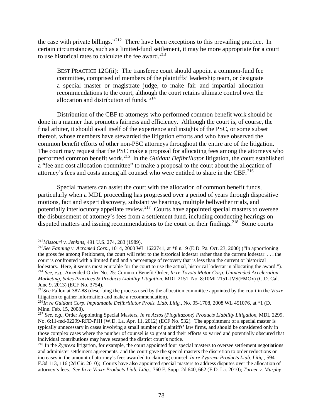the case with private billings."[212](#page-87-0) There have been exceptions to this prevailing practice. In certain circumstances, such as a limited-fund settlement, it may be more appropriate for a court to use historical rates to calculate the fee award. $213$ 

BEST PRACTICE 12G(ii): The transferee court should appoint a common-fund fee committee, comprised of members of the plaintiffs' leadership team, or designate a special master or magistrate judge, to make fair and impartial allocation recommendations to the court, although the court retains ultimate control over the allocation and distribution of funds. [214](#page-87-2)

Distribution of the CBF to attorneys who performed common benefit work should be done in a manner that promotes fairness and efficiency. Although the court is, of course, the final arbiter, it should avail itself of the experience and insights of the PSC, or some subset thereof, whose members have stewarded the litigation efforts and who have observed the common benefit efforts of other non-PSC attorneys throughout the entire arc of the litigation. The court may request that the PSC make a proposal for allocating fees among the attorneys who performed common benefit work.[215](#page-87-3) In the *Guidant Defibrillator* litigation, the court established a "fee and cost allocation committee" to make a proposal to the court about the allocation of attorney's fees and costs among all counsel who were entitled to share in the CBF.<sup>[216](#page-87-4)</sup>

Special masters can assist the court with the allocation of common benefit funds, particularly when a MDL proceeding has progressed over a period of years through dispositive motions, fact and expert discovery, substantive hearings, multiple bellwether trials, and potentially interlocutory appellate review.<sup>217</sup> Courts have appointed special masters to oversee the disbursement of attorney's fees from a settlement fund, including conducting hearings on disputed matters and issuing recommendations to the court on their findings.<sup>[218](#page-87-6)</sup> Some courts

<span id="page-87-0"></span> <sup>212</sup>*Missouri v. Jenkins,* 491 U.S. 274, 283 (1989).

<span id="page-87-1"></span><sup>213</sup>*See Fanning v. Acromed Corp.*, 1014, 2000 WL 1622741, at \*8 n.19 (E.D. Pa. Oct. 23, 2000) ("In apportioning the gross fee among Petitioners, the court will refer to the historical lodestar rather than the current lodestar. . . . the court is confronted with a limited fund and a percentage of recovery that is less than the current or historical lodestars. Here, it seems most equitable for the court to use the actual, historical lodestar in allocating the award."). <sup>214</sup> *See, e.g.,* Amended Order No. 25: Common Benefit Order, *In re Toyota Motor Corp. Unintended Acceleration Marketing, Sales Practices & Products Liability Litigation*, MDL 2151, No. 8:10ML2151-JVS(FMOx) (C.D. Cal. June 9, 2013) (ECF No. 3754).

<span id="page-87-3"></span><span id="page-87-2"></span><sup>215</sup>*See* Fallon at 387-88 (describing the process used by the allocation committee appointed by the court in the *Vioxx* litigation to gather information and make a recommendation).

<span id="page-87-4"></span><sup>216</sup>*In re Guidant Corp. Implantable Defibrillator Prods. Liab. Litig.*, No. 05-1708, 2008 WL 451076, at \*1 (D. Minn. Feb. 15, 2008).

<span id="page-87-5"></span><sup>217</sup> *See, e.g.,* Order Appointing Special Masters, *In re Actos (Pioglitazone) Products Liability Litigation*, MDL 2299, No. 6:11-md-02299-RFD-PJH (W.D. La. Apr. 11, 2012) (ECF No. 532). The appointment of a special master is typically unnecessary in cases involving a small number of plaintiffs' law firms, and should be considered only in those complex cases where the number of counsel is so great and their efforts so varied and potentially obscured that individual contributions may have escaped the district court's notice.

<span id="page-87-6"></span><sup>218</sup> In the *Zyprexa* litigation, for example, the court appointed four special masters to oversee settlement negotiations and administer settlement agreements, and the court gave the special masters the discretion to order reductions or increases in the amount of attorney's fees awarded to claiming counsel. *In re Zyprexa Products Liab. Litig.*, 594 F.3d 113, 116 (2d Cir. 2010); Courts have also appointed special masters to address disputes over the allocation of attorney's fees. *See In re Vioxx Products Liab. Litig.*, 760 F. Supp. 2d 640, 662 (E.D. La. 2010); *Turner v. Murphy*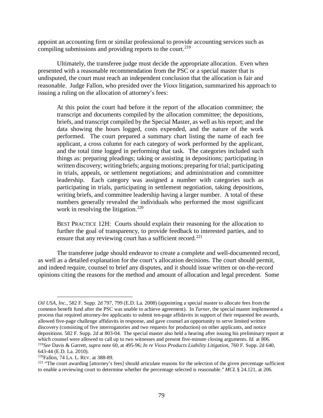appoint an accounting firm or similar professional to provide accounting services such as compiling submissions and providing reports to the court.<sup>219</sup>

Ultimately, the transferee judge must decide the appropriate allocation. Even when presented with a reasonable recommendation from the PSC or a special master that is undisputed, the court must reach an independent conclusion that the allocation is fair and reasonable. Judge Fallon, who presided over the *Vioxx* litigation, summarized his approach to issuing a ruling on the allocation of attorney's fees:

At this point the court had before it the report of the allocation committee; the transcript and documents compiled by the allocation committee; the depositions, briefs, and transcript compiled by the Special Master, as well as his report; and the data showing the hours logged, costs expended, and the nature of the work performed. The court prepared a summary chart listing the name of each fee applicant, a cross column for each category of work performed by the applicant, and the total time logged in performing that task. The categories included such things as: preparing pleadings; taking or assisting in depositions; participating in written discovery; writing briefs; arguing motions; preparing for trial; participating in trials, appeals, or settlement negotiations; and administration and committee leadership. Each category was assigned a number with categories such as participating in trials, participating in settlement negotiation, taking depositions, writing briefs, and committee leadership having a larger number. A total of these numbers generally revealed the individuals who performed the most significant work in resolving the litigation.<sup>[220](#page-88-1)</sup>

BEST PRACTICE 12H: Courts should explain their reasoning for the allocation to further the goal of transparency, to provide feedback to interested parties, and to ensure that any reviewing court has a sufficient record.<sup>[221](#page-88-2)</sup>

The transferee judge should endeavor to create a complete and well-documented record, as well as a detailed explanation for the court's allocation decisions. The court should permit, and indeed require, counsel to brief any disputes, and it should issue written or on-the-record opinions citing the reasons for the method and amount of allocation and legal precedent. Some

<span id="page-88-0"></span>643-44 (E.D. La. 2010).<br><sup>220</sup>Fallon, 74 LA. L. REV. at 388-89.

 $\overline{a}$ 

*Oil USA, Inc.*, 582 F. Supp. 2d 797, 799 (E.D. La. 2008) (appointing a special master to allocate fees from the common benefit fund after the PSC was unable to achieve agreement). In *Turner*, the special master implemented a process that required attorney-fee applicants to submit ten-page affidavits in support of their requested fee awards, allowed five-page challenge affidavits in response, and gave counsel an opportunity to serve limited written discovery (consisting of five interrogatories and two requests for production) on other applicants, and notice depositions. 582 F. Supp. 2d at 803-04. The special master also held a hearing after issuing his preliminary report at which counsel were allowed to call up to two witnesses and present five-minute closing arguments. *Id.* at 806. <sup>219</sup>*See* Davis & Garrett, *supra* note 60, at 495-96; *In re Vioxx Products Liability Litigation*, 760 F. Supp. 2d 640,

<span id="page-88-2"></span><span id="page-88-1"></span><sup>&</sup>lt;sup>221</sup> "The court awarding [attorney's fees] should articulate reasons for the selection of the given percentage sufficient to enable a reviewing court to determine whether the percentage selected is reasonable." *MCL* § 24.121, at 206.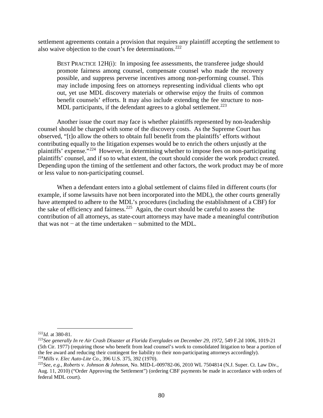settlement agreements contain a provision that requires any plaintiff accepting the settlement to also waive objection to the court's fee determinations.<sup>[222](#page-89-0)</sup>

BEST PRACTICE 12H(i): In imposing fee assessments, the transferee judge should promote fairness among counsel, compensate counsel who made the recovery possible, and suppress perverse incentives among non-performing counsel. This may include imposing fees on attorneys representing individual clients who opt out, yet use MDL discovery materials or otherwise enjoy the fruits of common benefit counsels' efforts. It may also include extending the fee structure to non-MDL participants, if the defendant agrees to a global settlement.<sup>[223](#page-89-1)</sup>

Another issue the court may face is whether plaintiffs represented by non-leadership counsel should be charged with some of the discovery costs. As the Supreme Court has observed, "[t]o allow the others to obtain full benefit from the plaintiffs' efforts without contributing equally to the litigation expenses would be to enrich the others unjustly at the plaintiffs' expense."[224](#page-89-2) However, in determining whether to impose fees on non-participating plaintiffs' counsel, and if so to what extent, the court should consider the work product created. Depending upon the timing of the settlement and other factors, the work product may be of more or less value to non-participating counsel.

When a defendant enters into a global settlement of claims filed in different courts (for example, if some lawsuits have not been incorporated into the MDL), the other courts generally have attempted to adhere to the MDL's procedures (including the establishment of a CBF) for the sake of efficiency and fairness.[225](#page-89-3) Again, the court should be careful to assess the contribution of all attorneys, as state-court attorneys may have made a meaningful contribution that was not − at the time undertaken − submitted to the MDL.

<span id="page-89-0"></span> <sup>222</sup>*Id.* at 380-81.

<span id="page-89-1"></span><sup>&</sup>lt;sup>223</sup>See generally In re Air Crash Disaster at Florida Everglades on December 29, 1972, 549 F.2d 1006, 1019-21 (5th Cir. 1977) (requiring those who benefit from lead counsel's work to consolidated litigation to bear a portion of the fee award and reducing their contingent fee liability to their non-participating attorneys accordingly). <sup>224</sup>*Mills v. Elec Auto-Lite Co*., 396 U.S. 375, 392 (1970).

<span id="page-89-3"></span><span id="page-89-2"></span><sup>225</sup>*See, e.g.*, *Roberts v. Johnson & Johnson*, No. MID-L-009782-06, 2010 WL 7504814 (N.J. Super. Ct. Law Div., Aug. 11, 2010) ("Order Approving the Settlement") (ordering CBF payments be made in accordance with orders of federal MDL court).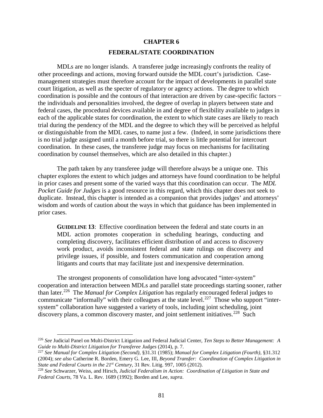## **CHAPTER 6 FEDERAL/STATE COORDINATION**

MDLs are no longer islands. A transferee judge increasingly confronts the reality of other proceedings and actions, moving forward outside the MDL court's jurisdiction. Casemanagement strategies must therefore account for the impact of developments in parallel state court litigation, as well as the specter of regulatory or agency actions. The degree to which coordination is possible and the contours of that interaction are driven by case-specific factors − the individuals and personalities involved, the degree of overlap in players between state and federal cases, the procedural devices available in and degree of flexibility available to judges in each of the applicable states for coordination, the extent to which state cases are likely to reach trial during the pendency of the MDL and the degree to which they will be perceived as helpful or distinguishable from the MDL cases, to name just a few. (Indeed, in some jurisdictions there is no trial judge assigned until a month before trial, so there is little potential for intercourt coordination. In these cases, the transferee judge may focus on mechanisms for facilitating coordination by counsel themselves, which are also detailed in this chapter.)

The path taken by any transferee judge will therefore always be a unique one. This chapter explores the extent to which judges and attorneys have found coordination to be helpful in prior cases and present some of the varied ways that this coordination can occur. The *MDL Pocket Guide for Judges* is a good resource in this regard, which this chapter does not seek to duplicate. Instead, this chapter is intended as a companion that provides judges' and attorneys' wisdom and words of caution about the ways in which that guidance has been implemented in prior cases.

**GUIDELINE 13**: Effective coordination between the federal and state courts in an MDL action promotes cooperation in scheduling hearings, conducting and completing discovery, facilitates efficient distribution of and access to discovery work product, avoids inconsistent federal and state rulings on discovery and privilege issues, if possible, and fosters communication and cooperation among litigants and courts that may facilitate just and inexpensive determination.

The strongest proponents of consolidation have long advocated "inter-system" cooperation and interaction between MDLs and parallel state proceedings starting sooner, rather than later.[226](#page-90-0) The *Manual for Complex Litigation* has regularly encouraged federal judges to communicate "informally" with their colleagues at the state level.<sup>[227](#page-90-1)</sup> Those who support "intersystem" collaboration have suggested a variety of tools, including joint scheduling, joint discovery plans, a common discovery master, and joint settlement initiatives.<sup>[228](#page-90-2)</sup> Such

<span id="page-90-0"></span> <sup>226</sup> *See* Judicial Panel on Multi-District Litigation and Federal Judicial Center, *Ten Steps to Better Management: A Guide to Multi-District Litigation for Transferee Judges* (2014), p. 7.

<span id="page-90-1"></span><sup>227</sup> *See Manual for Complex Litigation (Second),* §31.31 (1985); *Manual for Complex Litigation (Fourth)*, §31.312 (2004); *see also* Catherine R. Borden, Emery G. Lee, III, *Beyond Transfer: Coordination of Complex Litigation in State and Federal Courts in the 21st Century*, 31 Rev. Litig. 997, 1005 (2012).

<span id="page-90-2"></span><sup>228</sup> *See* Schwarzer, Weiss, and Hirsch, *Judicial Federalism in Action: Coordination of Litigation in State and Federal Courts*, 78 Va. L. Rev. 1689 (1992); Borden and Lee, *supra*.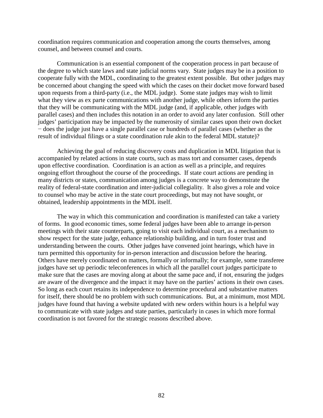coordination requires communication and cooperation among the courts themselves, among counsel, and between counsel and courts.

Communication is an essential component of the cooperation process in part because of the degree to which state laws and state judicial norms vary. State judges may be in a position to cooperate fully with the MDL, coordinating to the greatest extent possible. But other judges may be concerned about changing the speed with which the cases on their docket move forward based upon requests from a third-party (i.e., the MDL judge). Some state judges may wish to limit what they view as ex parte communications with another judge, while others inform the parties that they will be communicating with the MDL judge (and, if applicable, other judges with parallel cases) and then includes this notation in an order to avoid any later confusion. Still other judges' participation may be impacted by the numerosity of similar cases upon their own docket − does the judge just have a single parallel case or hundreds of parallel cases (whether as the result of individual filings or a state coordination rule akin to the federal MDL statute)?

Achieving the goal of reducing discovery costs and duplication in MDL litigation that is accompanied by related actions in state courts, such as mass tort and consumer cases, depends upon effective coordination. Coordination is an action as well as a principle, and requires ongoing effort throughout the course of the proceedings. If state court actions are pending in many districts or states, communication among judges is a concrete way to demonstrate the reality of federal-state coordination and inter-judicial collegiality. It also gives a role and voice to counsel who may be active in the state court proceedings, but may not have sought, or obtained, leadership appointments in the MDL itself.

The way in which this communication and coordination is manifested can take a variety of forms. In good economic times, some federal judges have been able to arrange in-person meetings with their state counterparts, going to visit each individual court, as a mechanism to show respect for the state judge, enhance relationship building, and in turn foster trust and understanding between the courts. Other judges have convened joint hearings, which have in turn permitted this opportunity for in-person interaction and discussion before the hearing. Others have merely coordinated on matters, formally or informally; for example, some transferee judges have set up periodic teleconferences in which all the parallel court judges participate to make sure that the cases are moving along at about the same pace and, if not, ensuring the judges are aware of the divergence and the impact it may have on the parties' actions in their own cases. So long as each court retains its independence to determine procedural and substantive matters for itself, there should be no problem with such communications. But, at a minimum, most MDL judges have found that having a website updated with new orders within hours is a helpful way to communicate with state judges and state parties, particularly in cases in which more formal coordination is not favored for the strategic reasons described above.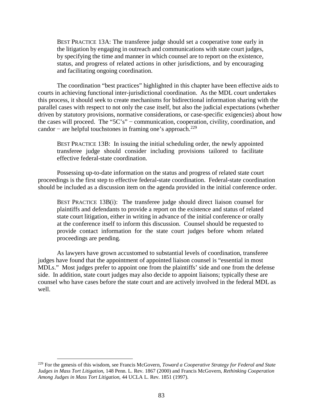BEST PRACTICE 13A: The transferee judge should set a cooperative tone early in the litigation by engaging in outreach and communications with state court judges, by specifying the time and manner in which counsel are to report on the existence, status, and progress of related actions in other jurisdictions, and by encouraging and facilitating ongoing coordination.

The coordination "best practices" highlighted in this chapter have been effective aids to courts in achieving functional inter-jurisdictional coordination. As the MDL court undertakes this process, it should seek to create mechanisms for bidirectional information sharing with the parallel cases with respect to not only the case itself, but also the judicial expectations (whether driven by statutory provisions, normative considerations, or case-specific exigencies) about how the cases will proceed. The "5C's" − communication, cooperation, civility, coordination, and candor – are helpful touchstones in framing one's approach.<sup>[229](#page-92-0)</sup>

BEST PRACTICE 13B: In issuing the initial scheduling order, the newly appointed transferee judge should consider including provisions tailored to facilitate effective federal-state coordination.

Possessing up-to-date information on the status and progress of related state court proceedings is the first step to effective federal-state coordination.Federal-state coordination should be included as a discussion item on the agenda provided in the initial conference order.

BEST PRACTICE 13B(i): The transferee judge should direct liaison counsel for plaintiffs and defendants to provide a report on the existence and status of related state court litigation, either in writing in advance of the initial conference or orally at the conference itself to inform this discussion. Counsel should be requested to provide contact information for the state court judges before whom related proceedings are pending.

As lawyers have grown accustomed to substantial levels of coordination, transferee judges have found that the appointment of appointed liaison counsel is "essential in most MDLs." Most judges prefer to appoint one from the plaintiffs' side and one from the defense side. In addition, state court judges may also decide to appoint liaisons; typically these are counsel who have cases before the state court and are actively involved in the federal MDL as well.

<span id="page-92-0"></span> <sup>229</sup> For the genesis of this wisdom, see Francis McGovern, *Toward a Cooperative Strategy for Federal and State Judges in Mass Tort Litigation*, 148 Penn. L. Rev. 1867 (2000) and Francis McGovern, *Rethinking Cooperation Among Judges in Mass Tort Litigation*, 44 UCLA L. Rev. 1851 (1997).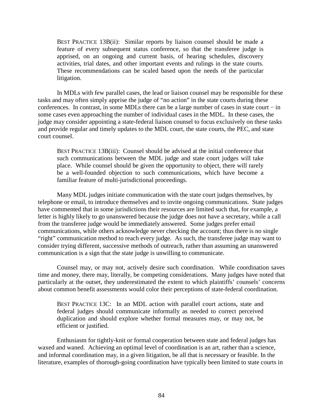BEST PRACTICE 13B(ii): Similar reports by liaison counsel should be made a feature of every subsequent status conference, so that the transferee judge is apprised, on an ongoing and current basis, of hearing schedules, discovery activities, trial dates, and other important events and rulings in the state courts. These recommendations can be scaled based upon the needs of the particular litigation.

In MDLs with few parallel cases, the lead or liaison counsel may be responsible for these tasks and may often simply apprise the judge of "no action" in the state courts during these conferences. In contrast, in some MDLs there can be a large number of cases in state court − in some cases even approaching the number of individual cases in the MDL. In these cases, the judge may consider appointing a state-federal liaison counsel to focus exclusively on these tasks and provide regular and timely updates to the MDL court, the state courts, the PEC, and state court counsel.

BEST PRACTICE 13B(iii): Counsel should be advised at the initial conference that such communications between the MDL judge and state court judges will take place. While counsel should be given the opportunity to object, there will rarely be a well-founded objection to such communications, which have become a familiar feature of multi-jurisdictional proceedings.

Many MDL judges initiate communication with the state court judges themselves, by telephone or email, to introduce themselves and to invite ongoing communications. State judges have commented that in some jurisdictions their resources are limited such that, for example, a letter is highly likely to go unanswered because the judge does not have a secretary, while a call from the transferee judge would be immediately answered. Some judges prefer email communications, while others acknowledge never checking the account; thus there is no single "right" communication method to reach every judge. As such, the transferee judge may want to consider trying different, successive methods of outreach, rather than assuming an unanswered communication is a sign that the state judge is unwilling to communicate.

Counsel may, or may not, actively desire such coordination. While coordination saves time and money, there may, literally, be competing considerations. Many judges have noted that particularly at the outset, they underestimated the extent to which plaintiffs' counsels' concerns about common benefit assessments would color their perceptions of state-federal coordination.

BEST PRACTICE 13C: In an MDL action with parallel court actions, state and federal judges should communicate informally as needed to correct perceived duplication and should explore whether formal measures may, or may not, be efficient or justified.

Enthusiasm for tightly-knit or formal cooperation between state and federal judges has waxed and waned. Achieving an optimal level of coordination is an art, rather than a science, and informal coordination may, in a given litigation, be all that is necessary or feasible. In the literature, examples of thorough-going coordination have typically been limited to state courts in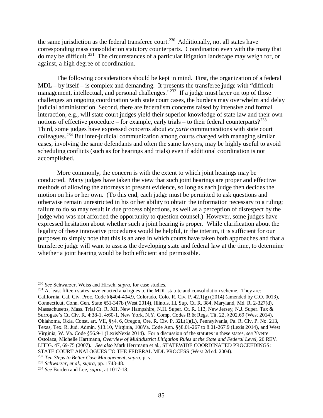the same jurisdiction as the federal transferee court.<sup>[230](#page-94-0)</sup> Additionally, not all states have corresponding mass consolidation statutory counterparts. Coordination even with the many that do may be difficult.[231](#page-94-1) The circumstances of a particular litigation landscape may weigh for, or against, a high degree of coordination.

The following considerations should be kept in mind. First, the organization of a federal MDL – by itself – is complex and demanding. It presents the transferee judge with "difficult management, intellectual, and personal challenges."<sup>[232](#page-94-2)</sup> If a judge must layer on top of those challenges an ongoing coordination with state court cases, the burdens may overwhelm and delay judicial administration. Second, there are federalism concerns raised by intensive and formal interaction, e.g., will state court judges yield their superior knowledge of state law and their own notions of effective procedure – for example, early trials – to their federal counterparts?<sup>233</sup> Third, some judges have expressed concerns about *ex parte* communications with state court colleagues.<sup>[234](#page-94-4)</sup> But inter-judicial communication among courts charged with managing similar cases, involving the same defendants and often the same lawyers, may be highly useful to avoid scheduling conflicts (such as for hearings and trials) even if additional coordination is not accomplished.

More commonly, the concern is with the extent to which joint hearings may be conducted. Many judges have taken the view that such joint hearings are proper and effective methods of allowing the attorneys to present evidence, so long as each judge then decides the motion on his or her own. (To this end, each judge must be permitted to ask questions and otherwise remain unrestricted in his or her ability to obtain the information necessary to a ruling; failure to do so may result in due process objections, as well as a perception of disrespect by the judge who was not afforded the opportunity to question counsel.) However, some judges have expressed hesitation about whether such a joint hearing is proper. While clarification about the legality of these innovative procedures would be helpful, in the interim, it is sufficient for our purposes to simply note that this is an area in which courts have taken both approaches and that a transferee judge will want to assess the developing state and federal law at the time, to determine whether a joint hearing would be both efficient and permissible.

<span id="page-94-0"></span> <sup>230</sup> *See* Schwarzer, Weiss and Hirsch, *supra*, for case studies.

<span id="page-94-1"></span><sup>&</sup>lt;sup>231</sup> At least fifteen states have enacted analogues to the MDL statute and consolidation scheme. They are: California, Cal. Civ. Proc. Code §§404-404.9, Colorado, Colo. R. Civ. P. 42.1(g) (2014) (amended by C.O. 0013), Connecticut, Conn. Gen. State §51-347b (West 2014), Illinois, Ill. Sup. Ct. R. 384, Maryland, Md. R. 2-327(d), Massachusetts, Mass. Trial Ct. R. XII, New Hampshire, N.H. Super. Ct. R. 113, New Jersey, N.J. Super. Tax & Surrogate's Ct. Civ. R. 4:38-1, 4:60-1, New York, N.Y. Comp. Codes R & Regs. Tit. 22, §202.69 (West 2014), Oklahoma, Okla. Const. art. VII, §§4, 6, Oregon, Ore. R. Civ. P. 32L(1)(L), Pennsylvania, Pa. R. Civ. P. No. 213, Texas, Tex. R. Jud. Admin. §13.10, Virginia, 108Va. Code Ann. §§8.01-267 to 8.01-267.9 (Lexis 2014), and West Virginia, W. Va. Code §56.9-1 (LexisNexis 2014). For a discussion of the statutes in these states, *see* Yvette Ostolaza, Michelle Hartmann, *Overview of Multidistrict Litigation Rules at the State and Federal Level,* 26 REV. LITIG. 47, 69-75 (2007). *See also* Mark Herrmann et al., STATEWIDE COORDINATED PROCEEDINGS: STATE COURT ANALOGUES TO THE FEDERAL MDL PROCESS (West 2d ed. 2004).

<span id="page-94-2"></span><sup>232</sup> *Ten Steps to Better Case Management, supra*, p. v.

<span id="page-94-3"></span><sup>233</sup> *Schwarzer, et al., supra*, pp. 1743-48.

<span id="page-94-4"></span><sup>234</sup> *See* Borden and Lee, *supra*, at 1017-18.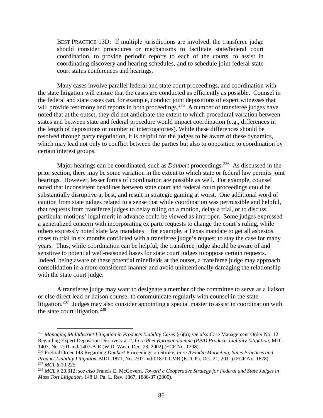BEST PRACTICE 13D: If multiple jurisdictions are involved, the transferee judge should consider procedures or mechanisms to facilitate state/federal court coordination, to provide periodic reports to each of the courts, to assist in coordinating discovery and hearing schedules, and to schedule joint federal-state court status conferences and hearings.

Many cases involve parallel federal and state court proceedings, and coordination with the state litigation will ensure that the cases are conducted as efficiently as possible. Counsel in the federal and state cases can, for example, conduct joint depositions of expert witnesses that will provide testimony and reports in both proceedings.<sup>[235](#page-95-0)</sup> A number of transferee judges have noted that at the outset, they did not anticipate the extent to which procedural variation between states and between state and federal procedure would impact coordination (e.g., differences in the length of depositions or number of interrogatories). While these differences should be resolved through party negotiation, it is helpful for the judges to be aware of these dynamics, which may lead not only to conflict between the parties but also to opposition to coordination by certain interest groups.

Major hearings can be coordinated, such as *Daubert* proceedings.<sup>[236](#page-95-1)</sup> As discussed in the prior section, there may be some variation in the extent to which state or federal law permits joint hearings. However, lesser forms of coordination are possible as well. For example, counsel noted that inconsistent deadlines between state court and federal court proceedings could be substantially disruptive at best, and result in strategic gaming at worst. One additional word of caution from state judges related to a sense that while coordination was permissible and helpful, that requests from transferee judges to delay ruling on a motion, delay a trial, or to discuss particular motions' legal merit in advance could be viewed as improper. Some judges expressed a generalized concern with incorporating ex parte requests to change the court's ruling, while others expressly noted state law mandates − for example, a Texas mandate to get all asbestos cases to trial in six months conflicted with a transferee judge's request to stay the case for many years. Thus, while coordination can be helpful, the transferee judge should be aware of and sensitive to potential well-reasoned bases for state court judges to oppose certain requests. Indeed, being aware of these potential minefields at the outset, a transferee judge may approach consolidation in a more considered manner and avoid unintentionally damaging the relationship with the state court judge.

A transferee judge may want to designate a member of the committee to serve as a liaison or else direct lead or liaison counsel to communicate regularly with counsel in the state litigation.<sup>237</sup> Judges may also consider appointing a special master to assist in coordination with the state court litigation.<sup>[238](#page-95-3)</sup>

<span id="page-95-0"></span> <sup>235</sup> *Managing Multidistrict Litigation in Products Liability Cases* § 6(a); *see also* Case Management Order No. 12 Regarding Expert Deposition Discovery at 2, *In re Phenylpropanolamine (PPA) Products Liability Litigation*, MDL 1407, No. 2:01-md-1407-BJR (W.D. Wash. Dec. 23, 2002) (ECF No. 1298).

<span id="page-95-1"></span><sup>236</sup> Pretrial Order 143 Regarding *Daubert* Proceedings on Stroke, *In re Avandia Marketing, Sales Practices and Product Liability Litigation*, MDL 1871, No. 2:07-md-01871-CMR (E.D. Pa. Oct. 21, 2011) (ECF No. 1878). <sup>237</sup> *MCL* § 10.225.

<span id="page-95-3"></span><span id="page-95-2"></span><sup>238</sup> *MCL* § 20.312; *see also* Francis E. McGovern, *Toward a Cooperative Strategy for Federal and State Judges in Mass Tort Litigation,* 148 U. Pa. L. Rev. 1867, 1886-87 (2000).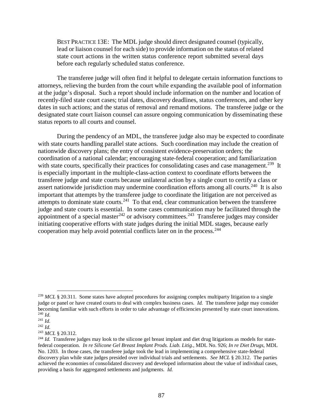BEST PRACTICE 13E: The MDL judge should direct designated counsel (typically, lead or liaison counsel for each side) to provide information on the status of related state court actions in the written status conference report submitted several days before each regularly scheduled status conference.

The transferee judge will often find it helpful to delegate certain information functions to attorneys, relieving the burden from the court while expanding the available pool of information at the judge's disposal. Such a report should include information on the number and location of recently-filed state court cases; trial dates, discovery deadlines, status conferences, and other key dates in such actions; and the status of removal and remand motions. The transferee judge or the designated state court liaison counsel can assure ongoing communication by disseminating these status reports to all courts and counsel.

During the pendency of an MDL, the transferee judge also may be expected to coordinate with state courts handling parallel state actions. Such coordination may include the creation of nationwide discovery plans; the entry of consistent evidence-preservation orders; the coordination of a national calendar; encouraging state-federal cooperation; and familiarization with state courts, specifically their practices for consolidating cases and case management.<sup>[239](#page-96-0)</sup> It is especially important in the multiple-class-action context to coordinate efforts between the transferee judge and state courts because unilateral action by a single court to certify a class or assert nationwide jurisdiction may undermine coordination efforts among all courts.<sup>240</sup> It is also important that attempts by the transferee judge to coordinate the litigation are not perceived as attempts to dominate state courts.<sup>[241](#page-96-2)</sup> To that end, clear communication between the transferee judge and state courts is essential. In some cases communication may be facilitated through the appointment of a special master<sup>[242](#page-96-3)</sup> or advisory committees.<sup>[243](#page-96-4)</sup> Transferee judges may consider initiating cooperative efforts with state judges during the initial MDL stages, because early cooperation may help avoid potential conflicts later on in the process.[244](#page-96-5)

<span id="page-96-0"></span><sup>&</sup>lt;sup>239</sup> *MCL* § 20.311. Some states have adopted procedures for assigning complex multiparty litigation to a single judge or panel or have created courts to deal with complex business cases. *Id.* The transferee judge may consider becoming familiar with such efforts in order to take advantage of efficiencies presented by state court innovations. <sup>240</sup> *Id.*

<span id="page-96-2"></span><span id="page-96-1"></span><sup>241</sup> *Id.*

<span id="page-96-3"></span><sup>242</sup> *Id.*

<span id="page-96-4"></span><sup>243</sup> *MCL* § 20.312.

<span id="page-96-5"></span><sup>&</sup>lt;sup>244</sup> *Id.* Transferee judges may look to the silicone gel breast implant and diet drug litigations as models for statefederal cooperation. *In re Silicone Gel Breast Implant Prods. Liab. Litig.*, MDL No. 926; *In re Diet Drugs*, MDL No. 1203. In those cases, the transferee judge took the lead in implementing a comprehensive state-federal discovery plan while state judges presided over individual trials and settlements. *See MCL* § 20.312. The parties achieved the economies of consolidated discovery and developed information about the value of individual cases, providing a basis for aggregated settlements and judgments. *Id.*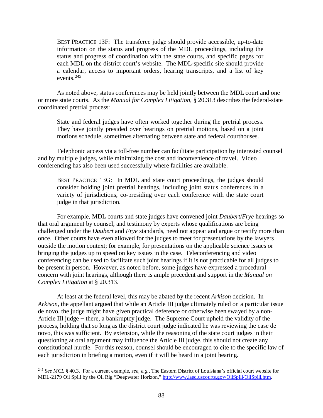BEST PRACTICE 13F: The transferee judge should provide accessible, up-to-date information on the status and progress of the MDL proceedings, including the status and progress of coordination with the state courts, and specific pages for each MDL on the district court's website. The MDL-specific site should provide a calendar, access to important orders, hearing transcripts, and a list of key events.[245](#page-97-0)

As noted above, status conferences may be held jointly between the MDL court and one or more state courts. As the *Manual for Complex Litigation,* § 20.313 describes the federal-state coordinated pretrial process:

State and federal judges have often worked together during the pretrial process. They have jointly presided over hearings on pretrial motions, based on a joint motions schedule, sometimes alternating between state and federal courthouses.

Telephonic access via a toll-free number can facilitate participation by interested counsel and by multiple judges, while minimizing the cost and inconvenience of travel. Video conferencing has also been used successfully where facilities are available.

BEST PRACTICE 13G: In MDL and state court proceedings, the judges should consider holding joint pretrial hearings, including joint status conferences in a variety of jurisdictions, co-presiding over each conference with the state court judge in that jurisdiction.

For example, MDL courts and state judges have convened joint *Daubert*/*Frye* hearings so that oral argument by counsel, and testimony by experts whose qualifications are being challenged under the *Daubert* and *Frye* standards, need not appear and argue or testify more than once. Other courts have even allowed for the judges to meet for presentations by the lawyers outside the motion context; for example, for presentations on the applicable science issues or bringing the judges up to speed on key issues in the case. Teleconferencing and video conferencing can be used to facilitate such joint hearings if it is not practicable for all judges to be present in person. However, as noted before, some judges have expressed a procedural concern with joint hearings, although there is ample precedent and support in the *Manual on Complex Litigation* at § 20.313.

At least at the federal level, this may be abated by the recent *Arkison* decision. In *Arkison*, the appellant argued that while an Article III judge ultimately ruled on a particular issue de novo, the judge might have given practical deference or otherwise been swayed by a non-Article III judge − there, a bankruptcy judge. The Supreme Court upheld the validity of the process, holding that so long as the district court judge indicated he was reviewing the case de novo, this was sufficient. By extension, while the reasoning of the state court judges in their questioning at oral argument may influence the Article III judge, this should not create any constitutional hurdle. For this reason, counsel should be encouraged to cite to the specific law of each jurisdiction in briefing a motion, even if it will be heard in a joint hearing.

<span id="page-97-0"></span> <sup>245</sup> *See MCL* § 40.3. For a current example, *see, e.g.*, The Eastern District of Louisiana's official court website for MDL-2179 Oil Spill by the Oil Rig "Deepwater Horizon,[" http://www.laed.uscourts.gov/OilSpill/OilSpill.htm.](http://www.laed.uscourts.gov/OilSpill/OilSpill.htm)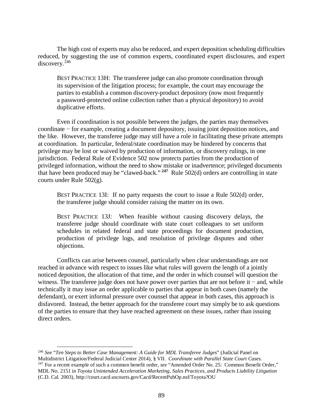The high cost of experts may also be reduced, and expert deposition scheduling difficulties reduced, by suggesting the use of common experts, coordinated expert disclosures, and expert discovery.<sup>[246](#page-98-0)</sup>

BEST PRACTICE 13H: The transferee judge can also promote coordination through its supervision of the litigation process; for example, the court may encourage the parties to establish a common discovery-product depository (now most frequently a password-protected online collection rather than a physical depository) to avoid duplicative efforts.

Even if coordination is not possible between the judges, the parties may themselves coordinate − for example, creating a document depository, issuing joint deposition notices, and the like. However, the transferee judge may still have a role in facilitating these private attempts at coordination. In particular, federal/state coordination may be hindered by concerns that privilege may be lost or waived by production of information, or discovery rulings, in one jurisdiction. Federal Rule of Evidence 502 now protects parties from the production of privileged information, without the need to show mistake or inadvertence; privileged documents that have been produced may be "clawed-back." **[247](#page-98-1)** Rule 502(d) orders are controlling in state courts under Rule 502(g).

BEST PRACTICE 13I: If no party requests the court to issue a Rule 502(d) order, the transferee judge should consider raising the matter on its own.

BEST PRACTICE 13J: When feasible without causing discovery delays, the transferee judge should coordinate with state court colleagues to set uniform schedules in related federal and state proceedings for document production, production of privilege logs, and resolution of privilege disputes and other objections.

Conflicts can arise between counsel, particularly when clear understandings are not reached in advance with respect to issues like what rules will govern the length of a jointly noticed deposition, the allocation of that time, and the order in which counsel will question the witness. The transferee judge does not have power over parties that are not before it − and, while technically it may issue an order applicable to parties that appear in both cases (namely the defendant), or exert informal pressure over counsel that appear in both cases, this approach is disfavored. Instead, the better approach for the transferee court may simply be to ask questions of the parties to ensure that they have reached agreement on these issues, rather than issuing direct orders.

<span id="page-98-1"></span><span id="page-98-0"></span> <sup>246</sup> *See* "*Ten Steps to Better Case Management: A Guide for MDL Transferee Judges*" (Judicial Panel on Multidistrict Litigation/Federal Judicial Center 2014), § VII. *Coordinate with Parallel State Court Cases.* <sup>247</sup> For a recent example of such a common benefit order, *see* "Amended Order No. 25: Common Benefit Order," MDL No. 2151 in *Toyota Unintended Acceleration Marketing, Sales Practices, and Products Liability Litigation* (C.D. Cal. 2003), http://court.cacd.uscourts.gov/Cacd/RecentPubOp.nsf/Toyota?OU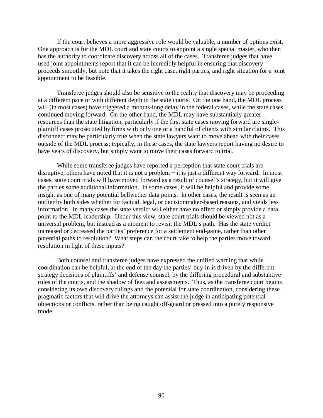If the court believes a more aggressive role would be valuable, a number of options exist. One approach is for the MDL court and state courts to appoint a single special master, who then has the authority to coordinate discovery across all of the cases. Transferee judges that have used joint appointments report that it can be incredibly helpful in ensuring that discovery proceeds smoothly, but note that it takes the right case, right parties, and right situation for a joint appointment to be feasible.

Transferee judges should also be sensitive to the reality that discovery may be proceeding at a different pace or with different depth in the state courts. On the one hand, the MDL process will (in most cases) have triggered a months-long delay in the federal cases, while the state cases continued moving forward. On the other hand, the MDL may have substantially greater resources than the state litigation, particularly if the first state cases moving forward are singleplaintiff cases prosecuted by firms with only one or a handful of clients with similar claims. This disconnect may be particularly true when the state lawyers want to move ahead with their cases outside of the MDL process; typically, in these cases, the state lawyers report having no desire to have years of discovery, but simply want to move their cases forward to trial.

While some transferee judges have reported a perception that state court trials are disruptive, others have noted that it is not a problem − it is just a different way forward. In most cases, state court trials will have moved forward as a result of counsel's strategy, but it will give the parties some additional information. In some cases, it will be helpful and provide some insight as one of many potential bellwether data points. In other cases, the result is seen as an outlier by both sides whether for factual, legal, or decisionmaker-based reasons, and yields less information. In many cases the state verdict will either have no effect or simply provide a data point to the MDL leadership. Under this view, state court trials should be viewed not as a universal problem, but instead as a moment to revisit the MDL's path. Has the state verdict increased or decreased the parties' preference for a settlement end-game, rather than other potential paths to resolution? What steps can the court take to help the parties move toward resolution in light of these inputs?

Both counsel and transferee judges have expressed the unified warning that while coordination can be helpful, at the end of the day the parties' buy-in is driven by the different strategy decisions of plaintiffs' and defense counsel, by the differing procedural and substantive rules of the courts, and the shadow of fees and assessments. Thus, as the transferee court begins considering its own discovery rulings and the potential for state coordination, considering these pragmatic factors that will drive the attorneys can assist the judge in anticipating potential objections or conflicts, rather than being caught off-guard or pressed into a purely responsive mode.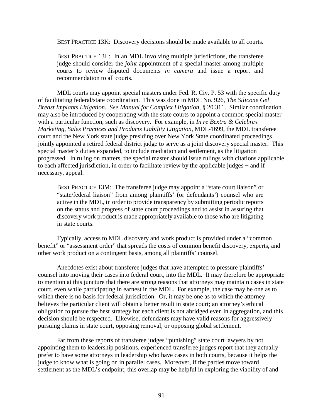BEST PRACTICE 13K: Discovery decisions should be made available to all courts.

BEST PRACTICE 13L: In an MDL involving multiple jurisdictions, the transferee judge should consider the *joint* appointment of a special master among multiple courts to review disputed documents *in camera* and issue a report and recommendation to all courts.

MDL courts may appoint special masters under Fed. R. Civ. P. 53 with the specific duty of facilitating federal/state coordination. This was done in MDL No. 926, *The Silicone Gel Breast Implants Litigation*. *See Manual for Complex Litigation*, § 20.311. Similar coordination may also be introduced by cooperating with the state courts to appoint a common special master with a particular function, such as discovery. For example, in *In re Bextra & Celebrex Marketing, Sales Practices and Products Liability Litigation*, MDL-1699, the MDL transferee court and the New York state judge presiding over New York State coordinated proceedings jointly appointed a retired federal district judge to serve as a joint discovery special master. This special master's duties expanded, to include mediation and settlement, as the litigation progressed. In ruling on matters, the special master should issue rulings with citations applicable to each affected jurisdiction, in order to facilitate review by the applicable judges − and if necessary, appeal.

BEST PRACTICE 13M: The transferee judge may appoint a "state court liaison" or "state/federal liaison" from among plaintiffs' (or defendants') counsel who are active in the MDL, in order to provide transparency by submitting periodic reports on the status and progress of state court proceedings and to assist in assuring that discovery work product is made appropriately available to those who are litigating in state courts.

Typically, access to MDL discovery and work product is provided under a "common benefit" or "assessment order" that spreads the costs of common benefit discovery, experts, and other work product on a contingent basis, among all plaintiffs' counsel.

Anecdotes exist about transferee judges that have attempted to pressure plaintiffs' counsel into moving their cases into federal court, into the MDL. It may therefore be appropriate to mention at this juncture that there are strong reasons that attorneys may maintain cases in state court, even while participating in earnest in the MDL. For example, the case may be one as to which there is no basis for federal jurisdiction. Or, it may be one as to which the attorney believes the particular client will obtain a better result in state court; an attorney's ethical obligation to pursue the best strategy for each client is not abridged even in aggregation, and this decision should be respected. Likewise, defendants may have valid reasons for aggressively pursuing claims in state court, opposing removal, or opposing global settlement.

Far from these reports of transferee judges "punishing" state court lawyers by not appointing them to leadership positions, experienced transferee judges report that they actually prefer to have some attorneys in leadership who have cases in both courts, because it helps the judge to know what is going on in parallel cases. Moreover, if the parties move toward settlement as the MDL's endpoint, this overlap may be helpful in exploring the viability of and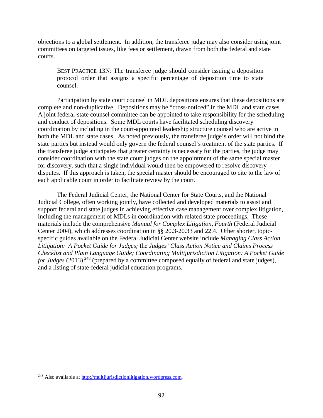objections to a global settlement. In addition, the transferee judge may also consider using joint committees on targeted issues, like fees or settlement, drawn from both the federal and state courts.

BEST PRACTICE 13N: The transferee judge should consider issuing a deposition protocol order that assigns a specific percentage of deposition time to state counsel.

Participation by state court counsel in MDL depositions ensures that these depositions are complete and non-duplicative. Depositions may be "cross-noticed" in the MDL and state cases. A joint federal-state counsel committee can be appointed to take responsibility for the scheduling and conduct of depositions. Some MDL courts have facilitated scheduling discovery coordination by including in the court-appointed leadership structure counsel who are active in both the MDL and state cases. As noted previously, the transferee judge's order will not bind the state parties but instead would only govern the federal counsel's treatment of the state parties. If the transferee judge anticipates that greater certainty is necessary for the parties, the judge may consider coordination with the state court judges on the appointment of the same special master for discovery, such that a single individual would then be empowered to resolve discovery disputes. If this approach is taken, the special master should be encouraged to cite to the law of each applicable court in order to facilitate review by the court.

The Federal Judicial Center, the National Center for State Courts, and the National Judicial College, often working jointly, have collected and developed materials to assist and support federal and state judges in achieving effective case management over complex litigation, including the management of MDLs in coordination with related state proceedings. These materials include the comprehensive *Manual for Complex Litigation, Fourth* (Federal Judicial Center 2004), which addresses coordination in §§ 20.3-20.33 and 22.4. Other shorter, topicspecific guides available on the Federal Judicial Center website include *Managing Class Action Litigation: A Pocket Guide for Judges;* the *Judges' Class Action Notice and Claims Process Checklist and Plain Language Guide; Coordinating Multijurisdiction Litigation: A Pocket Guide for Judges* (2013)<sup>[248](#page-101-0)</sup> (prepared by a committee composed equally of federal and state judges), and a listing of state-federal judicial education programs.

<span id="page-101-0"></span> <sup>248</sup> Also available at [http://multijurisdictionlitigation.wordpress.com.](http://multijurisdictionlitigation.wordpress.com/)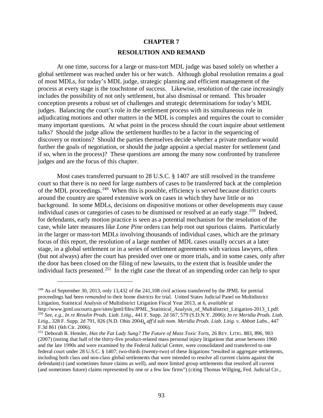## **CHAPTER 7 RESOLUTION AND REMAND**

At one time, success for a large or mass-tort MDL judge was based solely on whether a global settlement was reached under his or her watch. Although global resolution remains a goal of most MDLs, for today's MDL judge, strategic planning and efficient management of the process at every stage is the touchstone of success. Likewise, resolution of the case increasingly includes the possibility of not only settlement, but also dismissal or remand. This broader conception presents a robust set of challenges and strategic determinations for today's MDL judges. Balancing the court's role in the settlement process with its simultaneous role in adjudicating motions and other matters in the MDL is complex and requires the court to consider many important questions. At what point in the process should the court inquire about settlement talks? Should the judge allow the settlement hurdles to be a factor in the sequencing of discovery or motions? Should the parties themselves decide whether a private mediator would further the goals of negotiation, or should the judge appoint a special master for settlement (and if so, when in the process)? These questions are among the many now confronted by transferee judges and are the focus of this chapter.

Most cases transferred pursuant to 28 U.S.C. § 1407 are still resolved in the transferee court so that there is no need for large numbers of cases to be transferred back at the completion of the MDL proceedings.<sup>249</sup> When this is possible, efficiency is served because district courts around the country are spared extensive work on cases in which they have little or no background. In some MDLs, decisions on dispositive motions or other developments may cause individual cases or categories of cases to be dismissed or resolved at an early stage.<sup>250</sup> Indeed, for defendants, early motion practice is seen as a potential mechanism for the resolution of the case, while later measures like *Lone Pine* orders can help root out spurious claims. Particularly in the larger or mass-tort MDLs involving thousands of individual cases, which are the primary focus of this report, the resolution of a large number of MDL cases usually occurs at a later stage, in a global settlement or in a series of settlement agreements with various lawyers, often (but not always) after the court has presided over one or more trials, and in some cases, only after the door has been closed on the filing of new lawsuits, to the extent that is feasible under the individual facts presented.<sup>251</sup> In the right case the threat of an impending order can help to spur

 $\overline{a}$ 

<span id="page-102-0"></span><sup>&</sup>lt;sup>249</sup> As of September 30, 2013, only 13,432 of the 241,108 civil actions transferred by the JPML for pretrial proceedings had been *remanded* to their home districts for trial. United States Judicial Panel on Multidistrict Litigation, Statistical Analysis of Multidistrict Litigation Fiscal Year 2013, at 6, *available at* 

<span id="page-102-1"></span><sup>&</sup>lt;sup>250</sup> See, e.g., In re Rezulin Prods. Liab. Litig., 441 F. Supp. 2d 567, 579 (S.D.N.Y. 2006); In re Meridia Prods. Liab. *Litig.*, 328 F. Supp. 2d 791, 826 (N.D. Ohio 2004), *aff'd sub nom*. *Meridia Prods. Liab. Litig. v. Abbott Labs.*, 447 F.3d 861 (6th Cir. 2006).

<span id="page-102-2"></span><sup>251</sup> Deborah R. Hensler, *Has the Fat Lady Sung? The Future of Mass Toxic Torts*, 26 REV. LITIG. 883, 896, 903 (2007) (noting that half of the thirty-five product-related mass personal injury litigations that arose between 1960 and the late 1990s and were examined by the Federal Judicial Center, were consolidated and transferred to one federal court under 28 U.S.C. § 1407; two-thirds (twenty-two) of these litigations "resulted in aggregate settlements, including both class and non-class global settlements that were intended to resolve all current claims against the defendant(s) (and sometimes future claims as well), and more limited group settlements that resolved all current (and sometimes future) claims represented by one or a few law firms") (citing Thomas Willging, Fed. Judicial Ctr.,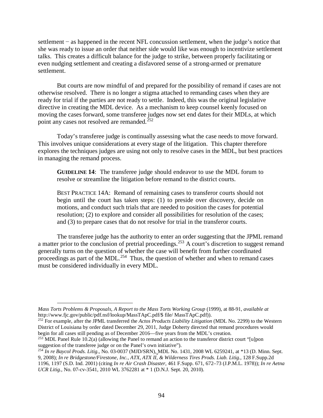settlement – as happened in the recent NFL concussion settlement, when the judge's notice that she was ready to issue an order that neither side would like was enough to incentivize settlement talks. This creates a difficult balance for the judge to strike, between properly facilitating or even nudging settlement and creating a disfavored sense of a strong-armed or premature settlement.

But courts are now mindful of and prepared for the possibility of remand if cases are not otherwise resolved. There is no longer a stigma attached to remanding cases when they are ready for trial if the parties are not ready to settle. Indeed, this was the original legislative directive in creating the MDL device. As a mechanism to keep counsel keenly focused on moving the cases forward, some transferee judges now set end dates for their MDLs, at which point any cases not resolved are remanded.<sup>252</sup>

Today's transferee judge is continually assessing what the case needs to move forward. This involves unique considerations at every stage of the litigation. This chapter therefore explores the techniques judges are using not only to resolve cases in the MDL, but best practices in managing the remand process.

**GUIDELINE 14**: The transferee judge should endeavor to use the MDL forum to resolve or streamline the litigation before remand to the district courts.

BEST PRACTICE 14A: Remand of remaining cases to transferor courts should not begin until the court has taken steps: (1) to preside over discovery, decide on motions, and conduct such trials that are needed to position the cases for potential resolution; (2) to explore and consider all possibilities for resolution of the cases; and (3) to prepare cases that do not resolve for trial in the transferor courts.

The transferee judge has the authority to enter an order suggesting that the JPML remand a matter prior to the conclusion of pretrial proceedings.<sup>[253](#page-103-1)</sup> A court's discretion to suggest remand generally turns on the question of whether the case will benefit from further coordinated proceedings as part of the MDL.<sup>[254](#page-103-2)</sup> Thus, the question of whether and when to remand cases must be considered individually in every MDL.

 $\overline{a}$ 

*Mass Torts Problems & Proposals, A Report to the Mass Torts Working Group* (1999), at 88-91, *available at* http://www.fjc.gov/public/pdf.nsf/lookup/MassTApC.pdf/\$ file/ MassTApC.pdf)).

<span id="page-103-0"></span><sup>252</sup> For example, after the JPML transferred the *Actos Products Liability Litigation* (MDL No. 2299) to the Western District of Louisiana by order dated December 29, 2011, Judge Doherty directed that remand procedures would begin for all cases still pending as of December 2016—five years from the MDL's creation.<br><sup>253</sup> MDL Panel Rule 10.2(a) (allowing the Panel to remand an action to the transferor district court "[u]pon

<span id="page-103-1"></span>suggestion of the transferee judge or on the Panel's own initiative").

<span id="page-103-2"></span><sup>254</sup> *In re Baycol Prods. Litig.*, No. 03-0037 (MJD/SRN), MDL No. 1431, 2008 WL 6259241, at \*13 (D. Minn. Sept. 9, 2008); *In re Bridgestone/Firestone, Inc., ATX, ATX II, & Wilderness Tires Prods. Liab. Litig.,* 128 F.Supp.2d 1196, 1197 (S.D. Ind. 2001) (citing *In re Air Crash Disaster*, 461 F.Supp. 671, 672–73 (J.P.M.L. 1978)); *In re Aetna UCR Litig.*, No. 07-cv-3541, 2010 WL 3762281 at \* 1 (D.N.J. Sept. 20, 2010).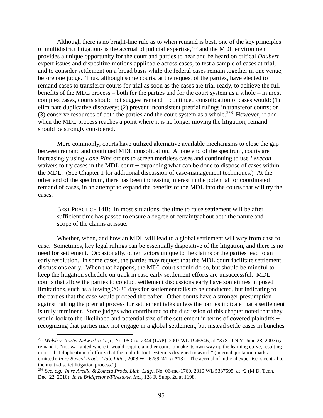Although there is no bright-line rule as to when remand is best, one of the key principles of multidistrict litigations is the accrual of judicial expertise,[255](#page-104-0) and the MDL environment provides a unique opportunity for the court and parties to hear and be heard on critical *Daubert* expert issues and dispositive motions applicable across cases, to test a sample of cases at trial, and to consider settlement on a broad basis while the federal cases remain together in one venue, before one judge. Thus, although some courts, at the request of the parties, have elected to remand cases to transferor courts for trial as soon as the cases are trial-ready, to achieve the full benefits of the MDL process – both for the parties and for the court system as a whole – in most complex cases, courts should not suggest remand if continued consolidation of cases would: (1) eliminate duplicative discovery; (2) prevent inconsistent pretrial rulings in transferor courts; or (3) conserve resources of both the parties and the court system as a whole.<sup>[256](#page-104-1)</sup> However, if and when the MDL process reaches a point where it is no longer moving the litigation, remand should be strongly considered.

More commonly, courts have utilized alternative available mechanisms to close the gap between remand and continued MDL consolidation. At one end of the spectrum, courts are increasingly using *Lone Pine* orders to screen meritless cases and continuing to use *Lexecon* waivers to try cases in the MDL court − expanding what can be done to dispose of cases within the MDL. (See Chapter 1 for additional discussion of case-management techniques.) At the other end of the spectrum, there has been increasing interest in the potential for coordinated remand of cases, in an attempt to expand the benefits of the MDL into the courts that will try the cases.

BEST PRACTICE 14B: In most situations, the time to raise settlement will be after sufficient time has passed to ensure a degree of certainty about both the nature and scope of the claims at issue.

Whether, when, and how an MDL will lead to a global settlement will vary from case to case. Sometimes, key legal rulings can be essentially dispositive of the litigation, and there is no need for settlement. Occasionally, other factors unique to the claims or the parties lead to an early resolution. In some cases, the parties may request that the MDL court facilitate settlement discussions early. When that happens, the MDL court should do so, but should be mindful to keep the litigation schedule on track in case early settlement efforts are unsuccessful. MDL courts that allow the parties to conduct settlement discussions early have sometimes imposed limitations, such as allowing 20-30 days for settlement talks to be conducted, but indicating to the parties that the case would proceed thereafter. Other courts have a stronger presumption against halting the pretrial process for settlement talks unless the parties indicate that a settlement is truly imminent. Some judges who contributed to the discussion of this chapter noted that they would look to the likelihood and potential size of the settlement in terms of covered plaintiffs − recognizing that parties may not engage in a global settlement, but instead settle cases in bunches

<span id="page-104-0"></span> <sup>255</sup> *Walsh v. Nortel Networks Corp.*, No. 05 Civ. 2344 (LAP), 2007 WL 1946546, at \*3 (S.D.N.Y. June 28, 2007) (a remand is "not warranted where it would require another court to make its own way up the learning curve, resulting in just that duplication of efforts that the multidistrict system is designed to avoid." (internal quotation marks omitted); *In re Baycol Prods. Liab. Litig*., 2008 WL 6259241, at \*13 ( "The accrual of judicial expertise is central to the multi-district litigation process.").

<span id="page-104-1"></span><sup>256</sup> *See, e.g., In re Aredia & Zometa Prods. Liab. Litig*., No. 06-md-1760, 2010 WL 5387695, at \*2 (M.D. Tenn. Dec. 22, 2010); *In re Bridgestone/Firestone, Inc*., 128 F. Supp. 2d at 1198.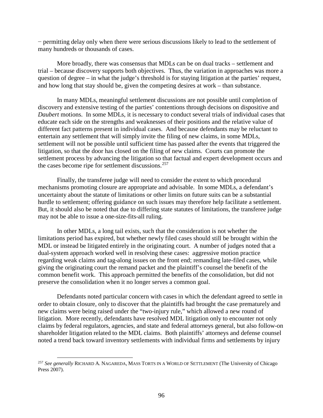− permitting delay only when there were serious discussions likely to lead to the settlement of many hundreds or thousands of cases.

More broadly, there was consensus that MDLs can be on dual tracks – settlement and trial – because discovery supports both objectives. Thus, the variation in approaches was more a question of degree – in what the judge's threshold is for staying litigation at the parties' request, and how long that stay should be, given the competing desires at work – than substance.

In many MDLs, meaningful settlement discussions are not possible until completion of discovery and extensive testing of the parties' contentions through decisions on dispositive and *Daubert* motions. In some MDLs, it is necessary to conduct several trials of individual cases that educate each side on the strengths and weaknesses of their positions and the relative value of different fact patterns present in individual cases. And because defendants may be reluctant to entertain any settlement that will simply invite the filing of new claims, in some MDLs, settlement will not be possible until sufficient time has passed after the events that triggered the litigation, so that the door has closed on the filing of new claims. Courts can promote the settlement process by advancing the litigation so that factual and expert development occurs and the cases become ripe for settlement discussions.<sup>[257](#page-105-0)</sup>

Finally, the transferee judge will need to consider the extent to which procedural mechanisms promoting closure are appropriate and advisable. In some MDLs, a defendant's uncertainty about the statute of limitations or other limits on future suits can be a substantial hurdle to settlement; offering guidance on such issues may therefore help facilitate a settlement. But, it should also be noted that due to differing state statutes of limitations, the transferee judge may not be able to issue a one-size-fits-all ruling.

In other MDLs, a long tail exists, such that the consideration is not whether the limitations period has expired, but whether newly filed cases should still be brought within the MDL or instead be litigated entirely in the originating court. A number of judges noted that a dual-system approach worked well in resolving these cases: aggressive motion practice regarding weak claims and tag-along issues on the front end; remanding late-filed cases, while giving the originating court the remand packet and the plaintiff's counsel the benefit of the common benefit work. This approach permitted the benefits of the consolidation, but did not preserve the consolidation when it no longer serves a common goal.

Defendants noted particular concern with cases in which the defendant agreed to settle in order to obtain closure, only to discover that the plaintiffs had brought the case prematurely and new claims were being raised under the "two-injury rule," which allowed a new round of litigation. More recently, defendants have resolved MDL litigation only to encounter not only claims by federal regulators, agencies, and state and federal attorneys general, but also follow-on shareholder litigation related to the MDL claims. Both plaintiffs' attorneys and defense counsel noted a trend back toward inventory settlements with individual firms and settlements by injury

<span id="page-105-0"></span> <sup>257</sup> *See generally* RICHARD A. NAGAREDA*,* MASS TORTS IN A WORLD OF SETTLEMENT (The University of Chicago Press 2007).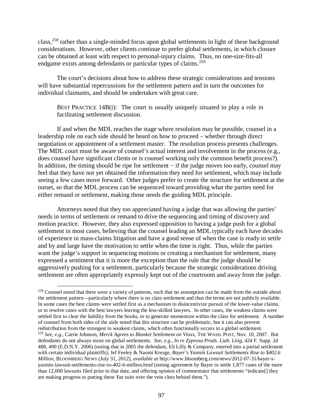class,<sup>[258](#page-106-0)</sup> rather than a single-minded focus upon global settlements in light of these background considerations. However, other clients continue to prefer global settlements, in which closure can be obtained at least with respect to personal-injury claims. Thus, no one-size-fits-all endgame exists among defendants or particular types of claims.<sup>[259](#page-106-1)</sup>

The court's decisions about how to address these strategic considerations and tensions will have substantial repercussions for the settlement pattern and in turn the outcomes for individual claimants, and should be undertaken with great care.

BEST PRACTICE 14B(i): The court is usually uniquely situated to play a role in facilitating settlement discussion.

If and when the MDL reaches the stage where resolution may be possible, counsel in a leadership role on each side should be heard on how to proceed – whether through direct negotiation or appointment of a settlement master. The resolution process presents challenges. The MDL court must be aware of counsel's actual interest and involvement in the process (e.g., does counsel have significant clients or is counsel working only the common benefit process?). In addition, the timing should be ripe for settlement − if the judge moves too early, counsel may feel that they have not yet obtained the information they need for settlement, which may include seeing a few cases move forward. Other judges prefer to create the structure for settlement at the outset, so that the MDL process can be sequenced toward providing what the parties need for either remand or settlement, making those needs the guiding MDL principle.

Attorneys noted that they too appreciated having a judge that was allowing the parties' needs in terms of settlement or remand to drive the sequencing and timing of discovery and motion practice. However, they also expressed opposition to having a judge push for a global settlement in most cases, believing that the counsel leading an MDL typically each have decades of experience in mass-claims litigation and have a good sense of when the case is ready to settle and by and large have the motivation to settle when the time is right. Thus, while the parties want the judge's support in sequencing motions or creating a mechanism for settlement, many expressed a sentiment that it is more the exception than the rule that the judge should be aggressively pushing for a settlement, particularly because the strategic considerations driving settlement are often appropriately expressly kept out of the courtroom and away from the judge.

<span id="page-106-1"></span><span id="page-106-0"></span><sup>&</sup>lt;sup>258</sup> Counsel noted that there were a variety of patterns, such that no assumption can be made from the outside about the settlement pattern—particularly where there is no class settlement and thus the terms are not publicly available. In some cases the best claims were settled first as a mechanism to disincentivize pursuit of the lower-value claims, or to resolve cases with the best lawyers leaving the less-skilled lawyers. In other cases, the weakest claims were settled first to clear the liability from the books, or to generate momentum within the class for settlement. A number of counsel from both sides of the aisle noted that this structure can be problematic, but it can also prevent redistribution from the strongest to weakest claims, which often functionally occurs in a global settlement. <sup>259</sup> *See, e.g.,* Carrie Johnson, *Merck Agrees to Blanket Settlement on Vioxx*, THE WASH. POST, Nov. 10, 2007. But defendants do not always insist on global settlements. *See, e.g., In re Zyprexa Prods. Liab. Litig*, 424 F. Supp. 2d 488, 490 (E.D.N.Y. 2006) (noting that in 2005 the defendant, Eli Lilly & Company, entered into a partial settlement with certain individual plaintiffs); Jef Feeley & Naomi Kresge, *Bayer's Yasmin Lawsuit Settlements Rise to \$402.6 Million*, BLOOMBERG NEWS (July 31, 2012), *available at* [http://www.bloomberg.com/news/2012-07-31/bayer-s](http://www.bloomberg.com/news/2012-07-31/bayer-s-yasmin-lawsuit-settlements-rise-to-402-6-million.html)[yasmin-lawsuit-settlements-rise-to-402-6-million.html](http://www.bloomberg.com/news/2012-07-31/bayer-s-yasmin-lawsuit-settlements-rise-to-402-6-million.html) (noting agreement by Bayer to settle 1,877 cases of the more than 12,000 lawsuits filed prior to that date, and offering opinion of commentator that settlements "indicate[] they are making progress to putting these *Yaz* suits over the vein clots behind them.").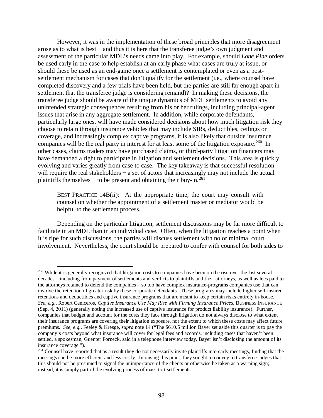However, it was in the implementation of these broad principles that more disagreement arose as to what is best − and thus it is here that the transferee judge's own judgment and assessment of the particular MDL's needs came into play. For example, should *Lone Pine* orders be used early in the case to help establish at an early phase what cases are truly at issue, or should these be used as an end-game once a settlement is contemplated or even as a postsettlement mechanism for cases that don't qualify for the settlement (i.e., where counsel have completed discovery and a few trials have been held, but the parties are still far enough apart in settlement that the transferee judge is considering remand)? In making these decisions, the transferee judge should be aware of the unique dynamics of MDL settlements to avoid any unintended strategic consequences resulting from his or her rulings, including principal-agent issues that arise in any aggregate settlement. In addition, while corporate defendants, particularly large ones, will have made considered decisions about how much litigation risk they choose to retain through insurance vehicles that may include SIRs, deductibles, ceilings on coverage, and increasingly complex captive programs, it is also likely that outside insurance companies will be the real party in interest for at least some of the litigation exposure.<sup>[260](#page-107-0)</sup> In other cases, claims traders may have purchased claims, or third-party litigation financers may have demanded a right to participate in litigation and settlement decisions. This area is quickly evolving and varies greatly from case to case. The key takeaway is that successful resolution will require the real stakeholders – a set of actors that increasingly may not include the actual plaintiffs themselves – to be present and obtaining their buy-in.<sup>[261](#page-107-1)</sup>

BEST PRACTICE 14B(ii): At the appropriate time, the court may consult with counsel on whether the appointment of a settlement master or mediator would be helpful to the settlement process.

Depending on the particular litigation, settlement discussions may be far more difficult to facilitate in an MDL than in an individual case. Often, when the litigation reaches a point when it is ripe for such discussions, the parties will discuss settlement with no or minimal court involvement. Nevertheless, the court should be prepared to confer with counsel for both sides to

<span id="page-107-0"></span><sup>&</sup>lt;sup>260</sup> While it is generally recognized that litigation costs to companies have been on the rise over the last several decades—including from payment of settlements and verdicts to plaintiffs and their attorneys, as well as fees paid to the attorneys retained to defend the companies—so too have complex insurance-programs companies use that can involve the retention of greater risk by these corporate defendants. These programs may include higher self-insured retentions and deductibles and captive insurance programs that are meant to keep certain risks entirely in-house. *See, e.g.,* Robert Ceniceros, *Captive Insurance Use May Rise with Firming Insurance Prices*, BUSINESS INSURANCE (Sep. 4, 2011) (generally noting the increased use of captive insurance for product liability insurance). Further, companies that budget and account for the costs they face through litigation do not always disclose to what extent their insurance programs are covering their litigation exposure, nor the extent to which these costs may affect future premiums. *See, e.g.,* Feeley & Kresge, *supra* note 14 ("The \$610.5 million Bayer set aside this quarter is to pay the company's costs beyond what insurance will cover for legal fees and accords, including cases that haven't been settled, a spokesman, Guenter Forneck, said in a telephone interview today. Bayer isn't disclosing the amount of its insurance coverage.").<br><sup>261</sup> Counsel have reported that as a result they do not necessarily invite plaintiffs into early meetings, finding that the

<span id="page-107-1"></span>meetings can be more efficient and less costly. In raising this point, they sought to convey to transferee judges that this should not be presumed to signal the unimportance of the clients or otherwise be taken as a warning sign; instead, it is simply part of the evolving process of mass-tort settlements.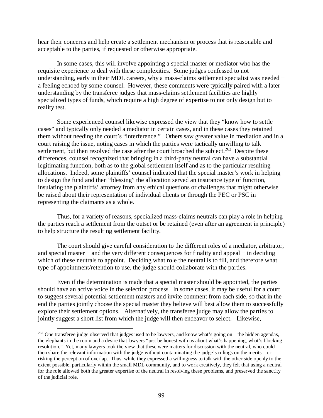hear their concerns and help create a settlement mechanism or process that is reasonable and acceptable to the parties, if requested or otherwise appropriate.

In some cases, this will involve appointing a special master or mediator who has the requisite experience to deal with these complexities. Some judges confessed to not understanding, early in their MDL careers, why a mass-claims settlement specialist was needed − a feeling echoed by some counsel. However, these comments were typically paired with a later understanding by the transferee judges that mass-claims settlement facilities are highly specialized types of funds, which require a high degree of expertise to not only design but to reality test.

Some experienced counsel likewise expressed the view that they "know how to settle cases" and typically only needed a mediator in certain cases, and in these cases they retained them without needing the court's "interference." Others saw greater value in mediation and in a court raising the issue, noting cases in which the parties were tactically unwilling to talk settlement, but then resolved the case after the court broached the subject.<sup>[262](#page-108-0)</sup> Despite these differences, counsel recognized that bringing in a third-party neutral can have a substantial legitimating function, both as to the global settlement itself and as to the particular resulting allocations. Indeed, some plaintiffs' counsel indicated that the special master's work in helping to design the fund and then "blessing" the allocation served an insurance type of function, insulating the plaintiffs' attorney from any ethical questions or challenges that might otherwise be raised about their representation of individual clients or through the PEC or PSC in representing the claimants as a whole.

Thus, for a variety of reasons, specialized mass-claims neutrals can play a role in helping the parties reach a settlement from the outset or be retained (even after an agreement in principle) to help structure the resulting settlement facility.

The court should give careful consideration to the different roles of a mediator, arbitrator, and special master − and the very different consequences for finality and appeal − in deciding which of these neutrals to appoint. Deciding what role the neutral is to fill, and therefore what type of appointment/retention to use, the judge should collaborate with the parties.

Even if the determination is made that a special master should be appointed, the parties should have an active voice in the selection process. In some cases, it may be useful for a court to suggest several potential settlement masters and invite comment from each side, so that in the end the parties jointly choose the special master they believe will best allow them to successfully explore their settlement options. Alternatively, the transferee judge may allow the parties to jointly suggest a short list from which the judge will then endeavor to select. Likewise,

<span id="page-108-0"></span><sup>&</sup>lt;sup>262</sup> One transferee judge observed that judges used to be lawyers, and know what's going on—the hidden agendas, the elephants in the room and a desire that lawyers "just be honest with us about what's happening, what's blocking resolution." Yet, many lawyers took the view that these were matters for discussion with the neutral, who could then share the relevant information with the judge without contaminating the judge's rulings on the merits—or risking the perception of overlap. Thus, while they expressed a willingness to talk with the other side openly to the extent possible, particularly within the small MDL community, and to work creatively, they felt that using a neutral for the role allowed both the greater expertise of the neutral in resolving these problems, and preserved the sanctity of the judicial role.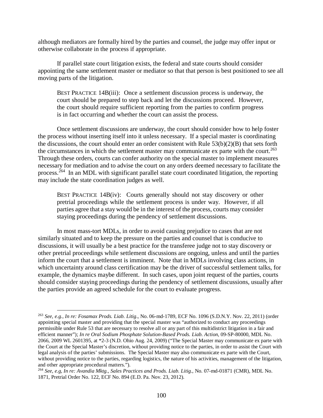although mediators are formally hired by the parties and counsel, the judge may offer input or otherwise collaborate in the process if appropriate.

If parallel state court litigation exists, the federal and state courts should consider appointing the same settlement master or mediator so that that person is best positioned to see all moving parts of the litigation.

BEST PRACTICE 14B(iii): Once a settlement discussion process is underway, the court should be prepared to step back and let the discussions proceed. However, the court should require sufficient reporting from the parties to confirm progress is in fact occurring and whether the court can assist the process.

Once settlement discussions are underway, the court should consider how to help foster the process without inserting itself into it unless necessary. If a special master is coordinating the discussions, the court should enter an order consistent with Rule 53(b)(2)(B) that sets forth the circumstances in which the settlement master may communicate ex parte with the court.<sup>263</sup> Through these orders, courts can confer authority on the special master to implement measures necessary for mediation and to advise the court on any orders deemed necessary to facilitate the process.<sup>[264](#page-109-1)</sup> In an MDL with significant parallel state court coordinated litigation, the reporting may include the state coordination judges as well.

BEST PRACTICE 14B(iv): Courts generally should not stay discovery or other pretrial proceedings while the settlement process is under way. However, if all parties agree that a stay would be in the interest of the process, courts may consider staying proceedings during the pendency of settlement discussions.

In most mass-tort MDLs, in order to avoid causing prejudice to cases that are not similarly situated and to keep the pressure on the parties and counsel that is conducive to discussions, it will usually be a best practice for the transferee judge not to stay discovery or other pretrial proceedings while settlement discussions are ongoing, unless and until the parties inform the court that a settlement is imminent. Note that in MDLs involving class actions, in which uncertainty around class certification may be the driver of successful settlement talks, for example, the dynamics maybe different. In such cases, upon joint request of the parties, courts should consider staying proceedings during the pendency of settlement discussions, usually after the parties provide an agreed schedule for the court to evaluate progress.

<span id="page-109-0"></span> <sup>263</sup> *See, e.g., In re: Fosamax Prods. Liab. Litig*., No. 06-md-1789, ECF No. 1096 (S.D.N.Y. Nov. 22, 2011) (order appointing special master and providing that the special master was "authorized to conduct any proceedings permissible under Rule 53 that are necessary to resolve all or any part of this multidistrict litigation in a fair and efficient manner"); *In re Oral Sodium Phosphate Solution-Based Prods. Liab. Action*, 09-SP-80000, MDL No. 2066, 2009 WL 2601395, at \*2-3 (N.D. Ohio Aug. 24, 2009) ("The Special Master may communicate ex parte with the Court at the Special Master's discretion, without providing notice to the parties, in order to assist the Court with legal analysis of the parties' submissions. The Special Master may also communicate ex parte with the Court, without providing notice to the parties, regarding logistics, the nature of his activities, management of the litigation, and other appropriate procedural matters.").

<span id="page-109-1"></span><sup>264</sup> *See, e.g, In re: Avandia Mktg., Sales Practices and Prods. Liab. Litig.*, No. 07-md-01871 (CMR), MDL No. 1871, Pretrial Order No. 122, ECF No. 894 (E.D. Pa. Nov. 23, 2012).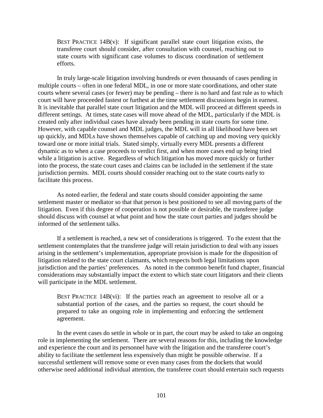BEST PRACTICE  $14B(v)$ : If significant parallel state court litigation exists, the transferee court should consider, after consultation with counsel, reaching out to state courts with significant case volumes to discuss coordination of settlement efforts.

In truly large-scale litigation involving hundreds or even thousands of cases pending in multiple courts – often in one federal MDL, in one or more state coordinations, and other state courts where several cases (or fewer) may be pending – there is no hard and fast rule as to which court will have proceeded fastest or furthest at the time settlement discussions begin in earnest. It is inevitable that parallel state court litigation and the MDL will proceed at different speeds in different settings. At times, state cases will move ahead of the MDL, particularly if the MDL is created only after individual cases have already been pending in state courts for some time. However, with capable counsel and MDL judges, the MDL will in all likelihood have been set up quickly, and MDLs have shown themselves capable of catching up and moving very quickly toward one or more initial trials. Stated simply, virtually every MDL presents a different dynamic as to when a case proceeds to verdict first, and when more cases end up being tried while a litigation is active. Regardless of which litigation has moved more quickly or further into the process, the state court cases and claims can be included in the settlement if the state jurisdiction permits. MDL courts should consider reaching out to the state courts early to facilitate this process.

As noted earlier, the federal and state courts should consider appointing the same settlement master or mediator so that that person is best positioned to see all moving parts of the litigation. Even if this degree of cooperation is not possible or desirable, the transferee judge should discuss with counsel at what point and how the state court parties and judges should be informed of the settlement talks.

If a settlement is reached, a new set of considerations is triggered. To the extent that the settlement contemplates that the transferee judge will retain jurisdiction to deal with any issues arising in the settlement's implementation, appropriate provision is made for the disposition of litigation related to the state court claimants, which respects both legal limitations upon jurisdiction and the parties' preferences. As noted in the common benefit fund chapter, financial considerations may substantially impact the extent to which state court litigators and their clients will participate in the MDL settlement.

BEST PRACTICE  $14B(vi)$ : If the parties reach an agreement to resolve all or a substantial portion of the cases, and the parties so request, the court should be prepared to take an ongoing role in implementing and enforcing the settlement agreement.

In the event cases do settle in whole or in part, the court may be asked to take an ongoing role in implementing the settlement. There are several reasons for this, including the knowledge and experience the court and its personnel have with the litigation and the transferee court's ability to facilitate the settlement less expensively than might be possible otherwise. If a successful settlement will remove some or even many cases from the dockets that would otherwise need additional individual attention, the transferee court should entertain such requests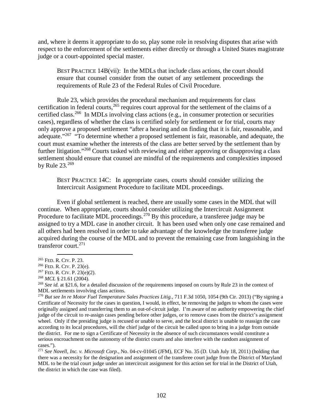and, where it deems it appropriate to do so, play some role in resolving disputes that arise with respect to the enforcement of the settlements either directly or through a United States magistrate judge or a court-appointed special master.

BEST PRACTICE 14B(vii): In the MDLs that include class actions, the court should ensure that counsel consider from the outset of any settlement proceedings the requirements of Rule 23 of the Federal Rules of Civil Procedure.

Rule 23, which provides the procedural mechanism and requirements for class certification in federal courts,<sup>[265](#page-111-0)</sup> requires court approval for the settlement of the claims of a certified class.<sup>266</sup> In MDLs involving class actions (e.g., in consumer protection or securities cases), regardless of whether the class is certified solely for settlement or for trial, courts may only approve a proposed settlement "after a hearing and on finding that it is fair, reasonable, and adequate."<sup>[267](#page-111-2)</sup> "To determine whether a proposed settlement is fair, reasonable, and adequate, the court must examine whether the interests of the class are better served by the settlement than by further litigation."[268](#page-111-3) Courts tasked with reviewing and either approving or disapproving a class settlement should ensure that counsel are mindful of the requirements and complexities imposed by Rule 23.<sup>[269](#page-111-4)</sup>

BEST PRACTICE 14C: In appropriate cases, courts should consider utilizing the Intercircuit Assignment Procedure to facilitate MDL proceedings.

Even if global settlement is reached, there are usually some cases in the MDL that will continue. When appropriate, courts should consider utilizing the Intercircuit Assignment Procedure to facilitate MDL proceedings.<sup>[270](#page-111-5)</sup> By this procedure, a transferee judge may be assigned to try a MDL case in another circuit. It has been used when only one case remained and all others had been resolved in order to take advantage of the knowledge the transferee judge acquired during the course of the MDL and to prevent the remaining case from languishing in the transferor court.<sup>271</sup>

<span id="page-111-0"></span> <sup>265</sup> FED. R. CIV. P. 23.

<span id="page-111-1"></span><sup>266</sup> FED. R. CIV. P. 23(e).

<span id="page-111-2"></span><sup>267</sup> FED. R. CIV. P. 23(e)(2).

<span id="page-111-3"></span><sup>268</sup> *MCL* § 21.61 (2004).

<span id="page-111-4"></span><sup>269</sup> *See id.* at §21.6, for a detailed discussion of the requirements imposed on courts by Rule 23 in the context of MDL settlements involving class actions.

<span id="page-111-5"></span><sup>270</sup> *But see In re Motor Fuel Temperature Sales Practices Litig.,* 711 F.3d 1050, 1054 (9th Cir. 2013) ("By signing a Certificate of Necessity for the cases in question, I would, in effect, be removing the judges to whom the cases were originally assigned and transferring them to an out-of-circuit judge. I'm aware of no authority empowering the chief judge of the circuit to re-assign cases pending before other judges, or to remove cases from the district's assignment wheel. Only if the presiding judge is recused or unable to serve, and the local district is unable to reassign the case according to its local procedures, will the chief judge of the circuit be called upon to bring in a judge from outside the district. For me to sign a Certificate of Necessity in the absence of such circumstances would constitute a serious encroachment on the autonomy of the district courts and also interfere with the random assignment of cases.").

<span id="page-111-6"></span><sup>271</sup> *See Novell, Inc. v. Microsoft Corp.,* No. 04-cv-01045 (JFM), ECF No. 35 (D. Utah July 18, 2011) (holding that there was a necessity for the designation and assignment of the transferee court judge from the District of Maryland MDL to be the trial court judge under an intercircuit assignment for this action set for trial in the District of Utah, the district in which the case was filed).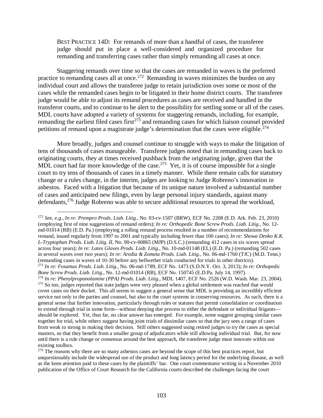BEST PRACTICE 14D: For remands of more than a handful of cases, the transferee judge should put in place a well-considered and organized procedure for remanding and transferring cases rather than simply remanding all cases at once.

Staggering remands over time so that the cases are remanded in waves is the preferred practice to remanding cases all at once.<sup>272</sup> Remanding in waves minimizes the burden on any individual court and allows the transferee judge to retain jurisdiction over some or most of the cases while the remanded cases begin to be litigated in their home district courts. The transferee judge would be able to adjust its remand procedures as cases are received and handled in the transferor courts, and to continue to be alert to the possibility for settling some or all of the cases. MDL courts have adopted a variety of systems for staggering remands, including, for example, remanding the earliest filed cases first<sup> $273$ </sup> and remanding cases for which liaison counsel provided petitions of remand upon a magistrate judge's determination that the cases were eligible.<sup> $274$ </sup>

More broadly, judges and counsel continue to struggle with ways to make the litigation of tens of thousands of cases manageable. Transferee judges noted that in remanding cases back to originating courts, they at times received pushback from the originating judge, given that the MDL court had far more knowledge of the case.<sup>[275](#page-112-3)</sup> Yet, it is of course impossible for a single court to try tens of thousands of cases in a timely manner. While there remain calls for statutory change or a rules change, in the interim, judges are looking to Judge Robreno's innovation in asbestos. Faced with a litigation that because of its unique nature involved a substantial number of cases and anticipated new filings, even by large personal injury standards, against many defendants,[276](#page-112-4) Judge Robreno was able to secure additional resources to spread the workload,

<span id="page-112-2"></span><span id="page-112-1"></span><span id="page-112-0"></span> <sup>272</sup> *See, e.g., In re: Prempro Prods. Liab. Litig.*, No. 03-cv-1507 (BRW), ECF No. 2208 (E.D. Ark. Feb. 23, 2010) (employing first of nine suggestions of remand orders); *In re: Orthopedic Bone Screw Prods. Liab. Litig.*, No. 12 md-01014 (RB) (E.D. Pa.) (employing a rolling remand process resulted in a number of recommendations for remand, issued regularly from 1997 to 2001 and typically including fewer than 100 cases); *In re: Showa Denko K.K. L-Tryptophan Prods. Liab. Litig. II*, No. 90-cv-00865 (MJP) (D.S.C.) (remanding 412 cases in six waves spread across four years); *In re: Latex Gloves Prods. Liab. Litig.*, No. 10-md-01148 (EL) (E.D. Pa.) (remanding 502 cases in several waves over two years); *In re: Aredia & Zometa Prods. Liab. Litig.*, No. 06-md-1760 (TJC) (M.D. Tenn.) (remanding cases in waves of 10-30 before any bellwether trials conducted for trials in other districts). <sup>273</sup> *In re: Fosamax Prods. Liab. Litig.,* No. 06-md-1789, ECF No. 1473 (S.D.N.Y. Oct. 3, 2013); *In re: Orthopedic Bone Screw Prods. Liab. Litig.*, No. 12-md-01014 (RB), ECF No. 150745 (E.D.Pa. July 14, 1997). <sup>274</sup> *In re: Phenylpropanolamine (PPA) Prods. Liab. Litig.,* MDL 1407, ECF No. 2526 (W.D. Wash. Mar. 23, 2004). <sup>275</sup> So too, judges reported that state judges were very pleased when a global settlement was reached that would cover cases on their docket. This all seems to suggest a general sense that MDL is providing an incredibly efficient service not only to the parties and counsel, but also to the court systems in conserving resources. As such, there is a general sense that further innovation, particularly through rules or statutes that permit consolidation or coordination to extend through trial in some form—without denying due process to either the defendant or individual litigants should be explored. Yet, thus far, no clear answer has emerged. For example, some suggest grouping similar cases together for trial, while others suggest having joint trials of dissimilar cases so that the jury sees a range of cases from weak to strong in making their decision. Still others suggested using retired judges to try the cases as special masters, so that they benefit from a smaller group of adjudicators while still allowing individual trial. But, for now until there is a rule change or consensus around the best approach, the transferee judge must innovate within our existing toolbox.

<span id="page-112-4"></span><span id="page-112-3"></span><sup>&</sup>lt;sup>276</sup> The reasons why there are so many asbestos cases are beyond the scope of this best practices report, but unquestionably include the widespread use of the product and long latency period for the underlying disease, as well as the keen attention paid to these cases by the plaintiffs' bar. One court commentator writing in a November 2010 publication of the Office of Court Research for the California courts described the challenges facing the court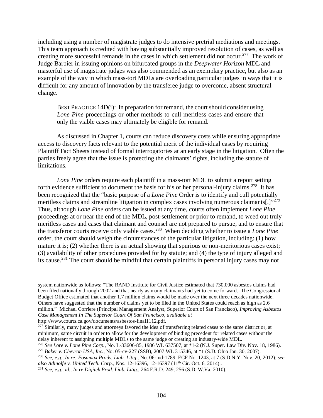including using a number of magistrate judges to do intensive pretrial mediations and meetings. This team approach is credited with having substantially improved resolution of cases, as well as creating more successful remands in the cases in which settlement did not occur.<sup>[277](#page-113-0)</sup> The work of Judge Barbier in issuing opinions on bifurcated groups in the *Deepwater Horizon* MDL and masterful use of magistrate judges was also commended as an exemplary practice, but also as an example of the way in which mass-tort MDLs are overloading particular judges in ways that it is difficult for any amount of innovation by the transferee judge to overcome, absent structural change.

BEST PRACTICE 14D(i): In preparation for remand, the court should consider using *Lone Pine* proceedings or other methods to cull meritless cases and ensure that only the viable cases may ultimately be eligible for remand.

As discussed in Chapter 1, courts can reduce discovery costs while ensuring appropriate access to discovery facts relevant to the potential merit of the individual cases by requiring Plaintiff Fact Sheets instead of formal interrogatories at an early stage in the litigation. Often the parties freely agree that the issue is protecting the claimants' rights, including the statute of limitations.

*Lone Pine* orders require each plaintiff in a mass-tort MDL to submit a report setting forth evidence sufficient to document the basis for his or her personal-injury claims.<sup>[278](#page-113-1)</sup> It has been recognized that the "basic purpose of a *Lone Pine* Order is to identify and cull potentially meritless claims and streamline litigation in complex cases involving numerous claimants[.]"<sup>[279](#page-113-2)</sup> Thus, although *Lone Pine* orders can be issued at any time, courts often implement *Lone Pine* proceedings at or near the end of the MDL, post-settlement or prior to remand, to weed out truly meritless cases and cases that claimant and counsel are not prepared to pursue, and to ensure that the transferor courts receive only viable cases.[280](#page-113-3) When deciding whether to issue a *Lone Pine* order, the court should weigh the circumstances of the particular litigation, including: (1) how mature it is; (2) whether there is an actual showing that spurious or non-meritorious cases exist; (3) availability of other procedures provided for by statute; and (4) the type of injury alleged and its cause.<sup>[281](#page-113-4)</sup> The court should be mindful that certain plaintiffs in personal injury cases may not

http://www.courts.ca.gov/documents/asbestos-final1112.pdf.

system nationwide as follows: "The RAND Institute for Civil Justice estimated that 730,000 asbestos claims had been filed nationally through 2002 and that nearly as many claimants had yet to come forward. The Congressional Budget Office estimated that another 1.7 million claims would be made over the next three decades nationwide. Others have suggested that the number of claims yet to be filed in the United States could reach as high as 2.6 million." Michael Corriere (Principal Management Analyst, Superior Court of San Francisco), *Improving Asbestos Case Management In The Superior Court Of San Francisco*, *available at*

<span id="page-113-0"></span><sup>&</sup>lt;sup>277</sup> Similarly, many judges and attorneys favored the idea of transferring related cases to the same district or, at minimum, same circuit in order to allow for the development of binding precedent for related cases without the delay inherent to assigning multiple MDLs to the same judge or creating an industry-wide MDL.

<sup>278</sup> *See Lore v. Lone Pine Corp.*, No. L-33606-85, 1986 WL 637507, at \*1-2 (N.J. Super. Law Div. Nov. 18, 1986).

<span id="page-113-2"></span><span id="page-113-1"></span><sup>279</sup> *Baker v. Chevron USA, Inc.*, No. 05-cv-227 (SSB), 2007 WL 315346, at \*1 (S.D. Ohio Jan. 30, 2007).

<span id="page-113-3"></span><sup>280</sup> *See, e.g., In re: Fosamax Prods. Liab. Litig*., No. 06-md-1789, ECF No. 1243, at 7 (S.D.N.Y. Nov. 20, 2012); *see also Adinolfe v. United Tech. Corp.*, Nos. 12-16396, 12-16397 (11<sup>th</sup> Cir. Oct. 6, 2014)..

<span id="page-113-4"></span><sup>281</sup> *See, e.g., id.*; *In re Digitek Prod. Liab. Litig*., 264 F.R.D. 249, 256 (S.D. W.Va. 2010).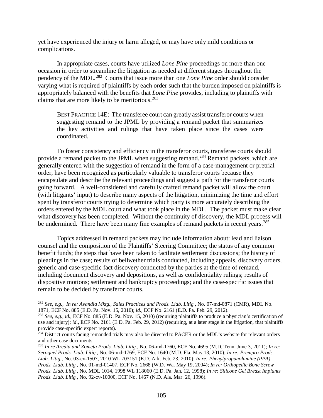yet have experienced the injury or harm alleged, or may have only mild conditions or complications.

In appropriate cases, courts have utilized *Lone Pine* proceedings on more than one occasion in order to streamline the litigation as needed at different stages throughout the pendency of the MDL.[282](#page-114-0) Courts that issue more than one *Lone Pine* order should consider varying what is required of plaintiffs by each order such that the burden imposed on plaintiffs is appropriately balanced with the benefits that *Lone Pine* provides, including to plaintiffs with claims that are more likely to be meritorious.<sup>[283](#page-114-1)</sup>

BEST PRACTICE 14E: The transferee court can greatly assist transferor courts when suggesting remand to the JPML by providing a remand packet that summarizes the key activities and rulings that have taken place since the cases were coordinated.

To foster consistency and efficiency in the transferor courts, transferee courts should provide a remand packet to the JPML when suggesting remand.<sup>[284](#page-114-2)</sup> Remand packets, which are generally entered with the suggestion of remand in the form of a case-management or pretrial order, have been recognized as particularly valuable to transferor courts because they encapsulate and describe the relevant proceedings and suggest a path for the transferor courts going forward. A well-considered and carefully crafted remand packet will allow the court (with litigants' input) to describe many aspects of the litigation, minimizing the time and effort spent by transferor courts trying to determine which party is more accurately describing the orders entered by the MDL court and what took place in the MDL. The packet must make clear what discovery has been completed. Without the continuity of discovery, the MDL process will be undermined. There have been many fine examples of remand packets in recent years.<sup>[285](#page-114-3)</sup>

Topics addressed in remand packets may include information about: lead and liaison counsel and the composition of the Plaintiffs' Steering Committee; the status of any common benefit funds; the steps that have been taken to facilitate settlement discussions; the history of pleadings in the case; results of bellwether trials conducted, including appeals, discovery orders, generic and case-specific fact discovery conducted by the parties at the time of remand, including document discovery and depositions, as well as confidentiality rulings; results of dispositive motions; settlement and bankruptcy proceedings; and the case-specific issues that remain to be decided by transferor courts.

<span id="page-114-0"></span> <sup>282</sup> *See, e.g*., *In re: Avandia Mktg., Sales Practices and Prods. Liab. Litig.*, No. 07-md-0871 (CMR), MDL No. 1871, ECF No. 885 (E.D. Pa. Nov. 15, 2010); id., ECF No. 2161 (E.D. Pa. Feb. 29, 2012).<br><sup>283</sup> See, e.g., id., ECF No. 885 (E.D. Pa. Nov. 15, 2010) (requiring plaintiffs to produce a physician's certification of

<span id="page-114-1"></span>use and injury); *id*., ECF No. 2161 (E.D. Pa. Feb. 29, 2012) (requiring, at a later stage in the litigation, that plaintiffs provide case-specific expert reports).

<span id="page-114-2"></span><sup>&</sup>lt;sup>284</sup> District courts facing remanded trials may also be directed to PACER or the MDL's website for relevant orders and other case documents.

<span id="page-114-3"></span><sup>285</sup> *In re Aredia and Zometa Prods. Liab. Litig.*, No. 06-md-1760, ECF No. 4695 (M.D. Tenn. June 3, 2011); *In re: Seroquel Prods. Liab. Litig.*, No. 06-md-1769, ECF No. 1640 (M.D. Fla. May 13, 2010); *In re: Prempro Prods. Liab. Litig.*, No. 03-cv-1507, 2010 WL 703151 (E.D. Ark. Feb. 23, 2010); *In re: Phenylpropanolamine (PPA) Prods. Liab. Litig.*, No. 01-md-01407, ECF No. 2668 (W.D. Wa. May 19, 2004); *In re: Orthopedic Bone Screw Prods. Liab. Litig.*, No. MDL 1014, 1998 WL 118060 (E.D. Pa. Jan. 12, 1998); *In re: Silicone Gel Breast Implants Prods. Liab. Litig.*, No. 92-cv-10000, ECF No. 1467 (N.D. Ala. Mar. 26, 1996).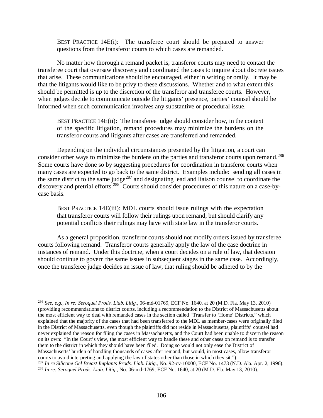BEST PRACTICE  $14E(i)$ : The transferee court should be prepared to answer questions from the transferor courts to which cases are remanded.

No matter how thorough a remand packet is, transferor courts may need to contact the transferee court that oversaw discovery and coordinated the cases to inquire about discrete issues that arise. These communications should be encouraged, either in writing or orally. It may be that the litigants would like to be privy to these discussions. Whether and to what extent this should be permitted is up to the discretion of the transferor and transferee courts. However, when judges decide to communicate outside the litigants' presence, parties' counsel should be informed when such communication involves any substantive or procedural issue.

BEST PRACTICE 14E(ii): The transferee judge should consider how, in the context of the specific litigation, remand procedures may minimize the burdens on the transferor courts and litigants after cases are transferred and remanded.

Depending on the individual circumstances presented by the litigation, a court can consider other ways to minimize the burdens on the parties and transferor courts upon remand.<sup>286</sup> Some courts have done so by suggesting procedures for coordination in transferor courts when many cases are expected to go back to the same district. Examples include: sending all cases in the same district to the same judge<sup>[287](#page-115-1)</sup> and designating lead and liaison counsel to coordinate the discovery and pretrial efforts.<sup>[288](#page-115-2)</sup> Courts should consider procedures of this nature on a case-bycase basis.

BEST PRACTICE 14E(iii): MDL courts should issue rulings with the expectation that transferor courts will follow their rulings upon remand, but should clarify any potential conflicts their rulings may have with state law in the transferor courts.

As a general proposition, transferor courts should not modify orders issued by transferee courts following remand. Transferor courts generally apply the law of the case doctrine in instances of remand. Under this doctrine, when a court decides on a rule of law, that decision should continue to govern the same issues in subsequent stages in the same case. Accordingly, once the transferee judge decides an issue of law, that ruling should be adhered to by the

<span id="page-115-0"></span> <sup>286</sup> *See, e.g., In re: Seroquel Prods. Liab. Litig.,* 06-md-01769, ECF No. 1640, at 20 (M.D. Fla. May 13, 2010) (providing recommendations to district courts, including a recommendation to the District of Massachusetts about the most efficient way to deal with remanded cases in the section called "Transfer to 'Home' Districts," which explained that the majority of the cases that had been transferred to the MDL as member-cases were originally filed in the District of Massachusetts, even though the plaintiffs did not reside in Massachusetts, plaintiffs' counsel had never explained the reason for filing the cases in Massachusetts, and the Court had been unable to discern the reason on its own: "In the Court's view, the most efficient way to handle these and other cases on remand is to transfer them to the district in which they should have been filed. Doing so would not only ease the District of Massachusetts' burden of handling thousands of cases after remand, but would, in most cases, allow transferor courts to avoid interpreting and applying the law of states other than those in which they sit."). <sup>287</sup> *In re Silicone Gel Breast Implants Prods. Liab. Litig.*, No. 92-cv-10000, ECF No. 1473 (N.D. Ala. Apr. 2, 1996).

<span id="page-115-2"></span><span id="page-115-1"></span><sup>288</sup> *In re: Seroquel Prods. Liab. Litig.*, No. 06-md-1769, ECF No. 1640, at 20 (M.D. Fla. May 13, 2010).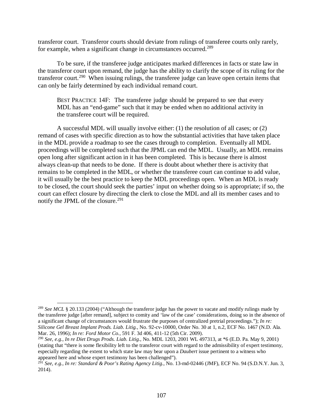transferor court. Transferor courts should deviate from rulings of transferee courts only rarely, for example, when a significant change in circumstances occurred.<sup>[289](#page-116-0)</sup>

To be sure, if the transferee judge anticipates marked differences in facts or state law in the transferor court upon remand, the judge has the ability to clarify the scope of its ruling for the transferor court.<sup>[290](#page-116-1)</sup> When issuing rulings, the transferee judge can leave open certain items that can only be fairly determined by each individual remand court.

BEST PRACTICE 14F: The transferee judge should be prepared to see that every MDL has an "end-game" such that it may be ended when no additional activity in the transferee court will be required.

A successful MDL will usually involve either: (1) the resolution of all cases; or (2) remand of cases with specific direction as to how the substantial activities that have taken place in the MDL provide a roadmap to see the cases through to completion. Eventually all MDL proceedings will be completed such that the JPML can end the MDL. Usually, an MDL remains open long after significant action in it has been completed. This is because there is almost always clean-up that needs to be done. If there is doubt about whether there is activity that remains to be completed in the MDL, or whether the transferee court can continue to add value, it will usually be the best practice to keep the MDL proceedings open. When an MDL is ready to be closed, the court should seek the parties' input on whether doing so is appropriate; if so, the court can effect closure by directing the clerk to close the MDL and all its member cases and to notify the JPML of the closure.<sup>[291](#page-116-2)</sup>

<span id="page-116-0"></span><sup>&</sup>lt;sup>289</sup> *See MCL* § 20.133 (2004) ("Although the transferor judge has the power to vacate and modify rulings made by the transferee judge [after remand], subject to comity and 'law of the case' considerations, doing so in the absence of a significant change of circumstances would frustrate the purposes of centralized pretrial proceedings."); *In re: Silicone Gel Breast Implant Prods. Liab. Litig.*, No. 92-cv-10000, Order No. 30 at 1, n.2, ECF No. 1467 (N.D. Ala. Mar. 26, 1996); *In re: Ford Motor Co.*, 591 F. 3d 406, 411-12 (5th Cir. 2009).

<span id="page-116-1"></span><sup>290</sup> *See, e.g.*, *In re Diet Drugs Prods. Liab. Litig.*, No. MDL 1203, 2001 WL 497313, at \*6 (E.D. Pa. May 9, 2001) (stating that "there is some flexibility left to the transferor court with regard to the admissibility of expert testimony, especially regarding the extent to which state law may bear upon a *Daubert* issue pertinent to a witness who appeared here and whose expert testimony has been challenged").

<span id="page-116-2"></span><sup>291</sup> *See, e.g.*, *In re: Standard & Poor's Rating Agency Litig.*, No. 13-md-02446 (JMF), ECF No. 94 (S.D.N.Y. Jun. 3, 2014).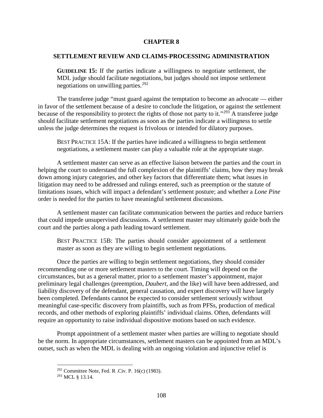## **CHAPTER 8**

# **SETTLEMENT REVIEW AND CLAIMS-PROCESSING ADMINISTRATION**

**GUIDELINE 15:** If the parties indicate a willingness to negotiate settlement, the MDL judge should facilitate negotiations, but judges should not impose settlement negotiations on unwilling parties.[292](#page-117-0)

The transferee judge "must guard against the temptation to become an advocate — either in favor of the settlement because of a desire to conclude the litigation, or against the settlement because of the responsibility to protect the rights of those not party to it."<sup>[293](#page-117-1)</sup> A transferee judge should facilitate settlement negotiations as soon as the parties indicate a willingness to settle unless the judge determines the request is frivolous or intended for dilatory purposes.

BEST PRACTICE 15A: If the parties have indicated a willingness to begin settlement negotiations, a settlement master can play a valuable role at the appropriate stage.

A settlement master can serve as an effective liaison between the parties and the court in helping the court to understand the full complexion of the plaintiffs' claims, how they may break down among injury categories, and other key factors that differentiate them; what issues in litigation may need to be addressed and rulings entered, such as preemption or the statute of limitations issues, which will impact a defendant's settlement posture; and whether a *Lone Pine* order is needed for the parties to have meaningful settlement discussions.

A settlement master can facilitate communication between the parties and reduce barriers that could impede unsupervised discussions. A settlement master may ultimately guide both the court and the parties along a path leading toward settlement.

BEST PRACTICE 15B: The parties should consider appointment of a settlement master as soon as they are willing to begin settlement negotiations.

Once the parties are willing to begin settlement negotiations, they should consider recommending one or more settlement masters to the court. Timing will depend on the circumstances, but as a general matter, prior to a settlement master's appointment, major preliminary legal challenges (preemption, *Daubert*, and the like) will have been addressed, and liability discovery of the defendant, general causation, and expert discovery will have largely been completed. Defendants cannot be expected to consider settlement seriously without meaningful case-specific discovery from plaintiffs, such as from PFSs, production of medical records, and other methods of exploring plaintiffs' individual claims. Often, defendants will require an opportunity to raise individual dispositive motions based on such evidence.

<span id="page-117-0"></span>Prompt appointment of a settlement master when parties are willing to negotiate should be the norm. In appropriate circumstances, settlement masters can be appointed from an MDL's outset, such as when the MDL is dealing with an ongoing violation and injunctive relief is

 $292$  Committee Note, Fed. R .Civ. P. 16(c) (1983).

<span id="page-117-1"></span><sup>293</sup> MCL § 13.14.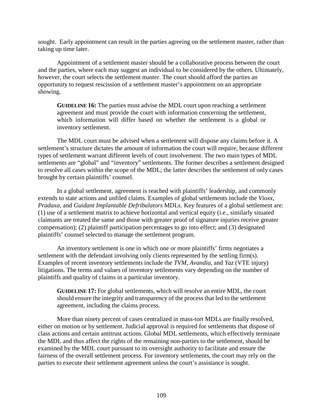sought. Early appointment can result in the parties agreeing on the settlement master, rather than taking up time later.

Appointment of a settlement master should be a collaborative process between the court and the parties, where each may suggest an individual to be considered by the others. Ultimately, however, the court selects the settlement master. The court should afford the parties an opportunity to request rescission of a settlement master's appointment on an appropriate showing.

**GUIDELINE 16:** The parties must advise the MDL court upon reaching a settlement agreement and must provide the court with information concerning the settlement, which information will differ based on whether the settlement is a global or inventory settlement.

The MDL court must be advised when a settlement will dispose any claims before it. A settlement's structure dictates the amount of information the court will require, because different types of settlement warrant different levels of court involvement. The two main types of MDL settlements are "global" and "inventory" settlements. The former describes a settlement designed to resolve all cases within the scope of the MDL; the latter describes the settlement of only cases brought by certain plaintiffs' counsel.

In a global settlement, agreement is reached with plaintiffs' leadership, and commonly extends to state actions and unfiled claims. Examples of global settlements include the *Vioxx*, *Pradaxa*, and *Guidant Implantable Defribulators* MDLs. Key features of a global settlement are: (1) use of a settlement matrix to achieve horizontal and vertical equity (i.e., similarly situated claimants are treated the same and those with greater proof of signature injuries receive greater compensation); (2) plaintiff participation percentages to go into effect; and (3) designated plaintiffs' counsel selected to manage the settlement program.

An inventory settlement is one in which one or more plaintiffs' firms negotiates a settlement with the defendant involving only clients represented by the settling firm(s). Examples of recent inventory settlements include the *TVM*, *Avandia*, and *Yaz* (VTE injury) litigations. The terms and values of inventory settlements vary depending on the number of plaintiffs and quality of claims in a particular inventory.

**GUIDELINE 17:** For global settlements, which will resolve an entire MDL, the court should ensure the integrity and transparency of the process that led to the settlement agreement, including the claims process.

More than ninety percent of cases centralized in mass-tort MDLs are finally resolved, either on motion or by settlement. Judicial approval is required for settlements that dispose of class actions and certain antitrust actions. Global MDL settlements, which effectively terminate the MDL and thus affect the rights of the remaining non-parties to the settlement, should be examined by the MDL court pursuant to its oversight authority to facilitate and ensure the fairness of the overall settlement process. For inventory settlements, the court may rely on the parties to execute their settlement agreement unless the court's assistance is sought.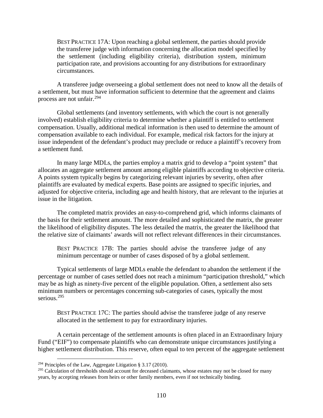BEST PRACTICE 17A: Upon reaching a global settlement, the parties should provide the transferee judge with information concerning the allocation model specified by the settlement (including eligibility criteria), distribution system, minimum participation rate, and provisions accounting for any distributions for extraordinary circumstances.

A transferee judge overseeing a global settlement does not need to know all the details of a settlement, but must have information sufficient to determine that the agreement and claims process are not unfair.[294](#page-119-0)

Global settlements (and inventory settlements, with which the court is not generally involved) establish eligibility criteria to determine whether a plaintiff is entitled to settlement compensation. Usually, additional medical information is then used to determine the amount of compensation available to each individual. For example, medical risk factors for the injury at issue independent of the defendant's product may preclude or reduce a plaintiff's recovery from a settlement fund.

In many large MDLs, the parties employ a matrix grid to develop a "point system" that allocates an aggregate settlement amount among eligible plaintiffs according to objective criteria. A points system typically begins by categorizing relevant injuries by severity, often after plaintiffs are evaluated by medical experts. Base points are assigned to specific injuries, and adjusted for objective criteria, including age and health history, that are relevant to the injuries at issue in the litigation.

The completed matrix provides an easy-to-comprehend grid, which informs claimants of the basis for their settlement amount. The more detailed and sophisticated the matrix, the greater the likelihood of eligibility disputes. The less detailed the matrix, the greater the likelihood that the relative size of claimants' awards will not reflect relevant differences in their circumstances.

BEST PRACTICE 17B: The parties should advise the transferee judge of any minimum percentage or number of cases disposed of by a global settlement.

Typical settlements of large MDLs enable the defendant to abandon the settlement if the percentage or number of cases settled does not reach a minimum "participation threshold," which may be as high as ninety-five percent of the eligible population. Often, a settlement also sets minimum numbers or percentages concerning sub-categories of cases, typically the most serious.<sup>[295](#page-119-1)</sup>

BEST PRACTICE 17C: The parties should advise the transferee judge of any reserve allocated in the settlement to pay for extraordinary injuries.

A certain percentage of the settlement amounts is often placed in an Extraordinary Injury Fund ("EIF") to compensate plaintiffs who can demonstrate unique circumstances justifying a higher settlement distribution. This reserve, often equal to ten percent of the aggregate settlement

<span id="page-119-0"></span><sup>&</sup>lt;sup>294</sup> Principles of the Law, Aggregate Litigation § 3.17 (2010).

<span id="page-119-1"></span><sup>&</sup>lt;sup>295</sup> Calculation of thresholds should account for deceased claimants, whose estates may not be closed for many years, by accepting releases from heirs or other family members, even if not technically binding.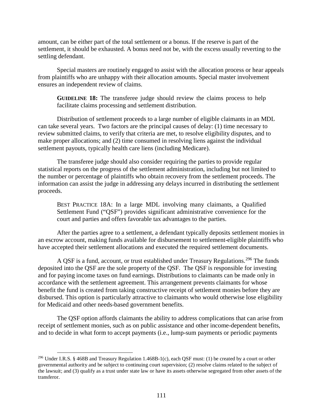amount, can be either part of the total settlement or a bonus. If the reserve is part of the settlement, it should be exhausted. A bonus need not be, with the excess usually reverting to the settling defendant.

Special masters are routinely engaged to assist with the allocation process or hear appeals from plaintiffs who are unhappy with their allocation amounts. Special master involvement ensures an independent review of claims.

**GUIDELINE 18:** The transferee judge should review the claims process to help facilitate claims processing and settlement distribution.

Distribution of settlement proceeds to a large number of eligible claimants in an MDL can take several years. Two factors are the principal causes of delay: (1) time necessary to review submitted claims, to verify that criteria are met, to resolve eligibility disputes, and to make proper allocations; and (2) time consumed in resolving liens against the individual settlement payouts, typically health care liens (including Medicare).

The transferee judge should also consider requiring the parties to provide regular statistical reports on the progress of the settlement administration, including but not limited to the number or percentage of plaintiffs who obtain recovery from the settlement proceeds. The information can assist the judge in addressing any delays incurred in distributing the settlement proceeds.

BEST PRACTICE 18A: In a large MDL involving many claimants, a Qualified Settlement Fund ("QSF") provides significant administrative convenience for the court and parties and offers favorable tax advantages to the parties.

After the parties agree to a settlement, a defendant typically deposits settlement monies in an escrow account, making funds available for disbursement to settlement-eligible plaintiffs who have accepted their settlement allocations and executed the required settlement documents.

A QSF is a fund, account, or trust established under Treasury Regulations.<sup>296</sup> The funds deposited into the QSF are the sole property of the QSF. The QSF is responsible for investing and for paying income taxes on fund earnings. Distributions to claimants can be made only in accordance with the settlement agreement. This arrangement prevents claimants for whose benefit the fund is created from taking constructive receipt of settlement monies before they are disbursed. This option is particularly attractive to claimants who would otherwise lose eligibility for Medicaid and other needs-based government benefits.

The QSF option affords claimants the ability to address complications that can arise from receipt of settlement monies, such as on public assistance and other income-dependent benefits, and to decide in what form to accept payments (i.e., lump-sum payments or periodic payments

<span id="page-120-0"></span><sup>296</sup> Under I.R.S. § 468B and Treasury Regulation 1.468B-1(c), each QSF must: (1) be created by a court or other governmental authority and be subject to continuing court supervision; (2) resolve claims related to the subject of the lawsuit; and (3) qualify as a trust under state law or have its assets otherwise segregated from other assets of the transferor.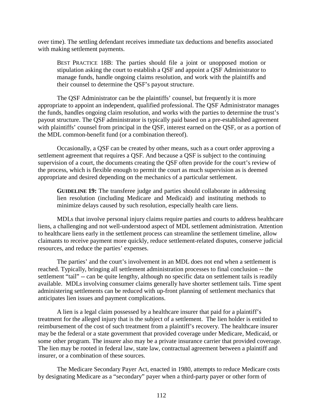over time). The settling defendant receives immediate tax deductions and benefits associated with making settlement payments.

BEST PRACTICE 18B: The parties should file a joint or unopposed motion or stipulation asking the court to establish a QSF and appoint a QSF Administrator to manage funds, handle ongoing claims resolution, and work with the plaintiffs and their counsel to determine the QSF's payout structure.

The QSF Administrator can be the plaintiffs' counsel, but frequently it is more appropriate to appoint an independent, qualified professional. The QSF Administrator manages the funds, handles ongoing claim resolution, and works with the parties to determine the trust's payout structure. The QSF administrator is typically paid based on a pre-established agreement with plaintiffs' counsel from principal in the QSF, interest earned on the QSF, or as a portion of the MDL common-benefit fund (or a combination thereof).

Occasionally, a QSF can be created by other means, such as a court order approving a settlement agreement that requires a QSF. And because a QSF is subject to the continuing supervision of a court, the documents creating the QSF often provide for the court's review of the process, which is flexible enough to permit the court as much supervision as is deemed appropriate and desired depending on the mechanics of a particular settlement.

**GUIDELINE 19:** The transferee judge and parties should collaborate in addressing lien resolution (including Medicare and Medicaid) and instituting methods to minimize delays caused by such resolution, especially health care liens.

MDLs that involve personal injury claims require parties and courts to address healthcare liens, a challenging and not well-understood aspect of MDL settlement administration. Attention to healthcare liens early in the settlement process can streamline the settlement timeline, allow claimants to receive payment more quickly, reduce settlement-related disputes, conserve judicial resources, and reduce the parties' expenses.

The parties' and the court's involvement in an MDL does not end when a settlement is reached. Typically, bringing all settlement administration processes to final conclusion -- the settlement "tail" -- can be quite lengthy, although no specific data on settlement tails is readily available. MDLs involving consumer claims generally have shorter settlement tails. Time spent administering settlements can be reduced with up-front planning of settlement mechanics that anticipates lien issues and payment complications.

A lien is a legal claim possessed by a healthcare insurer that paid for a plaintiff's treatment for the alleged injury that is the subject of a settlement. The lien holder is entitled to reimbursement of the cost of such treatment from a plaintiff's recovery. The healthcare insurer may be the federal or a state government that provided coverage under Medicare, Medicaid, or some other program. The insurer also may be a private insurance carrier that provided coverage. The lien may be rooted in federal law, state law, contractual agreement between a plaintiff and insurer, or a combination of these sources.

The Medicare Secondary Payer Act, enacted in 1980, attempts to reduce Medicare costs by designating Medicare as a "secondary" payer when a third-party payer or other form of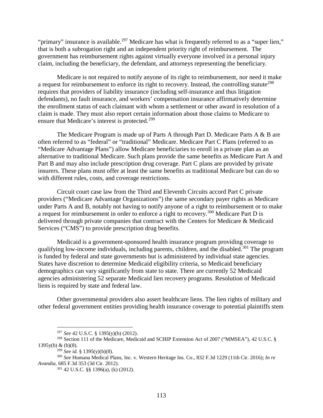"primary" insurance is available.<sup>[297](#page-122-0)</sup> Medicare has what is frequently referred to as a "super lien," that is both a subrogation right and an independent priority right of reimbursement. The government has reimbursement rights against virtually everyone involved in a personal injury claim, including the beneficiary, the defendant, and attorneys representing the beneficiary.

Medicare is not required to notify anyone of its right to reimbursement, nor need it make a request for reimbursement to enforce its right to recovery. Instead, the controlling statute<sup>[298](#page-122-1)</sup> requires that providers of liability insurance (including self-insurance and thus litigation defendants), no fault insurance, and workers' compensation insurance affirmatively determine the enrollment status of each claimant with whom a settlement or other award in resolution of a claim is made. They must also report certain information about those claims to Medicare to ensure that Medicare's interest is protected.<sup>299</sup>

The Medicare Program is made up of Parts A through Part D. Medicare Parts A & B are often referred to as "federal" or "traditional" Medicare. Medicare Part C Plans (referred to as "Medicare Advantage Plans") allow Medicare beneficiaries to enroll in a private plan as an alternative to traditional Medicare. Such plans provide the same benefits as Medicare Part A and Part B and may also include prescription drug coverage. Part C plans are provided by private insurers. These plans must offer at least the same benefits as traditional Medicare but can do so with different rules, costs, and coverage restrictions.

Circuit court case law from the Third and Eleventh Circuits accord Part C private providers ("Medicare Advantage Organizations") the same secondary payer rights as Medicare under Parts A and B, notably not having to notify anyone of a right to reimbursement or to make a request for reimbursement in order to enforce a right to recovery.[300](#page-122-3) Medicare Part D is delivered through private companies that contract with the Centers for Medicare & Medicaid Services ("CMS") to provide prescription drug benefits.

Medicaid is a government-sponsored health insurance program providing coverage to qualifying low-income individuals, including parents, children, and the disabled.<sup>301</sup> The program is funded by federal and state governments but is administered by individual state agencies. States have discretion to determine Medicaid eligibility criteria, so Medicaid beneficiary demographics can vary significantly from state to state. There are currently 52 Medicaid agencies administering 52 separate Medicaid lien recovery programs. Resolution of Medicaid liens is required by state and federal law.

Other governmental providers also assert healthcare liens. The lien rights of military and other federal government entities providing health insurance coverage to potential plaintiffs stem

<sup>297</sup> *See* 42 U.S.C. § 1395(y)(b) (2012).

<span id="page-122-1"></span><span id="page-122-0"></span><sup>298</sup> Section 111 of the Medicare, Medicaid and SCHIP Extension Act of 2007 ("MMSEA"), 42 U.S.C. § 1395y(b) & (b)(8).

<sup>299</sup> *See id.* § 1395(y)(b)(8).

<span id="page-122-4"></span><span id="page-122-3"></span><span id="page-122-2"></span><sup>300</sup> *See* Humana Medical Plans, Inc. v. Western Heritage Ins. Co., 832 F.3d 1229 (11th Cir. 2016); *In re Avandia*, 685 F.3d 353 (3d Cir. 2012).

<sup>301</sup> 42 U.S.C. §§ 1396(a), (k) (2012).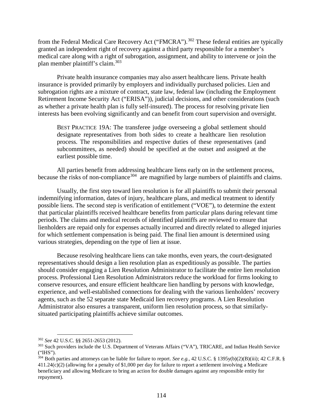from the Federal Medical Care Recovery Act ("FMCRA").<sup>[302](#page-123-0)</sup> These federal entities are typically granted an independent right of recovery against a third party responsible for a member's medical care along with a right of subrogation, assignment, and ability to intervene or join the plan member plaintiff's claim.[303](#page-123-1)

Private health insurance companies may also assert healthcare liens. Private health insurance is provided primarily by employers and individually purchased policies. Lien and subrogation rights are a mixture of contract, state law, federal law (including the Employment Retirement Income Security Act ("ERISA")), judicial decisions, and other considerations (such as whether a private health plan is fully self-insured). The process for resolving private lien interests has been evolving significantly and can benefit from court supervision and oversight.

BEST PRACTICE 19A: The transferee judge overseeing a global settlement should designate representatives from both sides to create a healthcare lien resolution process. The responsibilities and respective duties of these representatives (and subcommittees, as needed) should be specified at the outset and assigned at the earliest possible time.

All parties benefit from addressing healthcare liens early on in the settlement process, because the risks of non-compliance<sup>[304](#page-123-2)</sup> are magnified by large numbers of plaintiffs and claims.

Usually, the first step toward lien resolution is for all plaintiffs to submit their personal indemnifying information, dates of injury, healthcare plans, and medical treatment to identify possible liens. The second step is verification of entitlement ("VOE"), to determine the extent that particular plaintiffs received healthcare benefits from particular plans during relevant time periods. The claims and medical records of identified plaintiffs are reviewed to ensure that lienholders are repaid only for expenses actually incurred and directly related to alleged injuries for which settlement compensation is being paid. The final lien amount is determined using various strategies, depending on the type of lien at issue.

Because resolving healthcare liens can take months, even years, the court-designated representatives should design a lien resolution plan as expeditiously as possible. The parties should consider engaging a Lien Resolution Administrator to facilitate the entire lien resolution process. Professional Lien Resolution Administrators reduce the workload for firms looking to conserve resources, and ensure efficient healthcare lien handling by persons with knowledge, experience, and well-established connections for dealing with the various lienholders' recovery agents, such as the 52 separate state Medicaid lien recovery programs. A Lien Resolution Administrator also ensures a transparent, uniform lien resolution process, so that similarlysituated participating plaintiffs achieve similar outcomes.

<span id="page-123-0"></span><sup>302</sup> *See* 42 U.S.C. §§ 2651-2653 (2012).

<span id="page-123-1"></span><sup>&</sup>lt;sup>303</sup> Such providers include the U.S. Department of Veterans Affairs ("VA"), TRICARE, and Indian Health Service ("IHS").

<span id="page-123-2"></span><sup>304</sup> Both parties and attorneys can be liable for failure to report. *See e.g.,* 42 U.S.C. § 1395y(b)(2)(B)(iii); 42 C.F.R. § 411.24(c)(2) (allowing for a penalty of \$1,000 per day for failure to report a settlement involving a Medicare beneficiary and allowing Medicare to bring an action for double damages against any responsible entity for repayment).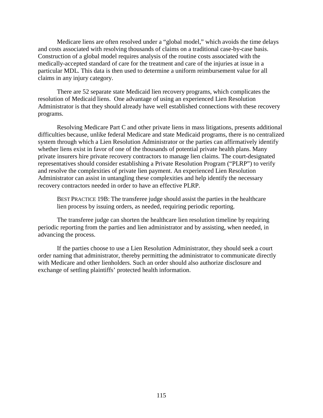Medicare liens are often resolved under a "global model," which avoids the time delays and costs associated with resolving thousands of claims on a traditional case-by-case basis. Construction of a global model requires analysis of the routine costs associated with the medically-accepted standard of care for the treatment and care of the injuries at issue in a particular MDL. This data is then used to determine a uniform reimbursement value for all claims in any injury category.

There are 52 separate state Medicaid lien recovery programs, which complicates the resolution of Medicaid liens. One advantage of using an experienced Lien Resolution Administrator is that they should already have well established connections with these recovery programs.

Resolving Medicare Part C and other private liens in mass litigations, presents additional difficulties because, unlike federal Medicare and state Medicaid programs, there is no centralized system through which a Lien Resolution Administrator or the parties can affirmatively identify whether liens exist in favor of one of the thousands of potential private health plans. Many private insurers hire private recovery contractors to manage lien claims. The court-designated representatives should consider establishing a Private Resolution Program ("PLRP") to verify and resolve the complexities of private lien payment. An experienced Lien Resolution Administrator can assist in untangling these complexities and help identify the necessary recovery contractors needed in order to have an effective PLRP.

BEST PRACTICE 19B: The transferee judge should assist the parties in the healthcare lien process by issuing orders, as needed, requiring periodic reporting.

The transferee judge can shorten the healthcare lien resolution timeline by requiring periodic reporting from the parties and lien administrator and by assisting, when needed, in advancing the process.

If the parties choose to use a Lien Resolution Administrator, they should seek a court order naming that administrator, thereby permitting the administrator to communicate directly with Medicare and other lienholders. Such an order should also authorize disclosure and exchange of settling plaintiffs' protected health information.